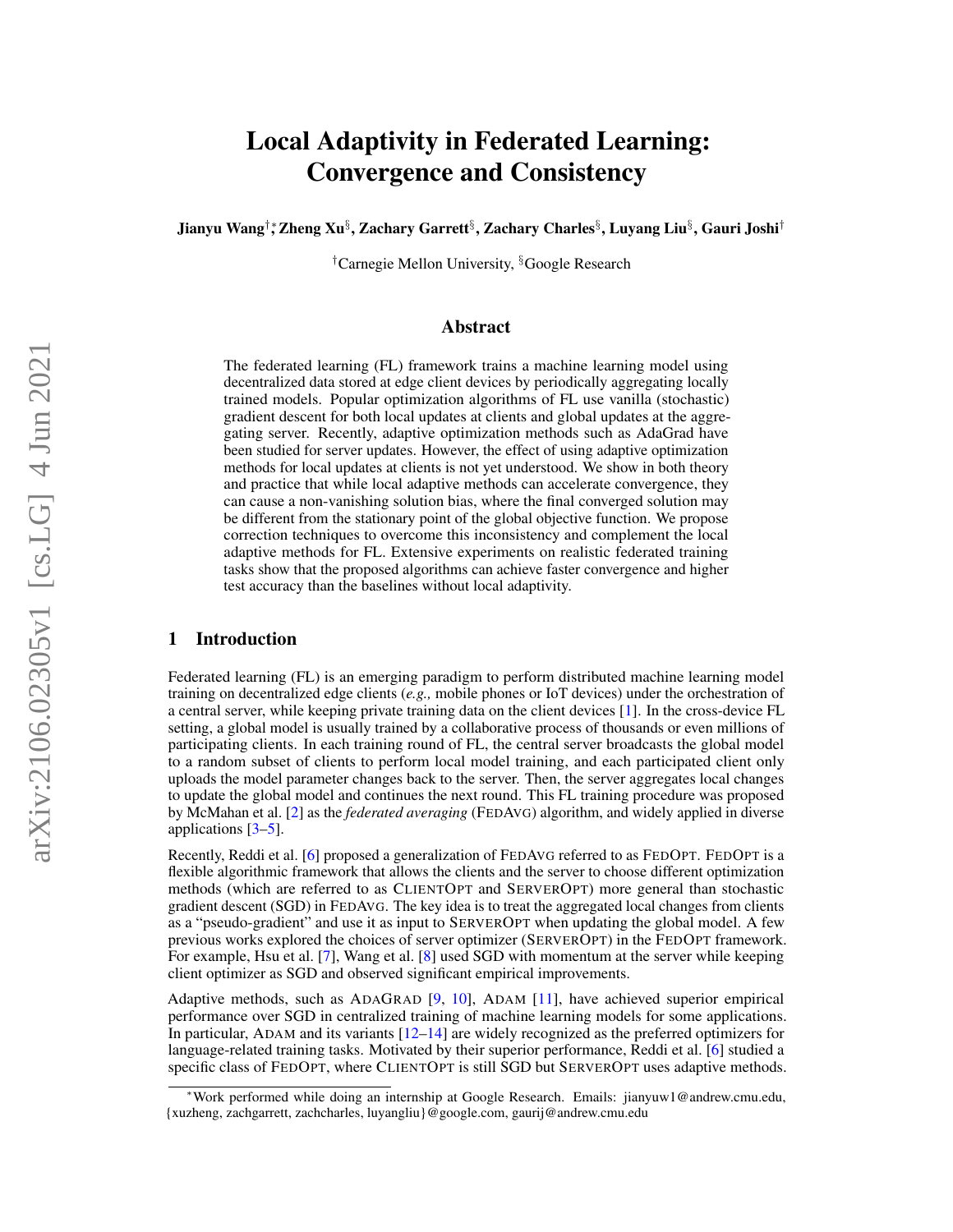# Local Adaptivity in Federated Learning: Convergence and Consistency

Jianyu Wang†∗, Zheng Xu§ , Zachary Garrett§ , Zachary Charles§ , Luyang Liu§ , Gauri Joshi†

†Carnegie Mellon University, §Google Research

## Abstract

The federated learning (FL) framework trains a machine learning model using decentralized data stored at edge client devices by periodically aggregating locally trained models. Popular optimization algorithms of FL use vanilla (stochastic) gradient descent for both local updates at clients and global updates at the aggregating server. Recently, adaptive optimization methods such as AdaGrad have been studied for server updates. However, the effect of using adaptive optimization methods for local updates at clients is not yet understood. We show in both theory and practice that while local adaptive methods can accelerate convergence, they can cause a non-vanishing solution bias, where the final converged solution may be different from the stationary point of the global objective function. We propose correction techniques to overcome this inconsistency and complement the local adaptive methods for FL. Extensive experiments on realistic federated training tasks show that the proposed algorithms can achieve faster convergence and higher test accuracy than the baselines without local adaptivity.

## 1 Introduction

Federated learning (FL) is an emerging paradigm to perform distributed machine learning model training on decentralized edge clients (*e.g.,* mobile phones or IoT devices) under the orchestration of a central server, while keeping private training data on the client devices [\[1\]](#page-9-0). In the cross-device FL setting, a global model is usually trained by a collaborative process of thousands or even millions of participating clients. In each training round of FL, the central server broadcasts the global model to a random subset of clients to perform local model training, and each participated client only uploads the model parameter changes back to the server. Then, the server aggregates local changes to update the global model and continues the next round. This FL training procedure was proposed by McMahan et al. [\[2\]](#page-9-1) as the *federated averaging* (FEDAVG) algorithm, and widely applied in diverse applications [\[3–](#page-9-2)[5\]](#page-9-3).

Recently, Reddi et al. [\[6\]](#page-9-4) proposed a generalization of FEDAVG referred to as FEDOPT. FEDOPT is a flexible algorithmic framework that allows the clients and the server to choose different optimization methods (which are referred to as CLIENTOPT and SERVEROPT) more general than stochastic gradient descent (SGD) in FEDAVG. The key idea is to treat the aggregated local changes from clients as a "pseudo-gradient" and use it as input to SERVEROPT when updating the global model. A few previous works explored the choices of server optimizer (SERVEROPT) in the FEDOPT framework. For example, Hsu et al. [\[7\]](#page-9-5), Wang et al. [\[8\]](#page-9-6) used SGD with momentum at the server while keeping client optimizer as SGD and observed significant empirical improvements.

Adaptive methods, such as ADAGRAD [\[9,](#page-9-7) [10\]](#page-9-8), ADAM [\[11\]](#page-9-9), have achieved superior empirical performance over SGD in centralized training of machine learning models for some applications. In particular, ADAM and its variants  $[12-14]$  $[12-14]$  are widely recognized as the preferred optimizers for language-related training tasks. Motivated by their superior performance, Reddi et al. [\[6\]](#page-9-4) studied a specific class of FEDOPT, where CLIENTOPT is still SGD but SERVEROPT uses adaptive methods.

<sup>∗</sup>Work performed while doing an internship at Google Research. Emails: jianyuw1@andrew.cmu.edu, {xuzheng, zachgarrett, zachcharles, luyangliu}@google.com, gaurij@andrew.cmu.edu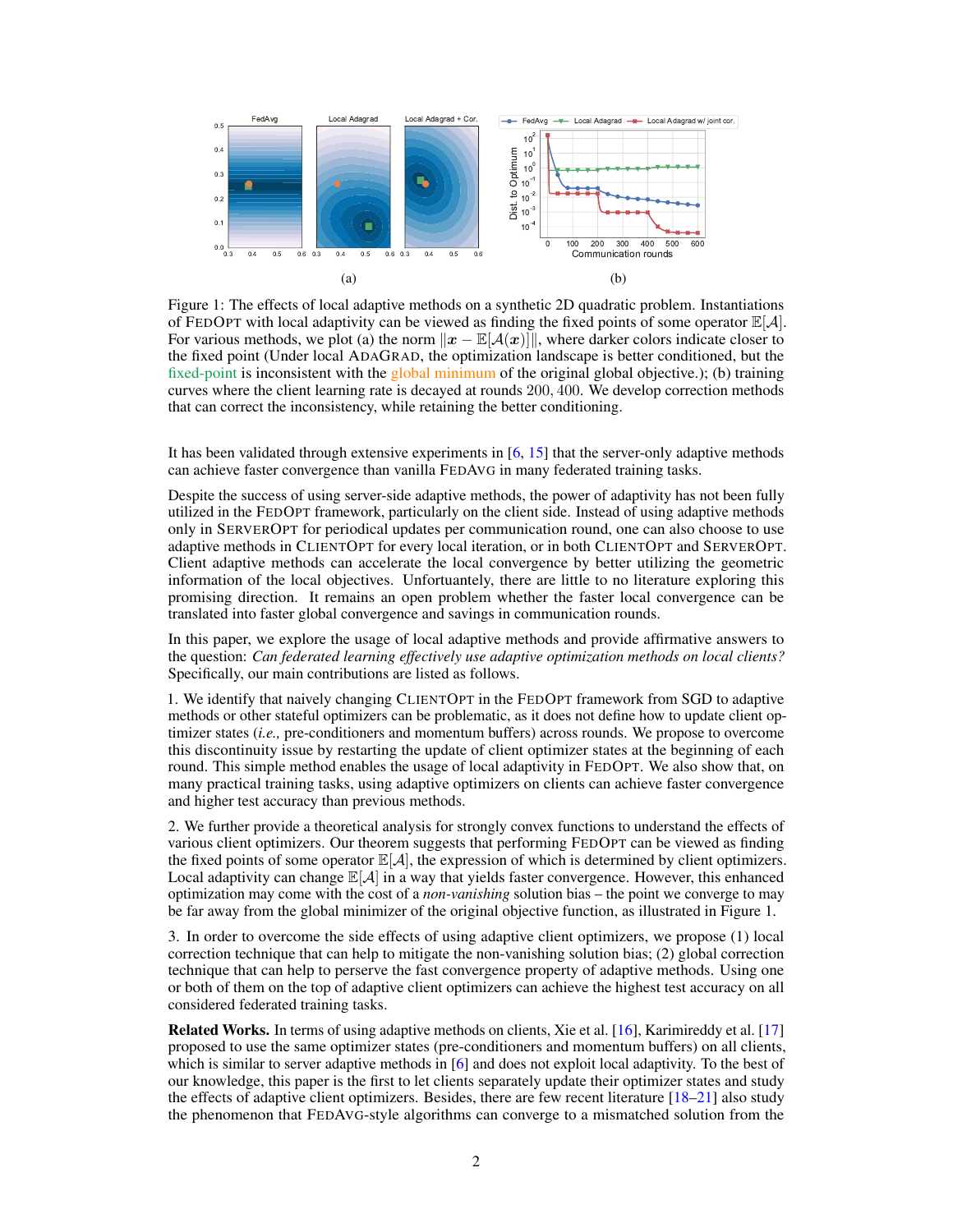<span id="page-1-0"></span>

Figure 1: The effects of local adaptive methods on a synthetic 2D quadratic problem. Instantiations of FEDOPT with local adaptivity can be viewed as finding the fixed points of some operator  $\mathbb{E}[\mathcal{A}]$ . For various methods, we plot (a) the norm  $||x - \mathbb{E}[A(x)||]$ , where darker colors indicate closer to the fixed point (Under local ADAGRAD, the optimization landscape is better conditioned, but the fixed-point is inconsistent with the global minimum of the original global objective.); (b) training curves where the client learning rate is decayed at rounds 200, 400. We develop correction methods that can correct the inconsistency, while retaining the better conditioning.

It has been validated through extensive experiments in [\[6,](#page-9-4) [15\]](#page-9-12) that the server-only adaptive methods can achieve faster convergence than vanilla FEDAVG in many federated training tasks.

Despite the success of using server-side adaptive methods, the power of adaptivity has not been fully utilized in the FEDOPT framework, particularly on the client side. Instead of using adaptive methods only in SERVEROPT for periodical updates per communication round, one can also choose to use adaptive methods in CLIENTOPT for every local iteration, or in both CLIENTOPT and SERVEROPT. Client adaptive methods can accelerate the local convergence by better utilizing the geometric information of the local objectives. Unfortuantely, there are little to no literature exploring this promising direction. It remains an open problem whether the faster local convergence can be translated into faster global convergence and savings in communication rounds.

In this paper, we explore the usage of local adaptive methods and provide affirmative answers to the question: *Can federated learning effectively use adaptive optimization methods on local clients?* Specifically, our main contributions are listed as follows.

1. We identify that naively changing CLIENTOPT in the FEDOPT framework from SGD to adaptive methods or other stateful optimizers can be problematic, as it does not define how to update client optimizer states (*i.e.,* pre-conditioners and momentum buffers) across rounds. We propose to overcome this discontinuity issue by restarting the update of client optimizer states at the beginning of each round. This simple method enables the usage of local adaptivity in FEDOPT. We also show that, on many practical training tasks, using adaptive optimizers on clients can achieve faster convergence and higher test accuracy than previous methods.

2. We further provide a theoretical analysis for strongly convex functions to understand the effects of various client optimizers. Our theorem suggests that performing FEDOPT can be viewed as finding the fixed points of some operator  $\mathbb{E}[\mathcal{A}]$ , the expression of which is determined by client optimizers. Local adaptivity can change  $\mathbb{E}[A]$  in a way that yields faster convergence. However, this enhanced optimization may come with the cost of a *non-vanishing* solution bias – the point we converge to may be far away from the global minimizer of the original objective function, as illustrated in Figure [1.](#page-1-0)

3. In order to overcome the side effects of using adaptive client optimizers, we propose (1) local correction technique that can help to mitigate the non-vanishing solution bias; (2) global correction technique that can help to perserve the fast convergence property of adaptive methods. Using one or both of them on the top of adaptive client optimizers can achieve the highest test accuracy on all considered federated training tasks.

Related Works. In terms of using adaptive methods on clients, Xie et al. [\[16\]](#page-10-0), Karimireddy et al. [\[17\]](#page-10-1) proposed to use the same optimizer states (pre-conditioners and momentum buffers) on all clients, which is similar to server adaptive methods in [\[6\]](#page-9-4) and does not exploit local adaptivity. To the best of our knowledge, this paper is the first to let clients separately update their optimizer states and study the effects of adaptive client optimizers. Besides, there are few recent literature  $[18–21]$  $[18–21]$  also study the phenomenon that FEDAVG-style algorithms can converge to a mismatched solution from the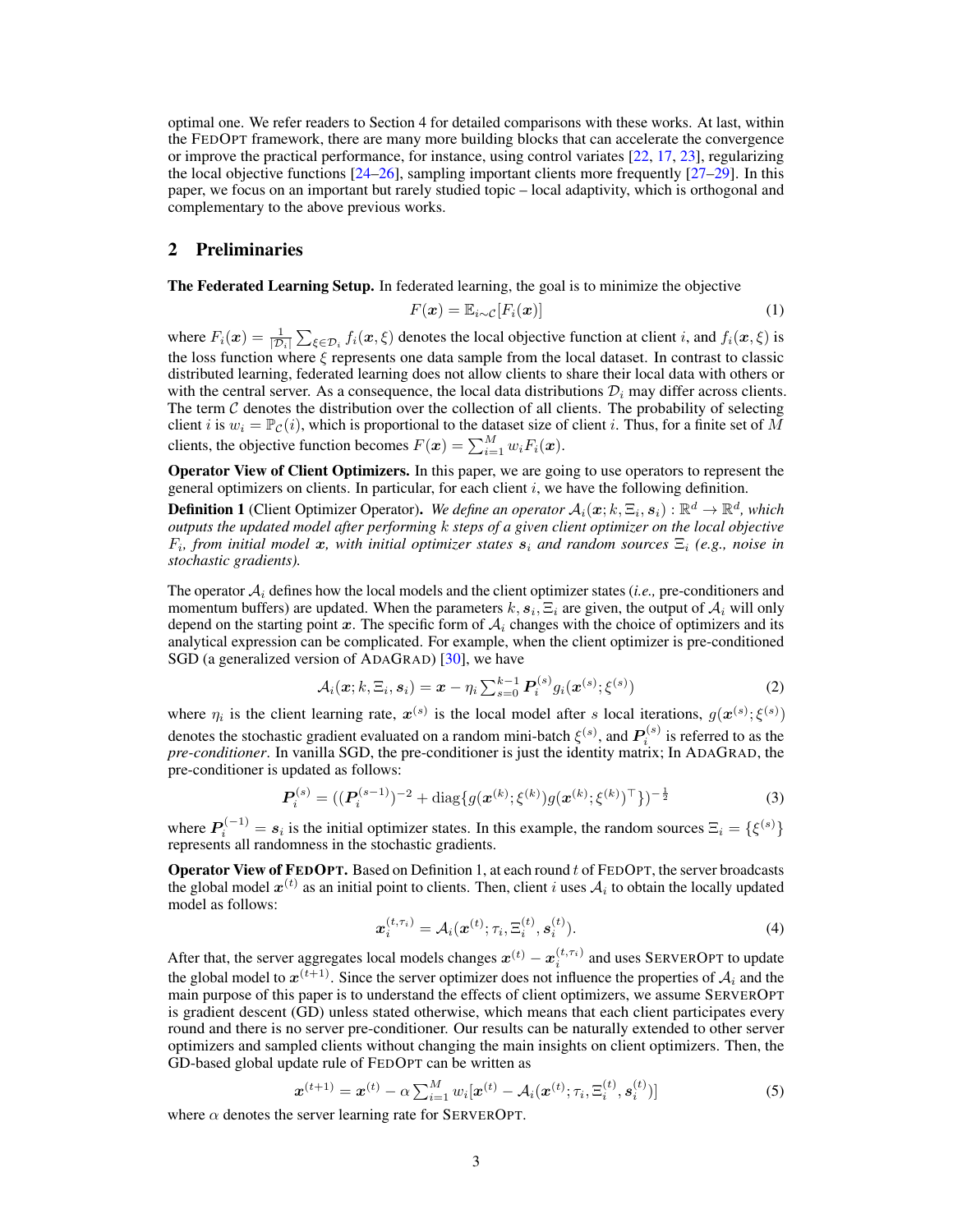optimal one. We refer readers to Section [4](#page-3-0) for detailed comparisons with these works. At last, within the FEDOPT framework, there are many more building blocks that can accelerate the convergence or improve the practical performance, for instance, using control variates [\[22,](#page-10-4) [17,](#page-10-1) [23\]](#page-10-5), regularizing the local objective functions  $[24-26]$  $[24-26]$ , sampling important clients more frequently  $[27-29]$  $[27-29]$ . In this paper, we focus on an important but rarely studied topic – local adaptivity, which is orthogonal and complementary to the above previous works.

## 2 Preliminaries

The Federated Learning Setup. In federated learning, the goal is to minimize the objective

$$
F(\boldsymbol{x}) = \mathbb{E}_{i \sim \mathcal{C}}[F_i(\boldsymbol{x})] \tag{1}
$$

where  $F_i(x) = \frac{1}{|\mathcal{D}_i|} \sum_{\xi \in \mathcal{D}_i} f_i(x, \xi)$  denotes the local objective function at client i, and  $f_i(x, \xi)$  is the loss function where  $\xi$  represents one data sample from the local dataset. In contrast to classic distributed learning, federated learning does not allow clients to share their local data with others or with the central server. As a consequence, the local data distributions  $\mathcal{D}_i$  may differ across clients. The term  $C$  denotes the distribution over the collection of all clients. The probability of selecting client i is  $w_i = \mathbb{P}_{\mathcal{C}}(i)$ , which is proportional to the dataset size of client i. Thus, for a finite set of M clients, the objective function becomes  $F(\boldsymbol{x}) = \sum_{i=1}^{M} w_i F_i(\boldsymbol{x})$ .

Operator View of Client Optimizers. In this paper, we are going to use operators to represent the general optimizers on clients. In particular, for each client  $i$ , we have the following definition.

<span id="page-2-0"></span>**Definition 1** (Client Optimizer Operator). We define an operator  $A_i(x; k, \Xi_i, s_i) : \mathbb{R}^d \to \mathbb{R}^d$ , which *outputs the updated model after performing* k *steps of a given client optimizer on the local objective*  $F_i$ , from initial model x, with initial optimizer states  $s_i$  and random sources  $\Xi_i$  (e.g., noise in *stochastic gradients).*

The operator  $A_i$  defines how the local models and the client optimizer states (*i.e.*, pre-conditioners and momentum buffers) are updated. When the parameters  $k, s_i, \Xi_i$  are given, the output of  $\mathcal{A}_i$  will only depend on the starting point x. The specific form of  $A_i$  changes with the choice of optimizers and its analytical expression can be complicated. For example, when the client optimizer is pre-conditioned SGD (a generalized version of ADAGRAD) [\[30\]](#page-10-10), we have

$$
\mathcal{A}_i(\boldsymbol{x}; k, \Xi_i, \boldsymbol{s}_i) = \boldsymbol{x} - \eta_i \sum_{s=0}^{k-1} P_i^{(s)} g_i(\boldsymbol{x}^{(s)}; \boldsymbol{\xi}^{(s)})
$$
(2)

where  $\eta_i$  is the client learning rate,  $x^{(s)}$  is the local model after s local iterations,  $g(x^{(s)}; \xi^{(s)})$ denotes the stochastic gradient evaluated on a random mini-batch  $\xi^{(s)},$  and  $\bm{P}_i^{(s)}$  is referred to as the *pre-conditioner*. In vanilla SGD, the pre-conditioner is just the identity matrix; In ADAGRAD, the pre-conditioner is updated as follows:

$$
\boldsymbol{P}_i^{(s)} = ((\boldsymbol{P}_i^{(s-1)})^{-2} + \text{diag}\{g(\boldsymbol{x}^{(k)}; \boldsymbol{\xi}^{(k)})g(\boldsymbol{x}^{(k)}; \boldsymbol{\xi}^{(k)})^\top\})^{-\frac{1}{2}}
$$
(3)

where  $P_i^{(-1)} = s_i$  is the initial optimizer states. In this example, the random sources  $\Xi_i = \{\xi^{(s)}\}$ represents all randomness in the stochastic gradients.

**Operator View of FEDOPT.** Based on Definition [1,](#page-2-0) at each round  $t$  of FEDOPT, the server broadcasts the global model  $x^{(t)}$  as an initial point to clients. Then, client i uses  $A_i$  to obtain the locally updated model as follows:

<span id="page-2-2"></span><span id="page-2-1"></span>
$$
\boldsymbol{x}_i^{(t,\tau_i)} = \mathcal{A}_i(\boldsymbol{x}^{(t)}; \tau_i, \boldsymbol{\Xi}_i^{(t)}, \boldsymbol{s}_i^{(t)}).
$$
\n(4)

After that, the server aggregates local models changes  $x^{(t)} - x^{(t,\tau_i)}_i$  and uses SERVEROPT to update the global model to  $x^{(t+1)}$ . Since the server optimizer does not influence the properties of  $A_i$  and the main purpose of this paper is to understand the effects of client optimizers, we assume SERVEROPT is gradient descent (GD) unless stated otherwise, which means that each client participates every round and there is no server pre-conditioner. Our results can be naturally extended to other server optimizers and sampled clients without changing the main insights on client optimizers. Then, the GD-based global update rule of FEDOPT can be written as

$$
\boldsymbol{x}^{(t+1)} = \boldsymbol{x}^{(t)} - \alpha \sum_{i=1}^{M} w_i [\boldsymbol{x}^{(t)} - \mathcal{A}_i(\boldsymbol{x}^{(t)}; \tau_i, \Xi_i^{(t)}, \boldsymbol{s}_i^{(t)})] \tag{5}
$$

where  $\alpha$  denotes the server learning rate for SERVEROPT.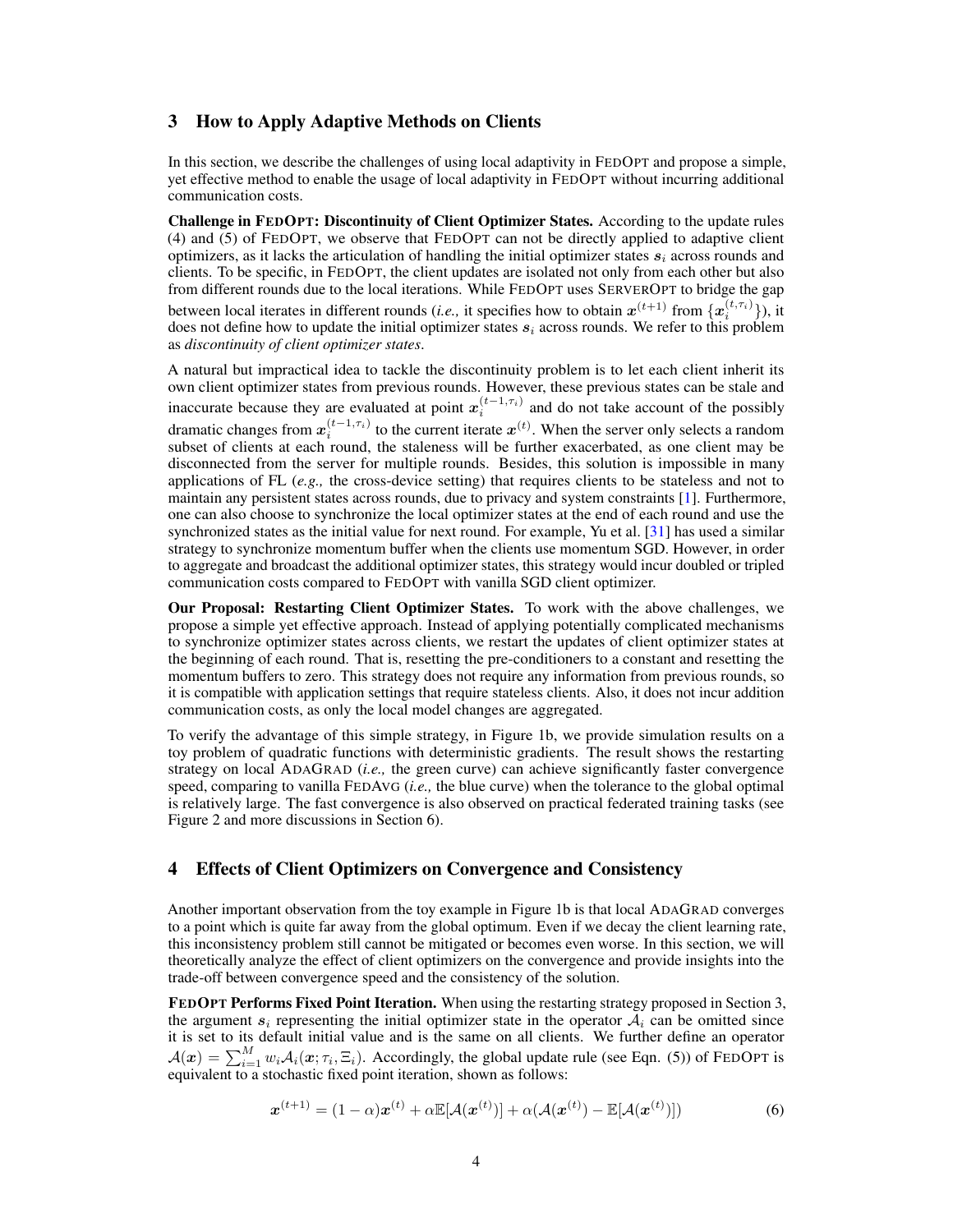## <span id="page-3-1"></span>3 How to Apply Adaptive Methods on Clients

In this section, we describe the challenges of using local adaptivity in FEDOPT and propose a simple, yet effective method to enable the usage of local adaptivity in FEDOPT without incurring additional communication costs.

Challenge in FEDOPT: Discontinuity of Client Optimizer States. According to the update rules [\(4\)](#page-2-1) and [\(5\)](#page-2-2) of FEDOPT, we observe that FEDOPT can not be directly applied to adaptive client optimizers, as it lacks the articulation of handling the initial optimizer states  $s_i$  across rounds and clients. To be specific, in FEDOPT, the client updates are isolated not only from each other but also from different rounds due to the local iterations. While FEDOPT uses SERVEROPT to bridge the gap between local iterates in different rounds (*i.e.*, it specifies how to obtain  $x^{(t+1)}$  from  $\{x_i^{(t,\tau_i)}\}$ ), it does not define how to update the initial optimizer states  $s_i$  across rounds. We refer to this problem as *discontinuity of client optimizer states*.

A natural but impractical idea to tackle the discontinuity problem is to let each client inherit its own client optimizer states from previous rounds. However, these previous states can be stale and inaccurate because they are evaluated at point  $x_i^{(t-1,\tau_i)}$  and do not take account of the possibly dramatic changes from  $x_i^{(t-1,\tau_i)}$  to the current iterate  $x^{(t)}$ . When the server only selects a random subset of clients at each round, the staleness will be further exacerbated, as one client may be disconnected from the server for multiple rounds. Besides, this solution is impossible in many applications of FL (*e.g.,* the cross-device setting) that requires clients to be stateless and not to maintain any persistent states across rounds, due to privacy and system constraints [\[1\]](#page-9-0). Furthermore, one can also choose to synchronize the local optimizer states at the end of each round and use the synchronized states as the initial value for next round. For example, Yu et al. [\[31\]](#page-10-11) has used a similar strategy to synchronize momentum buffer when the clients use momentum SGD. However, in order to aggregate and broadcast the additional optimizer states, this strategy would incur doubled or tripled communication costs compared to FEDOPT with vanilla SGD client optimizer.

Our Proposal: Restarting Client Optimizer States. To work with the above challenges, we propose a simple yet effective approach. Instead of applying potentially complicated mechanisms to synchronize optimizer states across clients, we restart the updates of client optimizer states at the beginning of each round. That is, resetting the pre-conditioners to a constant and resetting the momentum buffers to zero. This strategy does not require any information from previous rounds, so it is compatible with application settings that require stateless clients. Also, it does not incur addition communication costs, as only the local model changes are aggregated.

To verify the advantage of this simple strategy, in Figure [1b,](#page-1-0) we provide simulation results on a toy problem of quadratic functions with deterministic gradients. The result shows the restarting strategy on local ADAGRAD (*i.e.,* the green curve) can achieve significantly faster convergence speed, comparing to vanilla FEDAVG (*i.e.,* the blue curve) when the tolerance to the global optimal is relatively large. The fast convergence is also observed on practical federated training tasks (see Figure [2](#page-7-0) and more discussions in Section [6\)](#page-6-0).

## <span id="page-3-0"></span>4 Effects of Client Optimizers on Convergence and Consistency

Another important observation from the toy example in Figure [1b](#page-1-0) is that local ADAGRAD converges to a point which is quite far away from the global optimum. Even if we decay the client learning rate, this inconsistency problem still cannot be mitigated or becomes even worse. In this section, we will theoretically analyze the effect of client optimizers on the convergence and provide insights into the trade-off between convergence speed and the consistency of the solution.

FEDOPT Performs Fixed Point Iteration. When using the restarting strategy proposed in Section [3,](#page-3-1) the argument  $s_i$  representing the initial optimizer state in the operator  $A_i$  can be omitted since it is set to its default initial value and is the same on all clients. We further define an operator  $\mathcal{A}(x) = \sum_{i=1}^{M} w_i \mathcal{A}_i(x; \tau_i, \Xi_i)$ . Accordingly, the global update rule (see Eqn. [\(5\)](#page-2-2)) of FEDOPT is equivalent to a stochastic fixed point iteration, shown as follows:

<span id="page-3-2"></span>
$$
\boldsymbol{x}^{(t+1)} = (1-\alpha)\boldsymbol{x}^{(t)} + \alpha \mathbb{E}[\mathcal{A}(\boldsymbol{x}^{(t)})] + \alpha(\mathcal{A}(\boldsymbol{x}^{(t)}) - \mathbb{E}[\mathcal{A}(\boldsymbol{x}^{(t)})])
$$
(6)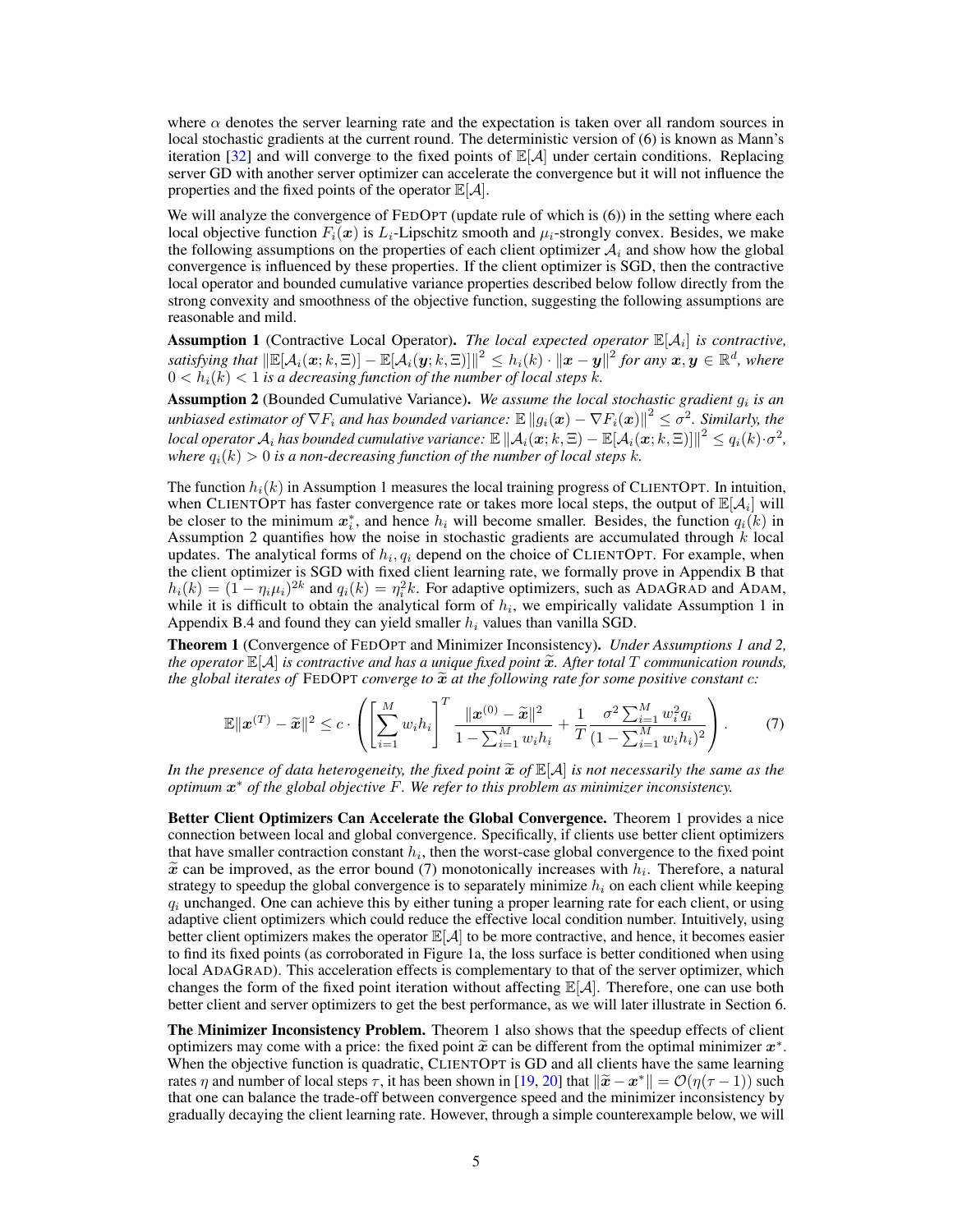where  $\alpha$  denotes the server learning rate and the expectation is taken over all random sources in local stochastic gradients at the current round. The deterministic version of [\(6\)](#page-3-2) is known as Mann's iteration [\[32\]](#page-10-12) and will converge to the fixed points of  $\mathbb{E}[A]$  under certain conditions. Replacing server GD with another server optimizer can accelerate the convergence but it will not influence the properties and the fixed points of the operator  $\mathbb{E}[\mathcal{A}]$ .

We will analyze the convergence of FEDOPT (update rule of which is [\(6\)](#page-3-2)) in the setting where each local objective function  $F_i(x)$  is  $L_i$ -Lipschitz smooth and  $\mu_i$ -strongly convex. Besides, we make the following assumptions on the properties of each client optimizer  $A_i$  and show how the global convergence is influenced by these properties. If the client optimizer is SGD, then the contractive local operator and bounded cumulative variance properties described below follow directly from the strong convexity and smoothness of the objective function, suggesting the following assumptions are reasonable and mild.

<span id="page-4-0"></span>Assumption 1 (Contractive Local Operator). *The local expected operator*  $\mathbb{E}[A_i]$  *is contractive*, satisfying that  $\|\mathbb{E}[\mathcal{A}_i(\bm{x};k,\Xi)]-\mathbb{E}[\mathcal{A}_i(\bm{y};k,\Xi)]\|^2\leq h_i(k)\cdot\|\bm{x}-\bm{y}\|^2$  for any  $\bm{x},\bm{y}\in\mathbb{R}^d$ , where  $0 < h_i(k) < 1$  is a decreasing function of the number of local steps  $k$ .

<span id="page-4-1"></span>Assumption 2 (Bounded Cumulative Variance). We assume the local stochastic gradient  $g_i$  is an  $a$ unbiased estimator of  $\nabla F_i$  and has bounded variance:  $\mathbb{E}\left\|g_i(\bm{x}) - \nabla F_i(\bm{x})\right\|^2 \leq \sigma^2.$  Similarly, the  $\textit{local operator } \mathcal{A}_i$  has bounded cumulative variance:  $\mathbb{E}\left\|\mathcal{A}_i(\bm{x};k,\Xi) - \mathbb{E}[\mathcal{A}_i(\bm{x};k,\Xi)]\right\|^2 \leq q_i(k)\cdot\sigma^2,$ where  $q_i(k) > 0$  *is a non-decreasing function of the number of local steps k.* 

The function  $h_i(k)$  in Assumption [1](#page-4-0) measures the local training progress of CLIENTOPT. In intuition, when CLIENTOPT has faster convergence rate or takes more local steps, the output of  $\mathbb{E}[A_i]$  will be closer to the minimum  $x_i^*$ , and hence  $h_i$  will become smaller. Besides, the function  $q_i(k)$  in Assumption [2](#page-4-1) quantifies how the noise in stochastic gradients are accumulated through  $k$  local updates. The analytical forms of  $h_i, q_i$  depend on the choice of CLIENTOPT. For example, when the client optimizer is SGD with fixed client learning rate, we formally prove in Appendix [B](#page-13-0) that  $h_i(k) = (1 - \eta_i \mu_i)^{2k}$  and  $q_i(k) = \eta_i^2 k$ . For adaptive optimizers, such as ADAGRAD and ADAM, while it is difficult to obtain the analytical form of  $h_i$ , we empirically validate Assumption [1](#page-4-0) in Appendix [B.4](#page-16-0) and found they can yield smaller  $h_i$  values than vanilla SGD.

<span id="page-4-2"></span>Theorem 1 (Convergence of FEDOPT and Minimizer Inconsistency). *Under Assumptions [1](#page-4-0) and [2,](#page-4-1) the operator*  $\mathbb{E}[\mathcal{A}]$  *is contractive and has a unique fixed point*  $\widetilde{\mathbf{x}}$ *. After total* T *communication rounds, the global iterates of* FEDOPT *converge to*  $\tilde{x}$  *at the following rate for some positive constant c:* 

<span id="page-4-3"></span>
$$
\mathbb{E} \|\boldsymbol{x}^{(T)} - \widetilde{\boldsymbol{x}}\|^2 \le c \cdot \left( \left[ \sum_{i=1}^M w_i h_i \right]^T \frac{\|\boldsymbol{x}^{(0)} - \widetilde{\boldsymbol{x}}\|^2}{1 - \sum_{i=1}^M w_i h_i} + \frac{1}{T} \frac{\sigma^2 \sum_{i=1}^M w_i^2 q_i}{(1 - \sum_{i=1}^M w_i h_i)^2} \right). \tag{7}
$$

*In the presence of data heterogeneity, the fixed point*  $\tilde{x}$  *of*  $\mathbb{E}[\mathcal{A}]$  *is not necessarily the same as the optimum* x <sup>∗</sup> *of the global objective* F*. We refer to this problem as minimizer inconsistency.*

Better Client Optimizers Can Accelerate the Global Convergence. Theorem [1](#page-4-2) provides a nice connection between local and global convergence. Specifically, if clients use better client optimizers that have smaller contraction constant  $h_i$ , then the worst-case global convergence to the fixed point  $\tilde{x}$  can be improved, as the error bound [\(7\)](#page-4-3) monotonically increases with  $h_i$ . Therefore, a natural expression of  $\tilde{x}$  is to separately minimize  $h_i$  on each client while keeping strategy to speedup the global convergence is to separately minimize  $h_i$  on each client while keeping  $q_i$  unchanged. One can achieve this by either tuning a proper learning rate for each client, or using adaptive client optimizers which could reduce the effective local condition number. Intuitively, using better client optimizers makes the operator  $\mathbb{E}[\mathcal{A}]$  to be more contractive, and hence, it becomes easier to find its fixed points (as corroborated in Figure [1a,](#page-1-0) the loss surface is better conditioned when using local ADAGRAD). This acceleration effects is complementary to that of the server optimizer, which changes the form of the fixed point iteration without affecting  $\mathbb{E}[\mathcal{A}]$ . Therefore, one can use both better client and server optimizers to get the best performance, as we will later illustrate in Section [6.](#page-6-0)

The Minimizer Inconsistency Problem. Theorem [1](#page-4-2) also shows that the speedup effects of client optimizers may come with a price: the fixed point  $\tilde{x}$  can be different from the optimal minimizer  $x^*$ .<br>When the objective function is quadratic. CLIENTOPT is GD and all clients have the same learning. When the objective function is quadratic, CLIENTOPT is GD and all clients have the same learning rates  $\eta$  and number of local steps  $\tau$ , it has been shown in [\[19,](#page-10-13) [20\]](#page-10-14) that  $\|\tilde{x} - x^*\| = \mathcal{O}(\eta(\tau - 1))$  such that one can balance the trade-off between convergence speed and the minimizer inconsistency by that one can balance the trade-off between convergence speed and the minimizer inconsistency by gradually decaying the client learning rate. However, through a simple counterexample below, we will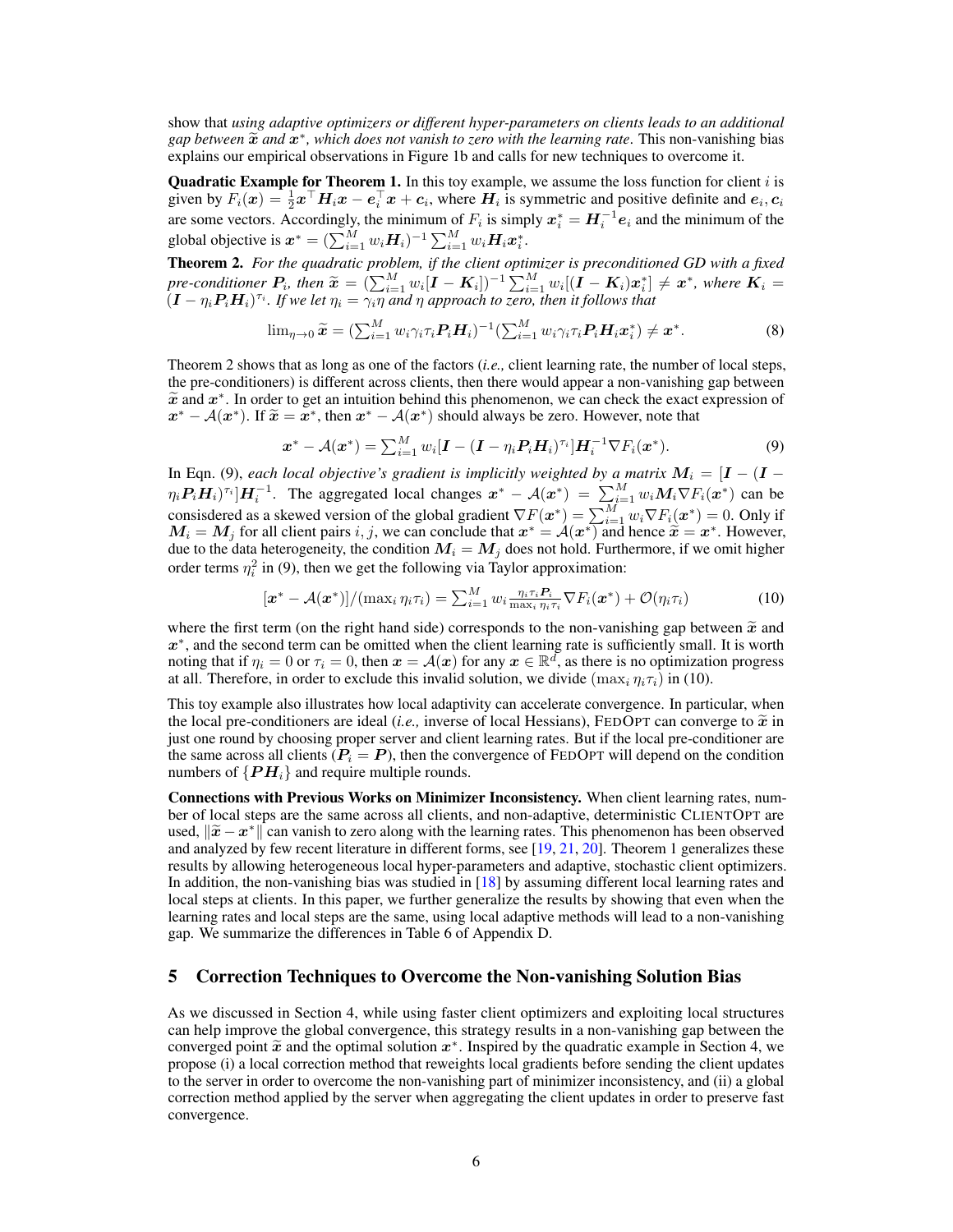show that *using adaptive optimizers or different hyper-parameters on clients leads to an additional gap between*  $\widetilde{x}$  *and*  $\widetilde{x}^*$ *, which does not vanish to zero with the learning rate. This non-vanishing bias*<br>explains our empirical observations in Figure 1b and calls for new techniques to overcome it explains our empirical observations in Figure [1b](#page-1-0) and calls for new techniques to overcome it.

**Quadratic Example for Theorem [1.](#page-4-2)** In this toy example, we assume the loss function for client  $i$  is given by  $F_i(x) = \frac{1}{2}x^\top H_i x - e_i^\top x + c_i$ , where  $H_i$  is symmetric and positive definite and  $e_i, c_i$ are some vectors. Accordingly, the minimum of  $F_i$  is simply  $x_i^* = H_i^{-1} e_i$  and the minimum of the global objective is  $\boldsymbol{x}^* = (\sum_{i=1}^M w_i \boldsymbol{H}_i)^{-1} \sum_{i=1}^M w_i \boldsymbol{H}_i \boldsymbol{x}_i^*.$ 

<span id="page-5-0"></span>Theorem 2. *For the quadratic problem, if the client optimizer is preconditioned GD with a fixed pre-conditioner*  $P_i$ , then  $\widetilde{x} = (\sum_{i=1}^M w_i [\mathbf{I} - \mathbf{K}_i])^{-1} \sum_{i=1}^M w_i [(\mathbf{I} - \mathbf{K}_i) x_i^*] \neq x^*$ , where  $\mathbf{K}_i = (\mathbf{I} - v_i \mathbf{P}_i \mathbf{H}_i)^T$  *i* five let  $v_i = \gamma_i v_i$  and *n* approach to zero, then it follows that  $\widetilde{I}(I-\eta_iP_iH_i)^{\tau_i}$ . If we let  $\eta_i=\widetilde{\gamma_i\eta}$  and  $\eta$  approach to zero, then it follows that

$$
\lim_{\eta \to 0} \widetilde{\mathbf{x}} = \left( \sum_{i=1}^{M} w_i \gamma_i \tau_i \mathbf{P}_i \mathbf{H}_i \right)^{-1} \left( \sum_{i=1}^{M} w_i \gamma_i \tau_i \mathbf{P}_i \mathbf{H}_i \mathbf{x}_i^* \right) \neq \mathbf{x}^*.
$$
 (8)

Theorem [2](#page-5-0) shows that as long as one of the factors (*i.e.,* client learning rate, the number of local steps, the pre-conditioners) is different across clients, then there would appear a non-vanishing gap between  $\tilde{x}$  and  $x^*$ . In order to get an intuition behind this phenomenon, we can check the exact expression of  $x^* = A(x^*)$ . If  $\tilde{x} = x^*$  then  $x^* = A(x^*)$  should always be zero. However, note that  $x^* - A(x^*)$ . If  $\tilde{x} = x^*$ , then  $x^* - A(x^*)$  should always be zero. However, note that

<span id="page-5-1"></span>
$$
\boldsymbol{x}^* - \mathcal{A}(\boldsymbol{x}^*) = \sum_{i=1}^M w_i [\boldsymbol{I} - (\boldsymbol{I} - \eta_i \boldsymbol{P}_i \boldsymbol{H}_i)^{\tau_i}] \boldsymbol{H}_i^{-1} \nabla F_i(\boldsymbol{x}^*).
$$
\n(9)

In Eqn. [\(9\)](#page-5-1), *each local objective's gradient is implicitly weighted by a matrix*  $M_i = [I - (I \eta_i P_i H_i^{\dagger} \, \partial^{\tau_i} | H_i^{-1}$ . The aggregated local changes  $x^* - \mathcal{A}(x^*) = \sum_{i=1}^M w_i M_i \nabla F_i(x^*)$  can be consisdered as a skewed version of the global gradient  $\nabla F(x^*) = \sum_{i=1}^M w_i \nabla F_i(x^*) = 0$ . Only if  $M_i = M_j$  for all client pairs i, j, we can conclude that  $x^* = A(x^*)$  and hence  $\hat{x} = x^*$ . However, due to the data heterogeneity, the condition  $M_i = M_j$  does not hold. Furthermore, if we omit higher order terms  $\eta_i^2$  in [\(9\)](#page-5-1), then we get the following via Taylor approximation:

<span id="page-5-2"></span>
$$
[\boldsymbol{x}^* - \mathcal{A}(\boldsymbol{x}^*)]/(\max_i \eta_i \tau_i) = \sum_{i=1}^M w_i \frac{\eta_i \tau_i P_i}{\max_i \eta_i \tau_i} \nabla F_i(\boldsymbol{x}^*) + \mathcal{O}(\eta_i \tau_i)
$$
(10)

where the first term (on the right hand side) corresponds to the non-vanishing gap between  $\tilde{x}$  and x ∗ , and the second term can be omitted when the client learning rate is sufficiently small. It is worth noting that if  $\eta_i = 0$  or  $\tau_i = 0$ , then  $x = \mathcal{A}(x)$  for any  $x \in \mathbb{R}^d$ , as there is no optimization progress at all. Therefore, in order to exclude this invalid solution, we divide  $(\max_i \eta_i \tau_i)$  in [\(10\)](#page-5-2).

This toy example also illustrates how local adaptivity can accelerate convergence. In particular, when the local pre-conditioners are ideal (*i.e.*, inverse of local Hessians), FEDOPT can converge to  $\tilde{x}$  in just one round by choosing proper server and client learning rates. But if the local pre-conditioner are the same across all clients  $(P_i = P)$ , then the convergence of FEDOPT will depend on the condition numbers of  $\{PH_i\}$  and require multiple rounds.

Connections with Previous Works on Minimizer Inconsistency. When client learning rates, number of local steps are the same across all clients, and non-adaptive, deterministic CLIENTOPT are used,  $\|\tilde{x} - x^*\|$  can vanish to zero along with the learning rates. This phenomenon has been observed and analyzed by few recent literature in different forms, see [19, 21, 20]. Theorem 1 generalizes these and analyzed by few recent literature in different forms, see [\[19,](#page-10-13) [21,](#page-10-3) [20\]](#page-10-14). Theorem [1](#page-4-2) generalizes these results by allowing heterogeneous local hyper-parameters and adaptive, stochastic client optimizers. In addition, the non-vanishing bias was studied in [\[18\]](#page-10-2) by assuming different local learning rates and local steps at clients. In this paper, we further generalize the results by showing that even when the learning rates and local steps are the same, using local adaptive methods will lead to a non-vanishing gap. We summarize the differences in Table [6](#page-20-0) of Appendix [D.](#page-19-0)

### 5 Correction Techniques to Overcome the Non-vanishing Solution Bias

As we discussed in Section [4,](#page-3-0) while using faster client optimizers and exploiting local structures can help improve the global convergence, this strategy results in a non-vanishing gap between the converged point  $\tilde{x}$  and the optimal solution  $x^*$ . Inspired by the quadratic example in Section [4,](#page-3-0) we propose (i) a local correction method that reweights local gradients before sending the client undates propose (i) a local correction method that reweights local gradients before sending the client updates to the server in order to overcome the non-vanishing part of minimizer inconsistency, and (ii) a global correction method applied by the server when aggregating the client updates in order to preserve fast convergence.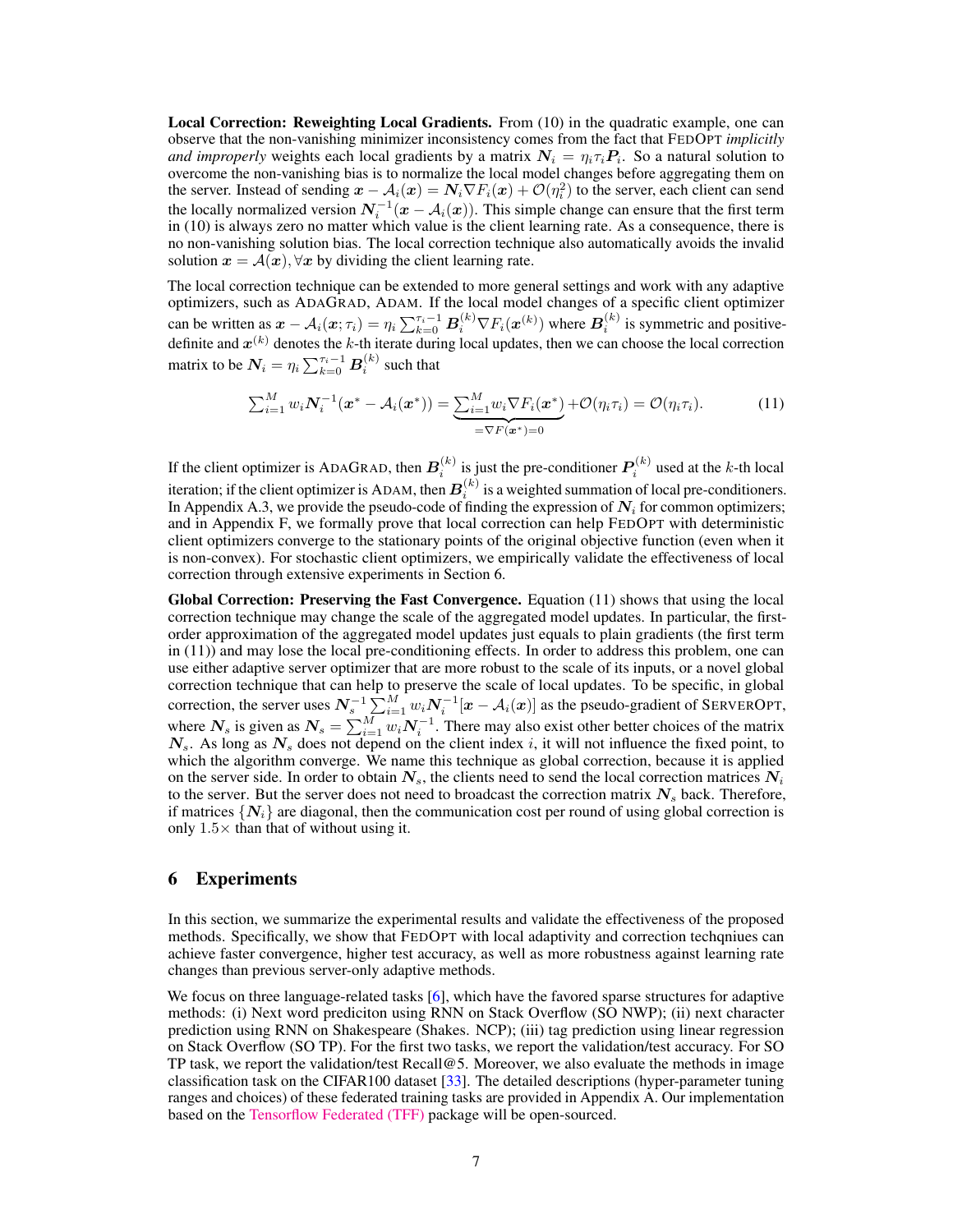Local Correction: Reweighting Local Gradients. From [\(10\)](#page-5-2) in the quadratic example, one can observe that the non-vanishing minimizer inconsistency comes from the fact that FEDOPT *implicitly and improperly* weights each local gradients by a matrix  $N_i = \eta_i \tau_i P_i$ . So a natural solution to overcome the non-vanishing bias is to normalize the local model changes before aggregating them on the server. Instead of sending  $x - A_i(x) = N_i \nabla F_i(x) + \mathcal{O}(\eta_i^2)$  to the server, each client can send the locally normalized version  $N_i^{-1}(x - A_i(x))$ . This simple change can ensure that the first term in [\(10\)](#page-5-2) is always zero no matter which value is the client learning rate. As a consequence, there is no non-vanishing solution bias. The local correction technique also automatically avoids the invalid solution  $x = A(x)$ ,  $\forall x$  by dividing the client learning rate.

The local correction technique can be extended to more general settings and work with any adaptive optimizers, such as ADAGRAD, ADAM. If the local model changes of a specific client optimizer can be written as  $x - A_i(x; \tau_i) = \eta_i \sum_{k=0}^{\tau_i-1} B_i^{(k)} \nabla F_i(x^{(k)})$  where  $B_i^{(k)}$  is symmetric and positivedefinite and  $x^{(k)}$  denotes the k-th iterate during local updates, then we can choose the local correction matrix to be  $\textbf{\emph{N}}_{i}=\eta_{i}\sum_{k=0}^{\tau_{i}-1}\textbf{\emph{B}}_{i}^{(k)}$  such that

<span id="page-6-1"></span>
$$
\sum_{i=1}^{M} w_i \mathbf{N}_i^{-1} (\boldsymbol{x}^* - \mathcal{A}_i (\boldsymbol{x}^*)) = \underbrace{\sum_{i=1}^{M} w_i \nabla F_i (\boldsymbol{x}^*)}_{=\nabla F (\boldsymbol{x}^*) = 0} + \mathcal{O}(\eta_i \tau_i) = \mathcal{O}(\eta_i \tau_i).
$$
(11)

If the client optimizer is ADAGRAD, then  $B_i^{(k)}$  is just the pre-conditioner  $P_i^{(k)}$  used at the k-th local iteration; if the client optimizer is ADAM, then  $\bm{B}_i^{(k)}$  is a weighted summation of local pre-conditioners. In Appendix [A.3,](#page-12-0) we provide the pseudo-code of finding the expression of  $N_i$  for common optimizers; and in Appendix [F,](#page-20-1) we formally prove that local correction can help FEDOPT with deterministic client optimizers converge to the stationary points of the original objective function (even when it is non-convex). For stochastic client optimizers, we empirically validate the effectiveness of local correction through extensive experiments in Section [6.](#page-6-0)

Global Correction: Preserving the Fast Convergence. Equation [\(11\)](#page-6-1) shows that using the local correction technique may change the scale of the aggregated model updates. In particular, the firstorder approximation of the aggregated model updates just equals to plain gradients (the first term in [\(11\)](#page-6-1)) and may lose the local pre-conditioning effects. In order to address this problem, one can use either adaptive server optimizer that are more robust to the scale of its inputs, or a novel global correction technique that can help to preserve the scale of local updates. To be specific, in global correction, the server uses  $N_s^{-1} \sum_{i=1}^{M} w_i N_i^{-1} [x - A_i(x)]$  as the pseudo-gradient of SERVEROPT, where  $N_s$  is given as  $N_s = \sum_{i=1}^{M} w_i N_i^{-1}$ . There may also exist other better choices of the matrix  $N_s$ . As long as  $N_s$  does not depend on the client index i, it will not influence the fixed point, to which the algorithm converge. We name this technique as global correction, because it is applied on the server side. In order to obtain  $N_s$ , the clients need to send the local correction matrices  $N_i$ to the server. But the server does not need to broadcast the correction matrix  $N<sub>s</sub>$  back. Therefore, if matrices  $\{N_i\}$  are diagonal, then the communication cost per round of using global correction is only  $1.5\times$  than that of without using it.

#### <span id="page-6-0"></span>6 Experiments

In this section, we summarize the experimental results and validate the effectiveness of the proposed methods. Specifically, we show that FEDOPT with local adaptivity and correction techqniues can achieve faster convergence, higher test accuracy, as well as more robustness against learning rate changes than previous server-only adaptive methods.

We focus on three language-related tasks [\[6\]](#page-9-4), which have the favored sparse structures for adaptive methods: (i) Next word prediciton using RNN on Stack Overflow (SO NWP); (ii) next character prediction using RNN on Shakespeare (Shakes. NCP); (iii) tag prediction using linear regression on Stack Overflow (SO TP). For the first two tasks, we report the validation/test accuracy. For SO TP task, we report the validation/test Recall  $@5$ . Moreover, we also evaluate the methods in image classification task on the CIFAR100 dataset [\[33\]](#page-10-15). The detailed descriptions (hyper-parameter tuning ranges and choices) of these federated training tasks are provided in Appendix [A.](#page-12-1) Our implementation based on the [Tensorflow Federated \(TFF\)](https://github.com/tensorflow/federated) package will be open-sourced.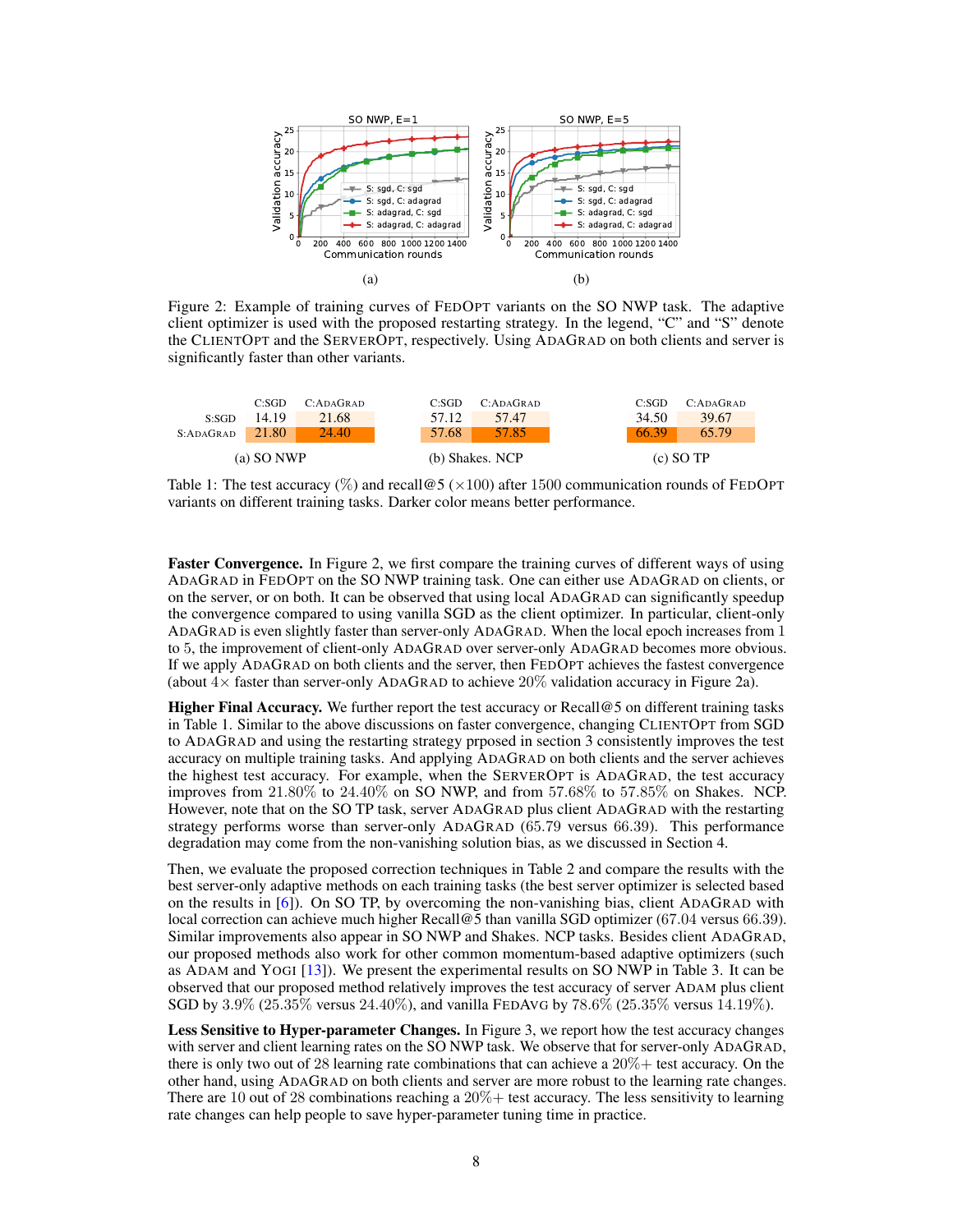<span id="page-7-0"></span>

Figure 2: Example of training curves of FEDOPT variants on the SO NWP task. The adaptive client optimizer is used with the proposed restarting strategy. In the legend, "C" and "S" denote the CLIENTOPT and the SERVEROPT, respectively. Using ADAGRAD on both clients and server is significantly faster than other variants.

<span id="page-7-1"></span>

Table 1: The test accuracy (%) and recall  $\textcircled{5}$  ( $\times$ 100) after 1500 communication rounds of FEDOPT variants on different training tasks. Darker color means better performance.

Faster Convergence. In Figure [2,](#page-7-0) we first compare the training curves of different ways of using ADAGRAD in FEDOPT on the SO NWP training task. One can either use ADAGRAD on clients, or on the server, or on both. It can be observed that using local ADAGRAD can significantly speedup the convergence compared to using vanilla SGD as the client optimizer. In particular, client-only ADAGRAD is even slightly faster than server-only ADAGRAD. When the local epoch increases from 1 to 5, the improvement of client-only ADAGRAD over server-only ADAGRAD becomes more obvious. If we apply ADAGRAD on both clients and the server, then FEDOPT achieves the fastest convergence (about  $4\times$  faster than server-only ADAGRAD to achieve  $20\%$  validation accuracy in Figure [2a](#page-7-0)).

Higher Final Accuracy. We further report the test accuracy or Recall@5 on different training tasks in Table [1.](#page-7-1) Similar to the above discussions on faster convergence, changing CLIENTOPT from SGD to ADAGRAD and using the restarting strategy prposed in section [3](#page-3-1) consistently improves the test accuracy on multiple training tasks. And applying ADAGRAD on both clients and the server achieves the highest test accuracy. For example, when the SERVEROPT is ADAGRAD, the test accuracy improves from 21.80% to 24.40% on SO NWP, and from 57.68% to 57.85% on Shakes. NCP. However, note that on the SO TP task, server ADAGRAD plus client ADAGRAD with the restarting strategy performs worse than server-only ADAGRAD (65.79 versus 66.39). This performance degradation may come from the non-vanishing solution bias, as we discussed in Section [4.](#page-3-0)

Then, we evaluate the proposed correction techniques in Table [2](#page-8-0) and compare the results with the best server-only adaptive methods on each training tasks (the best server optimizer is selected based on the results in [\[6\]](#page-9-4)). On SO TP, by overcoming the non-vanishing bias, client ADAGRAD with local correction can achieve much higher Recall@5 than vanilla SGD optimizer (67.04 versus 66.39). Similar improvements also appear in SO NWP and Shakes. NCP tasks. Besides client ADAGRAD, our proposed methods also work for other common momentum-based adaptive optimizers (such as ADAM and YOGI [\[13\]](#page-9-13)). We present the experimental results on SO NWP in Table [3.](#page-8-1) It can be observed that our proposed method relatively improves the test accuracy of server ADAM plus client SGD by 3.9% (25.35% versus 24.40%), and vanilla FEDAVG by 78.6% (25.35% versus 14.19%).

Less Sensitive to Hyper-parameter Changes. In Figure [3,](#page-8-2) we report how the test accuracy changes with server and client learning rates on the SO NWP task. We observe that for server-only ADAGRAD, there is only two out of 28 learning rate combinations that can achieve a  $20\%$  + test accuracy. On the other hand, using ADAGRAD on both clients and server are more robust to the learning rate changes. There are 10 out of 28 combinations reaching a  $20\%$  + test accuracy. The less sensitivity to learning rate changes can help people to save hyper-parameter tuning time in practice.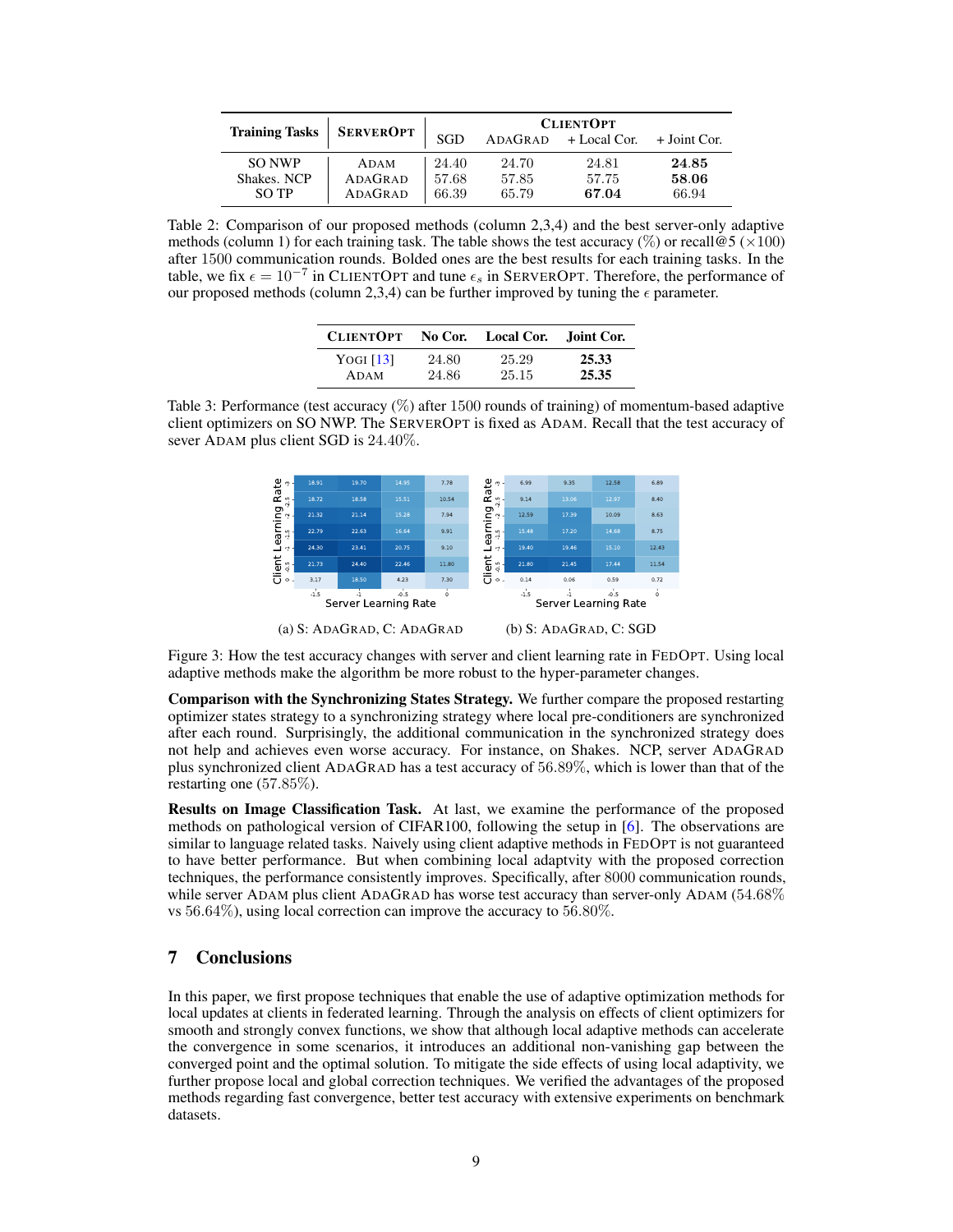<span id="page-8-0"></span>

|                       | <b>SERVEROPT</b> | <b>CLIENTOPT</b> |       |                                     |       |
|-----------------------|------------------|------------------|-------|-------------------------------------|-------|
| <b>Training Tasks</b> |                  | SGD              |       | $ADAGRAD$ + Local Cor. + Joint Cor. |       |
| SO NWP                | ADAM             | 24.40            | 24.70 | 24.81                               | 24.85 |
| Shakes, NCP           | ADAGRAD          | 57.68            | 57.85 | 57.75                               | 58.06 |
| SO TP                 | ADAGRAD          | 66.39            | 65.79 | 67.04                               | 66.94 |

Table 2: Comparison of our proposed methods (column 2,3,4) and the best server-only adaptive methods (column 1) for each training task. The table shows the test accuracy (%) or recall @5 ( $\times$ 100) after 1500 communication rounds. Bolded ones are the best results for each training tasks. In the table, we fix  $\epsilon = 10^{-7}$  in CLIENTOPT and tune  $\epsilon_s$  in SERVEROPT. Therefore, the performance of our proposed methods (column 2,3,4) can be further improved by tuning the  $\epsilon$  parameter.

| <b>CLIENTOPT</b> |       | No Cor. Local Cor. | Joint Cor. |
|------------------|-------|--------------------|------------|
| YOGI $[13]$      | 24.80 | 25.29              | 25.33      |
| ADAM             | 24.86 | 25.15              | 25.35      |

<span id="page-8-2"></span><span id="page-8-1"></span>



Figure 3: How the test accuracy changes with server and client learning rate in FEDOPT. Using local adaptive methods make the algorithm be more robust to the hyper-parameter changes.

Comparison with the Synchronizing States Strategy. We further compare the proposed restarting optimizer states strategy to a synchronizing strategy where local pre-conditioners are synchronized after each round. Surprisingly, the additional communication in the synchronized strategy does not help and achieves even worse accuracy. For instance, on Shakes. NCP, server ADAGRAD plus synchronized client ADAGRAD has a test accuracy of 56.89%, which is lower than that of the restarting one (57.85%).

Results on Image Classification Task. At last, we examine the performance of the proposed methods on pathological version of CIFAR100, following the setup in [\[6\]](#page-9-4). The observations are similar to language related tasks. Naively using client adaptive methods in FEDOPT is not guaranteed to have better performance. But when combining local adaptvity with the proposed correction techniques, the performance consistently improves. Specifically, after 8000 communication rounds, while server ADAM plus client ADAGRAD has worse test accuracy than server-only ADAM (54.68%) vs 56.64%), using local correction can improve the accuracy to 56.80%.

## 7 Conclusions

In this paper, we first propose techniques that enable the use of adaptive optimization methods for local updates at clients in federated learning. Through the analysis on effects of client optimizers for smooth and strongly convex functions, we show that although local adaptive methods can accelerate the convergence in some scenarios, it introduces an additional non-vanishing gap between the converged point and the optimal solution. To mitigate the side effects of using local adaptivity, we further propose local and global correction techniques. We verified the advantages of the proposed methods regarding fast convergence, better test accuracy with extensive experiments on benchmark datasets.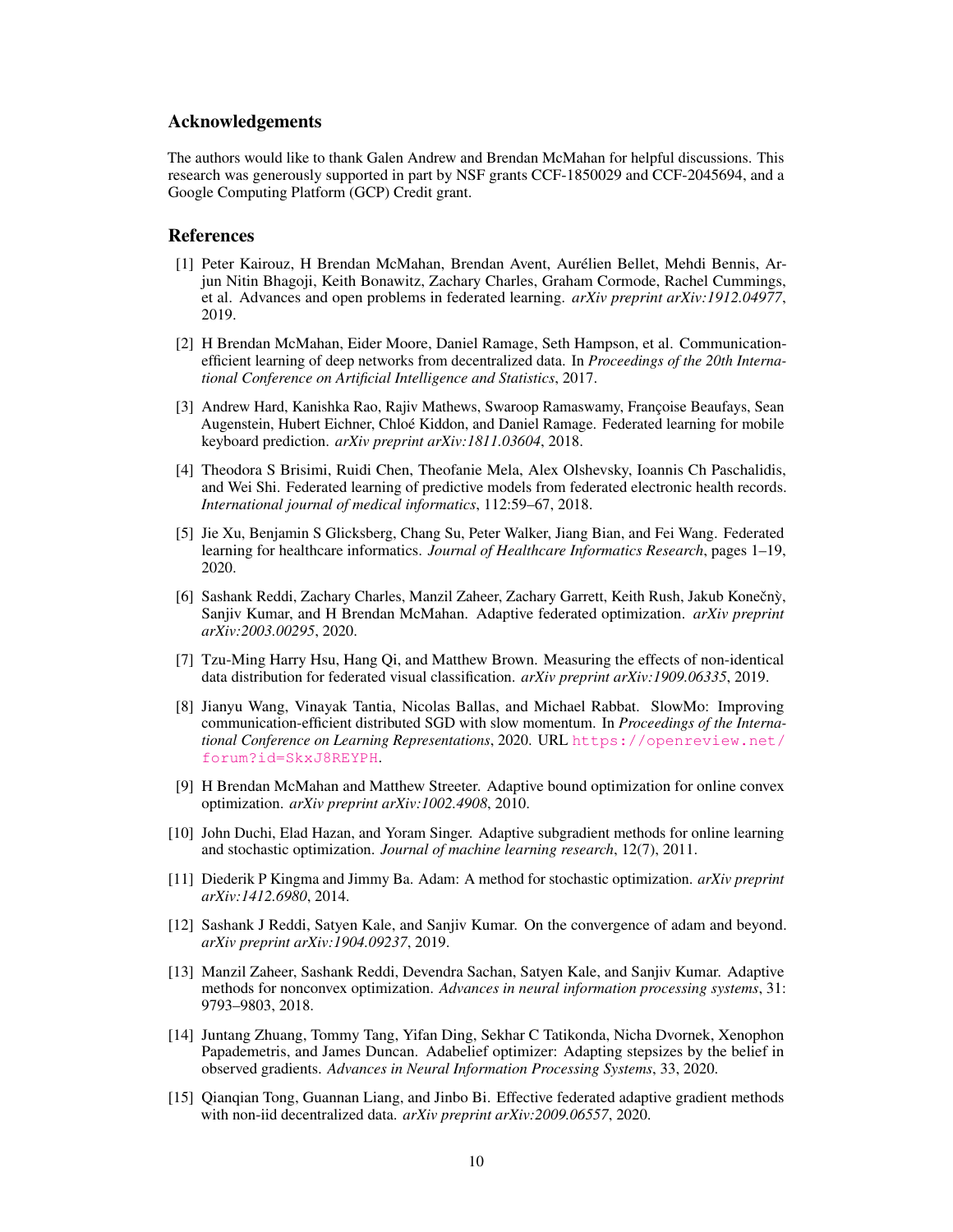## Acknowledgements

The authors would like to thank Galen Andrew and Brendan McMahan for helpful discussions. This research was generously supported in part by NSF grants CCF-1850029 and CCF-2045694, and a Google Computing Platform (GCP) Credit grant.

#### References

- <span id="page-9-0"></span>[1] Peter Kairouz, H Brendan McMahan, Brendan Avent, Aurélien Bellet, Mehdi Bennis, Arjun Nitin Bhagoji, Keith Bonawitz, Zachary Charles, Graham Cormode, Rachel Cummings, et al. Advances and open problems in federated learning. *arXiv preprint arXiv:1912.04977*, 2019.
- <span id="page-9-1"></span>[2] H Brendan McMahan, Eider Moore, Daniel Ramage, Seth Hampson, et al. Communicationefficient learning of deep networks from decentralized data. In *Proceedings of the 20th International Conference on Artificial Intelligence and Statistics*, 2017.
- <span id="page-9-2"></span>[3] Andrew Hard, Kanishka Rao, Rajiv Mathews, Swaroop Ramaswamy, Françoise Beaufays, Sean Augenstein, Hubert Eichner, Chloé Kiddon, and Daniel Ramage. Federated learning for mobile keyboard prediction. *arXiv preprint arXiv:1811.03604*, 2018.
- [4] Theodora S Brisimi, Ruidi Chen, Theofanie Mela, Alex Olshevsky, Ioannis Ch Paschalidis, and Wei Shi. Federated learning of predictive models from federated electronic health records. *International journal of medical informatics*, 112:59–67, 2018.
- <span id="page-9-3"></span>[5] Jie Xu, Benjamin S Glicksberg, Chang Su, Peter Walker, Jiang Bian, and Fei Wang. Federated learning for healthcare informatics. *Journal of Healthcare Informatics Research*, pages 1–19, 2020.
- <span id="page-9-4"></span>[6] Sashank Reddi, Zachary Charles, Manzil Zaheer, Zachary Garrett, Keith Rush, Jakub Konečný, Sanjiv Kumar, and H Brendan McMahan. Adaptive federated optimization. *arXiv preprint arXiv:2003.00295*, 2020.
- <span id="page-9-5"></span>[7] Tzu-Ming Harry Hsu, Hang Qi, and Matthew Brown. Measuring the effects of non-identical data distribution for federated visual classification. *arXiv preprint arXiv:1909.06335*, 2019.
- <span id="page-9-6"></span>[8] Jianyu Wang, Vinayak Tantia, Nicolas Ballas, and Michael Rabbat. SlowMo: Improving communication-efficient distributed SGD with slow momentum. In *Proceedings of the International Conference on Learning Representations*, 2020. URL [https://openreview.net/](https://openreview.net/forum?id=SkxJ8REYPH) [forum?id=SkxJ8REYPH](https://openreview.net/forum?id=SkxJ8REYPH).
- <span id="page-9-7"></span>[9] H Brendan McMahan and Matthew Streeter. Adaptive bound optimization for online convex optimization. *arXiv preprint arXiv:1002.4908*, 2010.
- <span id="page-9-8"></span>[10] John Duchi, Elad Hazan, and Yoram Singer. Adaptive subgradient methods for online learning and stochastic optimization. *Journal of machine learning research*, 12(7), 2011.
- <span id="page-9-9"></span>[11] Diederik P Kingma and Jimmy Ba. Adam: A method for stochastic optimization. *arXiv preprint arXiv:1412.6980*, 2014.
- <span id="page-9-10"></span>[12] Sashank J Reddi, Satyen Kale, and Sanjiv Kumar. On the convergence of adam and beyond. *arXiv preprint arXiv:1904.09237*, 2019.
- <span id="page-9-13"></span>[13] Manzil Zaheer, Sashank Reddi, Devendra Sachan, Satyen Kale, and Sanjiv Kumar. Adaptive methods for nonconvex optimization. *Advances in neural information processing systems*, 31: 9793–9803, 2018.
- <span id="page-9-11"></span>[14] Juntang Zhuang, Tommy Tang, Yifan Ding, Sekhar C Tatikonda, Nicha Dvornek, Xenophon Papademetris, and James Duncan. Adabelief optimizer: Adapting stepsizes by the belief in observed gradients. *Advances in Neural Information Processing Systems*, 33, 2020.
- <span id="page-9-12"></span>[15] Qianqian Tong, Guannan Liang, and Jinbo Bi. Effective federated adaptive gradient methods with non-iid decentralized data. *arXiv preprint arXiv:2009.06557*, 2020.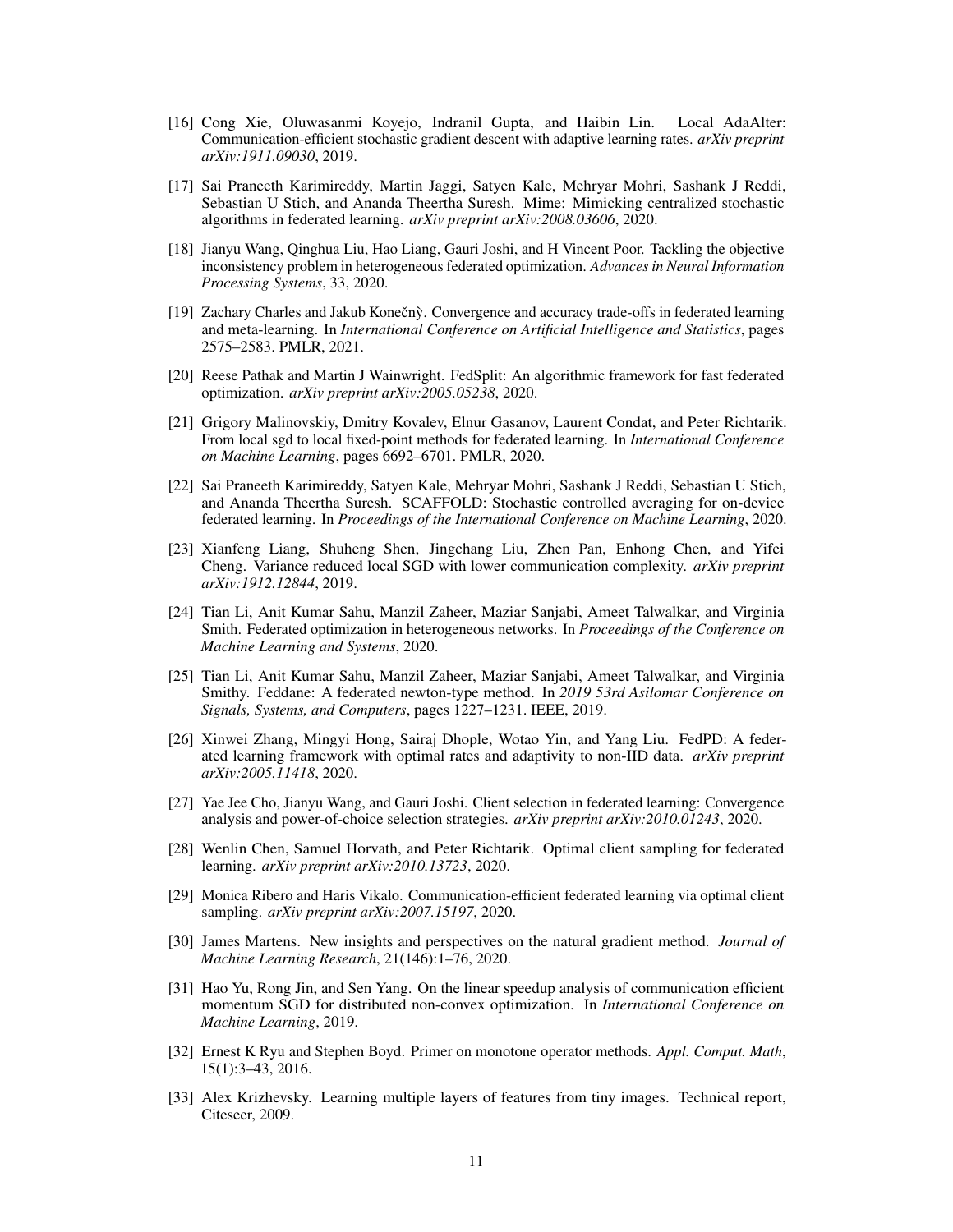- <span id="page-10-0"></span>[16] Cong Xie, Oluwasanmi Koyejo, Indranil Gupta, and Haibin Lin. Local AdaAlter: Communication-efficient stochastic gradient descent with adaptive learning rates. *arXiv preprint arXiv:1911.09030*, 2019.
- <span id="page-10-1"></span>[17] Sai Praneeth Karimireddy, Martin Jaggi, Satyen Kale, Mehryar Mohri, Sashank J Reddi, Sebastian U Stich, and Ananda Theertha Suresh. Mime: Mimicking centralized stochastic algorithms in federated learning. *arXiv preprint arXiv:2008.03606*, 2020.
- <span id="page-10-2"></span>[18] Jianyu Wang, Qinghua Liu, Hao Liang, Gauri Joshi, and H Vincent Poor. Tackling the objective inconsistency problem in heterogeneous federated optimization. *Advances in Neural Information Processing Systems*, 33, 2020.
- <span id="page-10-13"></span>[19] Zachary Charles and Jakub Konečnỳ. Convergence and accuracy trade-offs in federated learning and meta-learning. In *International Conference on Artificial Intelligence and Statistics*, pages 2575–2583. PMLR, 2021.
- <span id="page-10-14"></span>[20] Reese Pathak and Martin J Wainwright. FedSplit: An algorithmic framework for fast federated optimization. *arXiv preprint arXiv:2005.05238*, 2020.
- <span id="page-10-3"></span>[21] Grigory Malinovskiy, Dmitry Kovalev, Elnur Gasanov, Laurent Condat, and Peter Richtarik. From local sgd to local fixed-point methods for federated learning. In *International Conference on Machine Learning*, pages 6692–6701. PMLR, 2020.
- <span id="page-10-4"></span>[22] Sai Praneeth Karimireddy, Satyen Kale, Mehryar Mohri, Sashank J Reddi, Sebastian U Stich, and Ananda Theertha Suresh. SCAFFOLD: Stochastic controlled averaging for on-device federated learning. In *Proceedings of the International Conference on Machine Learning*, 2020.
- <span id="page-10-5"></span>[23] Xianfeng Liang, Shuheng Shen, Jingchang Liu, Zhen Pan, Enhong Chen, and Yifei Cheng. Variance reduced local SGD with lower communication complexity. *arXiv preprint arXiv:1912.12844*, 2019.
- <span id="page-10-6"></span>[24] Tian Li, Anit Kumar Sahu, Manzil Zaheer, Maziar Sanjabi, Ameet Talwalkar, and Virginia Smith. Federated optimization in heterogeneous networks. In *Proceedings of the Conference on Machine Learning and Systems*, 2020.
- [25] Tian Li, Anit Kumar Sahu, Manzil Zaheer, Maziar Sanjabi, Ameet Talwalkar, and Virginia Smithy. Feddane: A federated newton-type method. In *2019 53rd Asilomar Conference on Signals, Systems, and Computers*, pages 1227–1231. IEEE, 2019.
- <span id="page-10-7"></span>[26] Xinwei Zhang, Mingyi Hong, Sairaj Dhople, Wotao Yin, and Yang Liu. FedPD: A federated learning framework with optimal rates and adaptivity to non-IID data. *arXiv preprint arXiv:2005.11418*, 2020.
- <span id="page-10-8"></span>[27] Yae Jee Cho, Jianyu Wang, and Gauri Joshi. Client selection in federated learning: Convergence analysis and power-of-choice selection strategies. *arXiv preprint arXiv:2010.01243*, 2020.
- [28] Wenlin Chen, Samuel Horvath, and Peter Richtarik. Optimal client sampling for federated learning. *arXiv preprint arXiv:2010.13723*, 2020.
- <span id="page-10-9"></span>[29] Monica Ribero and Haris Vikalo. Communication-efficient federated learning via optimal client sampling. *arXiv preprint arXiv:2007.15197*, 2020.
- <span id="page-10-10"></span>[30] James Martens. New insights and perspectives on the natural gradient method. *Journal of Machine Learning Research*, 21(146):1–76, 2020.
- <span id="page-10-11"></span>[31] Hao Yu, Rong Jin, and Sen Yang. On the linear speedup analysis of communication efficient momentum SGD for distributed non-convex optimization. In *International Conference on Machine Learning*, 2019.
- <span id="page-10-12"></span>[32] Ernest K Ryu and Stephen Boyd. Primer on monotone operator methods. *Appl. Comput. Math*, 15(1):3–43, 2016.
- <span id="page-10-15"></span>[33] Alex Krizhevsky. Learning multiple layers of features from tiny images. Technical report, Citeseer, 2009.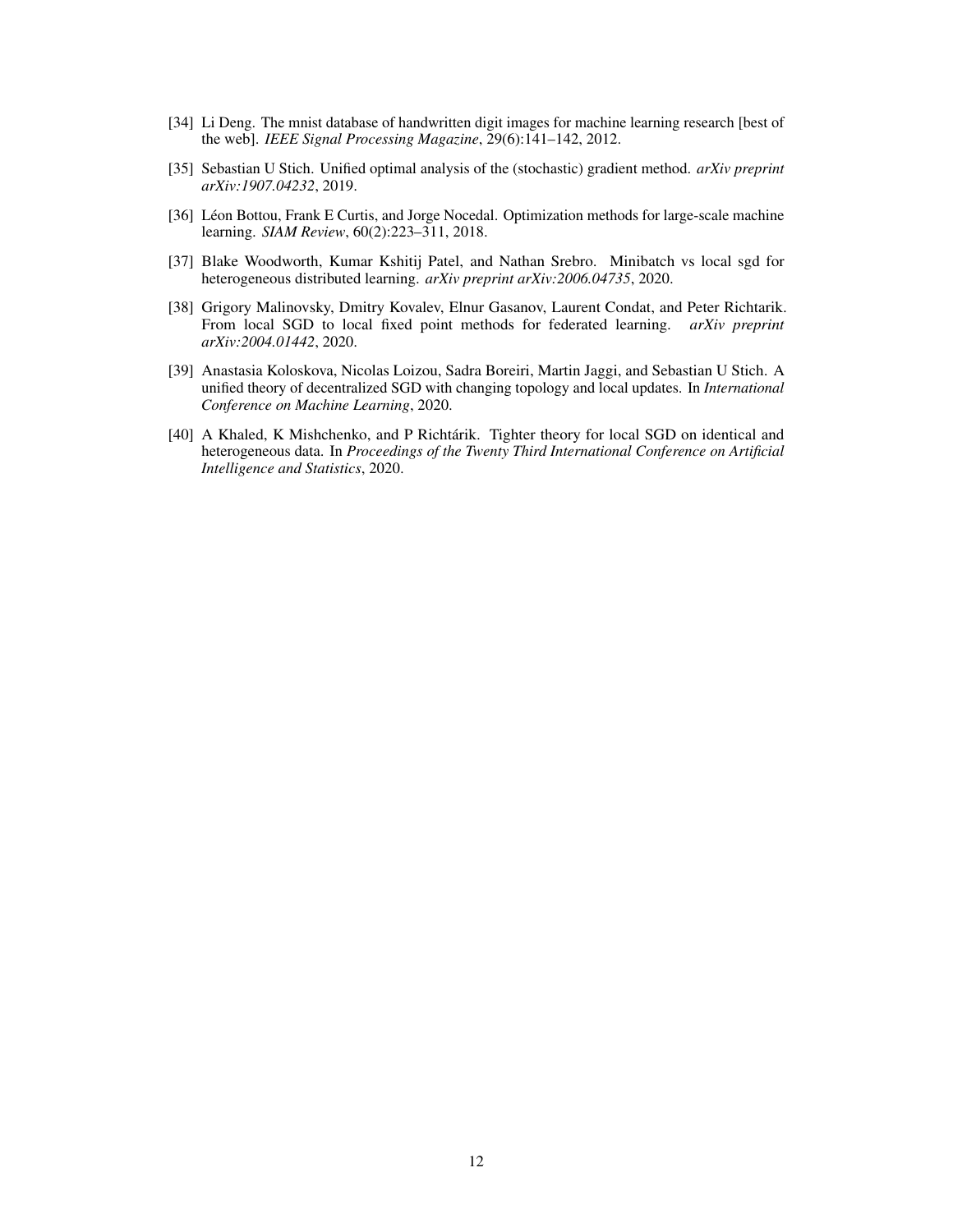- <span id="page-11-0"></span>[34] Li Deng. The mnist database of handwritten digit images for machine learning research [best of the web]. *IEEE Signal Processing Magazine*, 29(6):141–142, 2012.
- <span id="page-11-1"></span>[35] Sebastian U Stich. Unified optimal analysis of the (stochastic) gradient method. *arXiv preprint arXiv:1907.04232*, 2019.
- <span id="page-11-2"></span>[36] Léon Bottou, Frank E Curtis, and Jorge Nocedal. Optimization methods for large-scale machine learning. *SIAM Review*, 60(2):223–311, 2018.
- <span id="page-11-3"></span>[37] Blake Woodworth, Kumar Kshitij Patel, and Nathan Srebro. Minibatch vs local sgd for heterogeneous distributed learning. *arXiv preprint arXiv:2006.04735*, 2020.
- <span id="page-11-4"></span>[38] Grigory Malinovsky, Dmitry Kovalev, Elnur Gasanov, Laurent Condat, and Peter Richtarik. From local SGD to local fixed point methods for federated learning. *arXiv preprint arXiv:2004.01442*, 2020.
- <span id="page-11-5"></span>[39] Anastasia Koloskova, Nicolas Loizou, Sadra Boreiri, Martin Jaggi, and Sebastian U Stich. A unified theory of decentralized SGD with changing topology and local updates. In *International Conference on Machine Learning*, 2020.
- <span id="page-11-6"></span>[40] A Khaled, K Mishchenko, and P Richtárik. Tighter theory for local SGD on identical and heterogeneous data. In *Proceedings of the Twenty Third International Conference on Artificial Intelligence and Statistics*, 2020.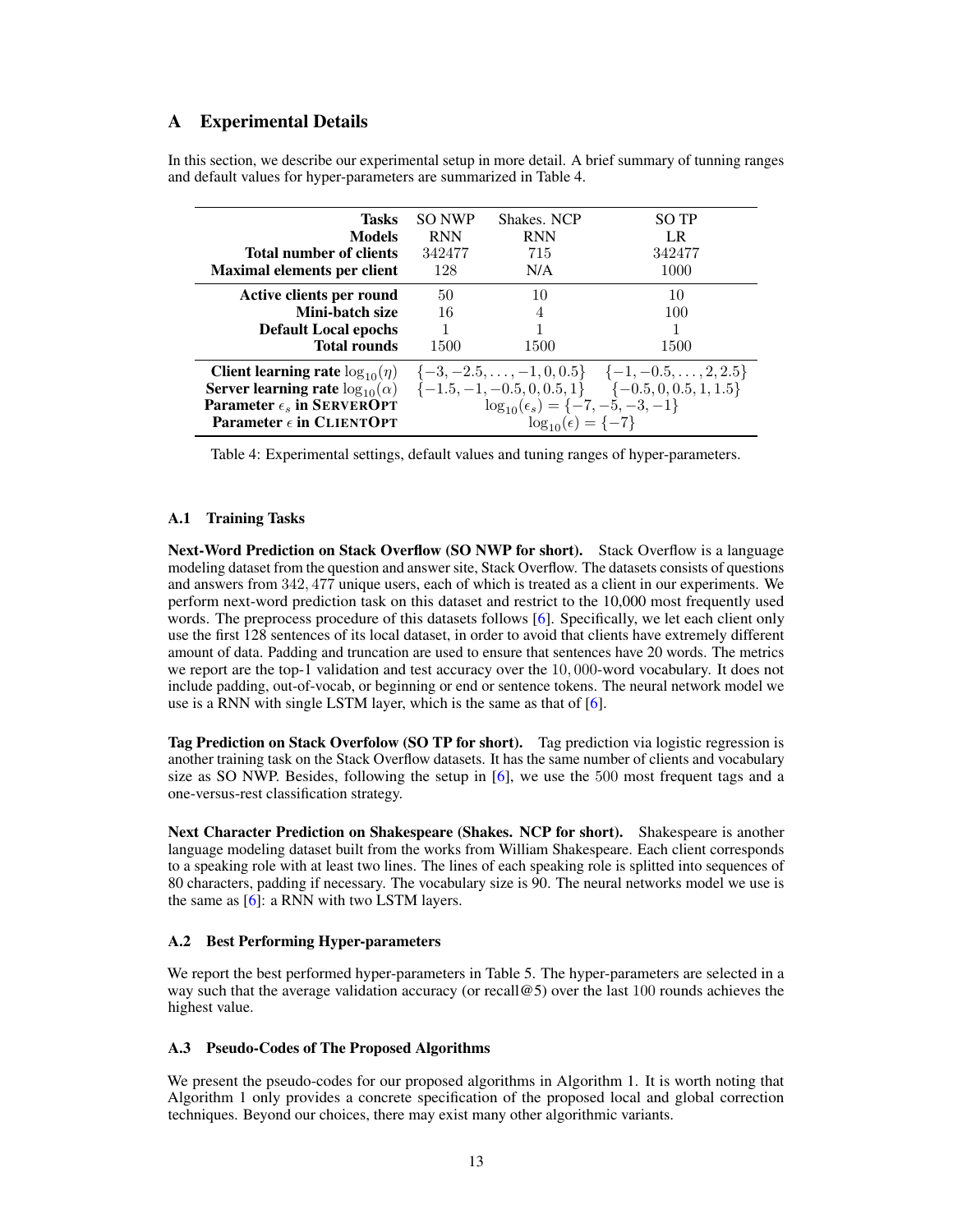# <span id="page-12-1"></span>A Experimental Details

<span id="page-12-2"></span>

| Tasks<br><b>Models</b><br>Total number of clients<br><b>Maximal elements per client</b>                                                                                    | SO NWP<br><b>RNN</b><br>342477<br>128 | Shakes. NCP<br><b>RNN</b><br>715<br>N/A                                        | <b>SO TP</b><br>LR<br>342477<br>1000                                                                                            |
|----------------------------------------------------------------------------------------------------------------------------------------------------------------------------|---------------------------------------|--------------------------------------------------------------------------------|---------------------------------------------------------------------------------------------------------------------------------|
| Active clients per round<br>Mini-batch size<br><b>Default Local epochs</b><br><b>Total rounds</b>                                                                          | 50<br>16<br>1500                      | 10<br>4<br>1500                                                                | 10<br>100<br>1500                                                                                                               |
| <b>Client learning rate</b> $log_{10}(\eta)$<br><b>Server learning rate</b> $log_{10}(\alpha)$<br>Parameter $\epsilon_s$ in SERVEROPT<br>Parameter $\epsilon$ in CLIENTOPT |                                       | $\log_{10}(\epsilon_s) = \{-7, -5, -3, -1\}$<br>$\log_{10}(\epsilon) = \{-7\}$ | $\{-3, -2.5, \ldots, -1, 0, 0.5\}$ $\{-1, -0.5, \ldots, 2, 2.5\}$<br>$\{-1.5, -1, -0.5, 0, 0.5, 1\}$ $\{-0.5, 0, 0.5, 1, 1.5\}$ |

In this section, we describe our experimental setup in more detail. A brief summary of tunning ranges and default values for hyper-parameters are summarized in Table [4.](#page-12-2)

Table 4: Experimental settings, default values and tuning ranges of hyper-parameters.

## A.1 Training Tasks

Next-Word Prediction on Stack Overflow (SO NWP for short). Stack Overflow is a language modeling dataset from the question and answer site, Stack Overflow. The datasets consists of questions and answers from 342, 477 unique users, each of which is treated as a client in our experiments. We perform next-word prediction task on this dataset and restrict to the 10,000 most frequently used words. The preprocess procedure of this datasets follows [\[6\]](#page-9-4). Specifically, we let each client only use the first 128 sentences of its local dataset, in order to avoid that clients have extremely different amount of data. Padding and truncation are used to ensure that sentences have 20 words. The metrics we report are the top-1 validation and test accuracy over the 10, 000-word vocabulary. It does not include padding, out-of-vocab, or beginning or end or sentence tokens. The neural network model we use is a RNN with single LSTM layer, which is the same as that of [\[6\]](#page-9-4).

Tag Prediction on Stack Overfolow (SO TP for short). Tag prediction via logistic regression is another training task on the Stack Overflow datasets. It has the same number of clients and vocabulary size as SO NWP. Besides, following the setup in [\[6\]](#page-9-4), we use the 500 most frequent tags and a one-versus-rest classification strategy.

Next Character Prediction on Shakespeare (Shakes. NCP for short). Shakespeare is another language modeling dataset built from the works from William Shakespeare. Each client corresponds to a speaking role with at least two lines. The lines of each speaking role is splitted into sequences of 80 characters, padding if necessary. The vocabulary size is 90. The neural networks model we use is the same as  $[6]$ : a RNN with two LSTM layers.

## A.2 Best Performing Hyper-parameters

We report the best performed hyper-parameters in Table [5.](#page-13-1) The hyper-parameters are selected in a way such that the average validation accuracy (or recall@5) over the last 100 rounds achieves the highest value.

## <span id="page-12-0"></span>A.3 Pseudo-Codes of The Proposed Algorithms

We present the pseudo-codes for our proposed algorithms in Algorithm [1.](#page-13-2) It is worth noting that Algorithm [1](#page-13-2) only provides a concrete specification of the proposed local and global correction techniques. Beyond our choices, there may exist many other algorithmic variants.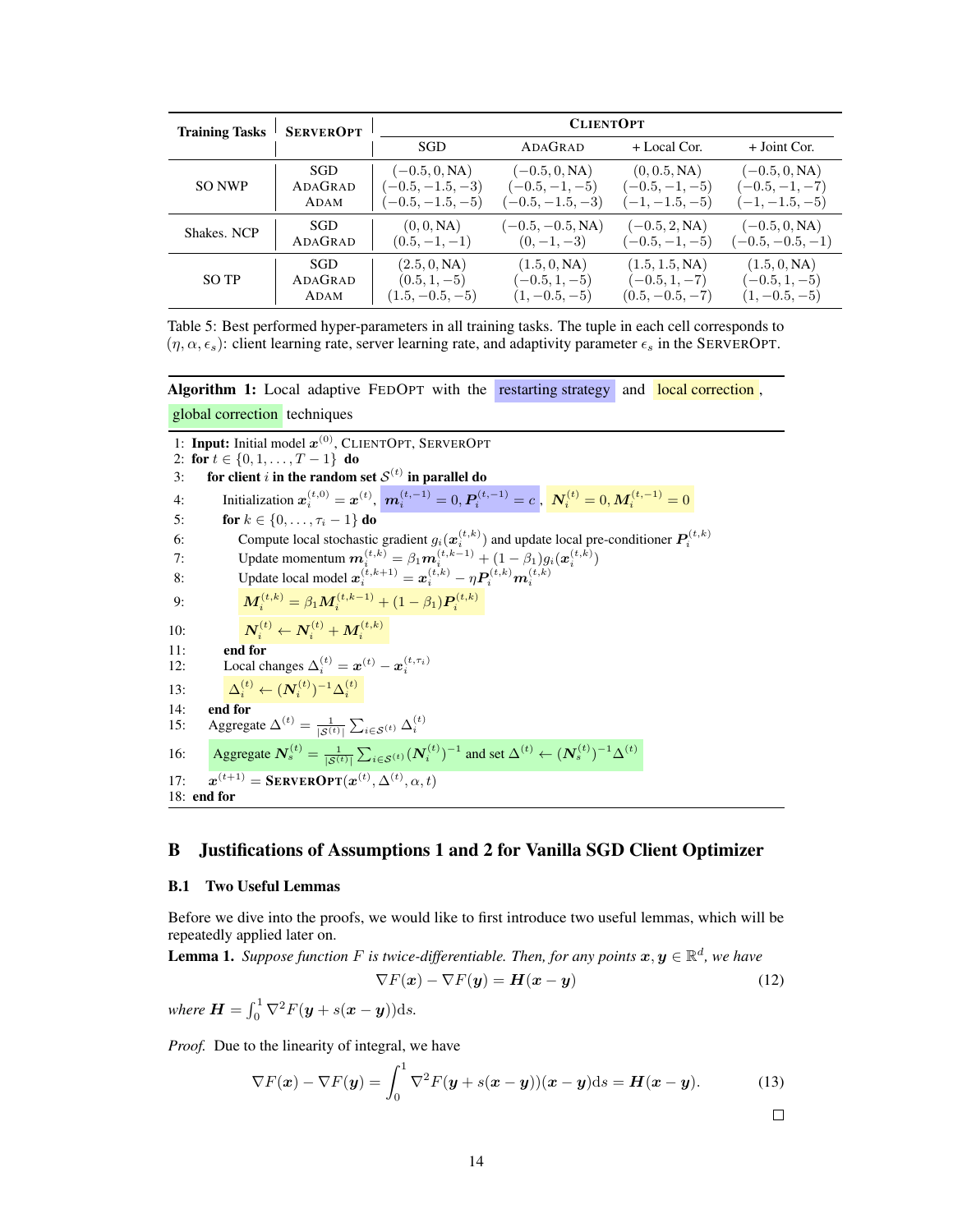<span id="page-13-1"></span>

| <b>Training Tasks</b> | <b>SERVEROPT</b> | <b>CLIENTOPT</b>   |                    |                   |                    |
|-----------------------|------------------|--------------------|--------------------|-------------------|--------------------|
|                       |                  | <b>SGD</b>         | ADAGRAD            | $+$ Local Cor.    | $+$ Joint Cor.     |
| <b>SO NWP</b>         | SGD              | $(-0.5, 0, NA)$    | $(-0.5, 0, NA)$    | (0, 0.5, NA)      | $(-0.5, 0, NA)$    |
|                       | ADAGRAD          | $(-0.5, -1.5, -3)$ | $(-0.5, -1, -5)$   | $(-0.5, -1, -5)$  | $(-0.5, -1, -7)$   |
|                       | ADAM             | $(-0.5, -1.5, -5)$ | $(-0.5, -1.5, -3)$ | $(-1, -1.5, -5)$  | $(-1, -1.5, -5)$   |
| Shakes, NCP           | <b>SGD</b>       | (0, 0, NA)         | $(-0.5, -0.5, NA)$ | $(-0.5, 2, NA)$   | $(-0.5, 0, NA)$    |
|                       | ADAGRAD          | $(0.5, -1, -1)$    | $(0,-1,-3)$        | $(-0.5, -1, -5)$  | $(-0.5, -0.5, -1)$ |
| SO TP                 | SGD              | (2.5, 0, NA)       | (1.5, 0, NA)       | (1.5, 1.5, NA)    | (1.5, 0, NA)       |
|                       | ADAGRAD          | $(0.5, 1, -5)$     | $(-0.5, 1, -5)$    | $(-0.5, 1, -7)$   | $(-0.5, 1, -5)$    |
|                       | ADAM             | $(1.5, -0.5, -5)$  | $(1, -0.5, -5)$    | $(0.5, -0.5, -7)$ | $(1, -0.5, -5)$    |

Table 5: Best performed hyper-parameters in all training tasks. The tuple in each cell corresponds to  $(\eta, \alpha, \epsilon_s)$ : client learning rate, server learning rate, and adaptivity parameter  $\epsilon_s$  in the SERVEROPT.

Algorithm 1: Local adaptive FEDOPT with the restarting strategy and local correction,

global correction techniques

1: Input: Initial model  $x^{(0)}$ , CLIENTOPT, SERVEROPT 2: for  $t \in \{0, 1, \ldots, T-1\}$  do 3: for client i in the random set  $\mathcal{S}^{(t)}$  in parallel do 4: Initialization  $x_i^{(t,0)} = x^{(t)}$ ,  $m_i^{(t,-1)} = 0$ ,  $P_i^{(t,-1)} = c$ ,  $N_i^{(t)} = 0$ ,  $M_i^{(t,-1)} = 0$ 5: **for**  $k \in \{0, ..., \tau_i - 1\}$  do 6: Compute local stochastic gradient  $g_i(\boldsymbol{x}_i^{(t,k)})$  and update local pre-conditioner  $\boldsymbol{P}_i^{(t,k)}$ <br>7: Update momentum  $\boldsymbol{m}_i^{(t,k)} = \beta_1 \boldsymbol{m}_i^{(t,k-1)} + (1 - \beta_1) g_i(\boldsymbol{x}_i^{(t,k)})$ 8: Update local model  $x_i^{(t,k+1)} = x_i^{(t,k)} - \eta P_i^{(t,k)} m_i^{(t,k)}$ 9:  $\mathbf{M}_i^{(t,k)} = \beta_1 \mathbf{M}_i^{(t,k-1)} + (1 - \beta_1) \mathbf{P}_i^{(t,k)}$ 10:  $N_i^{(t)} \leftarrow N_i^{(t)} + M_i^{(t,k)}$ 11: **end for**<br>12: Local cl 12: Local changes  $\Delta_i^{(t)} = \boldsymbol{x}^{(t)} - \boldsymbol{x}_i^{(t,\tau_i)}$ 13:  $\Delta_i^{(t)} \leftarrow (N_i^{(t)})^{-1} \Delta_i^{(t)}$ 14: end for 15: Aggregate  $\Delta^{(t)} = \frac{1}{|\mathcal{S}^{(t)}|} \sum_{i \in \mathcal{S}^{(t)}} \Delta_i^{(t)}$ 16: Aggregate  $N_s^{(t)} = \frac{1}{|S^{(t)}|} \sum_{i \in S^{(t)}} (N_i^{(t)})^{-1}$  and set  $\Delta^{(t)} \leftarrow (N_s^{(t)})^{-1} \Delta^{(t)}$  $17:$  $\mathbf{S}^{(t+1)} = \textbf{S}$ erver $\textbf{OPT}(\boldsymbol{x}^{(t)}, \Delta^{(t)}, \alpha, t)$ 18: end for

# <span id="page-13-2"></span><span id="page-13-0"></span>B Justifications of Assumptions [1](#page-4-0) and [2](#page-4-1) for Vanilla SGD Client Optimizer

#### B.1 Two Useful Lemmas

Before we dive into the proofs, we would like to first introduce two useful lemmas, which will be repeatedly applied later on.

**Lemma 1.** Suppose function F is twice-differentiable. Then, for any points  $x, y \in \mathbb{R}^d$ , we have

$$
\nabla F(\mathbf{x}) - \nabla F(\mathbf{y}) = \mathbf{H}(\mathbf{x} - \mathbf{y})
$$
 (12)

where  $\boldsymbol{H} = \int_0^1 \nabla^2 F(\boldsymbol{y} + s(\boldsymbol{x} - \boldsymbol{y})) \mathrm{d}s$ .

*Proof.* Due to the linearity of integral, we have

$$
\nabla F(\boldsymbol{x}) - \nabla F(\boldsymbol{y}) = \int_0^1 \nabla^2 F(\boldsymbol{y} + s(\boldsymbol{x} - \boldsymbol{y}))(\boldsymbol{x} - \boldsymbol{y}) ds = \boldsymbol{H}(\boldsymbol{x} - \boldsymbol{y}). \tag{13}
$$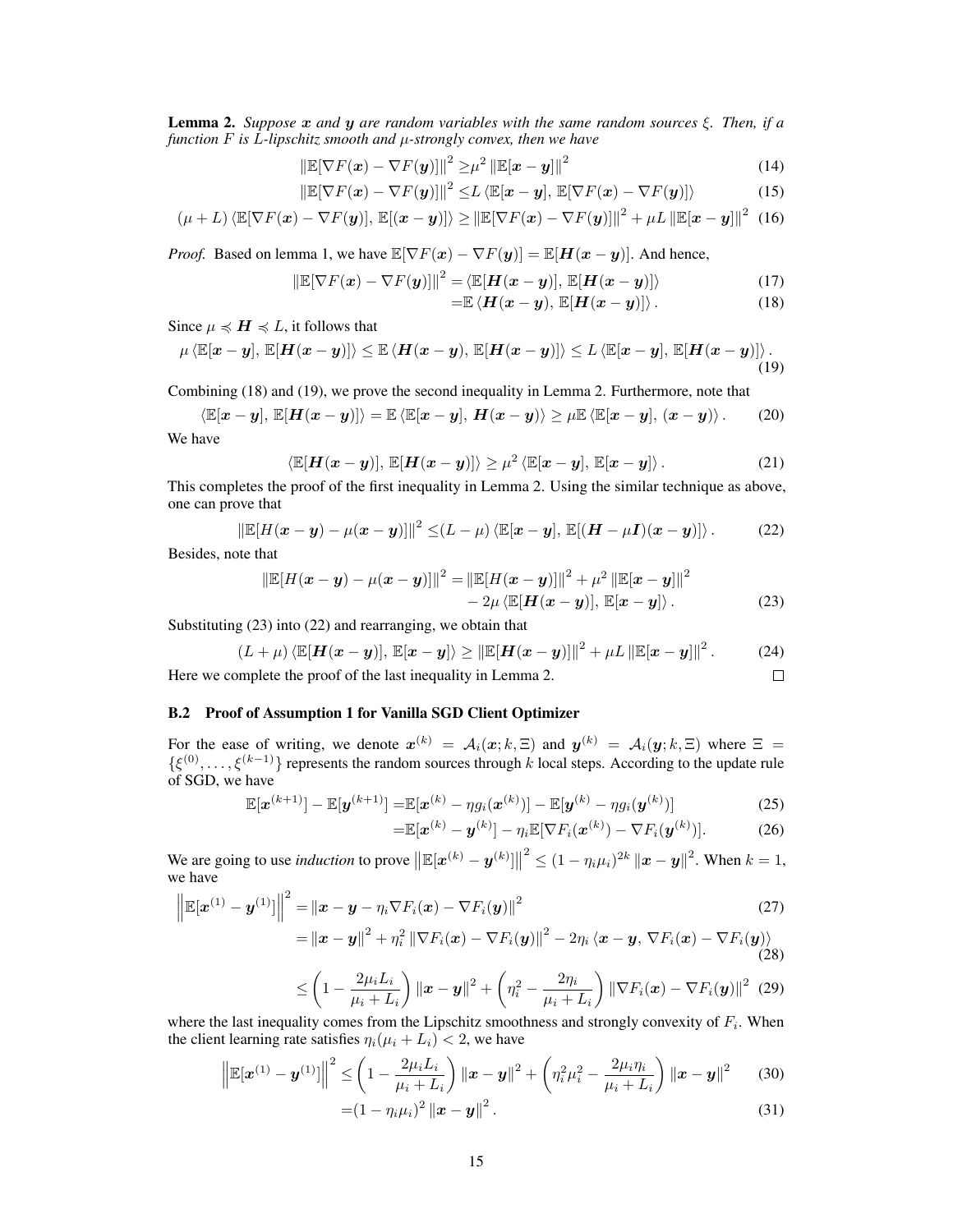Lemma 2. *Suppose* x *and* y *are random variables with the same random sources* ξ*. Then, if a function* F *is* L*-lipschitz smooth and* µ*-strongly convex, then we have*

$$
\left\|\mathbb{E}[\nabla F(\boldsymbol{x}) - \nabla F(\boldsymbol{y})]\right\|^2 \geq \mu^2 \left\|\mathbb{E}[\boldsymbol{x} - \boldsymbol{y}]\right\|^2 \tag{14}
$$

$$
\left\|\mathbb{E}[\nabla F(\boldsymbol{x}) - \nabla F(\boldsymbol{y})]\right\|^2 \le L \left\langle \mathbb{E}[\boldsymbol{x} - \boldsymbol{y}], \, \mathbb{E}[\nabla F(\boldsymbol{x}) - \nabla F(\boldsymbol{y})]\right\rangle \tag{15}
$$

$$
(\mu + L) \langle \mathbb{E}[\nabla F(\boldsymbol{x}) - \nabla F(\boldsymbol{y})], \mathbb{E}[(\boldsymbol{x} - \boldsymbol{y})] \rangle \ge ||\mathbb{E}[\nabla F(\boldsymbol{x}) - \nabla F(\boldsymbol{y})]||^2 + \mu L ||\mathbb{E}[\boldsymbol{x} - \boldsymbol{y}]||^2
$$
 (16)

*Proof.* Based on lemma 1, we have  $\mathbb{E}[\nabla F(x) - \nabla F(y)] = \mathbb{E}[H(x - y)]$ . And hence,

$$
\|\mathbb{E}[\nabla F(\boldsymbol{x}) - \nabla F(\boldsymbol{y})]\|^2 = \langle \mathbb{E}[\boldsymbol{H}(\boldsymbol{x} - \boldsymbol{y})], \mathbb{E}[\boldsymbol{H}(\boldsymbol{x} - \boldsymbol{y})]\rangle \tag{17}
$$

<span id="page-14-6"></span><span id="page-14-5"></span><span id="page-14-4"></span><span id="page-14-0"></span>
$$
=\mathbb{E}\left\langle H(x-y),\,\mathbb{E}[H(x-y)]\right\rangle. \tag{18}
$$

Since  $\mu \preccurlyeq H \preccurlyeq L$ , it follows that

$$
\mu \langle \mathbb{E}[\boldsymbol{x}-\boldsymbol{y}], \mathbb{E}[\boldsymbol{H}(\boldsymbol{x}-\boldsymbol{y})]\rangle \leq \mathbb{E} \langle \boldsymbol{H}(\boldsymbol{x}-\boldsymbol{y}), \mathbb{E}[\boldsymbol{H}(\boldsymbol{x}-\boldsymbol{y})]\rangle \leq L \langle \mathbb{E}[\boldsymbol{x}-\boldsymbol{y}], \mathbb{E}[\boldsymbol{H}(\boldsymbol{x}-\boldsymbol{y})]\rangle. \tag{19}
$$

Combining [\(18\)](#page-14-0) and [\(19\)](#page-14-1), we prove the second inequality in Lemma 2. Furthermore, note that

$$
\langle \mathbb{E}[\boldsymbol{x}-\boldsymbol{y}], \mathbb{E}[\boldsymbol{H}(\boldsymbol{x}-\boldsymbol{y})]\rangle = \mathbb{E} \langle \mathbb{E}[\boldsymbol{x}-\boldsymbol{y}], \boldsymbol{H}(\boldsymbol{x}-\boldsymbol{y})\rangle \geq \mu \mathbb{E} \langle \mathbb{E}[\boldsymbol{x}-\boldsymbol{y}], (\boldsymbol{x}-\boldsymbol{y})\rangle. \tag{20}
$$

We have

$$
\langle \mathbb{E}[\boldsymbol{H}(\boldsymbol{x}-\boldsymbol{y})], \, \mathbb{E}[\boldsymbol{H}(\boldsymbol{x}-\boldsymbol{y})] \rangle \geq \mu^2 \langle \mathbb{E}[\boldsymbol{x}-\boldsymbol{y}], \, \mathbb{E}[\boldsymbol{x}-\boldsymbol{y}] \rangle. \tag{21}
$$

This completes the proof of the first inequality in Lemma 2. Using the similar technique as above, one can prove that

$$
\left\|\mathbb{E}[H(\boldsymbol{x}-\boldsymbol{y})-\mu(\boldsymbol{x}-\boldsymbol{y})]\right\|^2 \leq (L-\mu)\left\langle \mathbb{E}[\boldsymbol{x}-\boldsymbol{y}],\,\mathbb{E}[(\boldsymbol{H}-\mu\boldsymbol{I})(\boldsymbol{x}-\boldsymbol{y})]\right\rangle. \tag{22}
$$

Besides, note that

$$
\|\mathbb{E}[H(\boldsymbol{x}-\boldsymbol{y})-\mu(\boldsymbol{x}-\boldsymbol{y})]\|^2 = \|\mathbb{E}[H(\boldsymbol{x}-\boldsymbol{y})]\|^2 + \mu^2 \|\mathbb{E}[\boldsymbol{x}-\boldsymbol{y}]\|^2 - 2\mu \langle \mathbb{E}[\boldsymbol{H}(\boldsymbol{x}-\boldsymbol{y})], \mathbb{E}[\boldsymbol{x}-\boldsymbol{y}]\rangle.
$$
 (23)

Substituting [\(23\)](#page-14-2) into [\(22\)](#page-14-3) and rearranging, we obtain that

$$
(L+\mu)\langle \mathbb{E}[\boldsymbol{H}(\boldsymbol{x}-\boldsymbol{y})], \mathbb{E}[\boldsymbol{x}-\boldsymbol{y}]\rangle \geq ||\mathbb{E}[\boldsymbol{H}(\boldsymbol{x}-\boldsymbol{y})]||^2 + \mu L ||\mathbb{E}[\boldsymbol{x}-\boldsymbol{y}]||^2. \tag{24}
$$

Here we complete the proof of the last inequality in Lemma 2.

#### B.2 Proof of Assumption 1 for Vanilla SGD Client Optimizer

For the ease of writing, we denote  $x^{(k)} = A_i(x; k, \Xi)$  and  $y^{(k)} = A_i(y; k, \Xi)$  where  $\Xi =$  $\{\xi^{(0)}, \ldots, \xi^{(k-1)}\}$  represents the random sources through k local steps. According to the update rule of SGD, we have

$$
\mathbb{E}[\boldsymbol{x}^{(k+1)}] - \mathbb{E}[\boldsymbol{y}^{(k+1)}] = \mathbb{E}[\boldsymbol{x}^{(k)} - \eta g_i(\boldsymbol{x}^{(k)})] - \mathbb{E}[\boldsymbol{y}^{(k)} - \eta g_i(\boldsymbol{y}^{(k)})]
$$
(25)

$$
=\mathbb{E}[\boldsymbol{x}^{(k)}-\boldsymbol{y}^{(k)}]-\eta_i\mathbb{E}[\nabla F_i(\boldsymbol{x}^{(k)})-\nabla F_i(\boldsymbol{y}^{(k)})].
$$
 (26)

<span id="page-14-3"></span><span id="page-14-2"></span><span id="page-14-1"></span> $\Box$ 

We are going to use *induction* to prove  $\|\mathbb{E}[x^{(k)} - y^{(k)}]\|$  $2^{2} \leq (1 - \eta_{i} \mu_{i})^{2k} ||x - y||^{2}$ . When  $k = 1$ , we have

$$
\left\| \mathbb{E}[\boldsymbol{x}^{(1)} - \boldsymbol{y}^{(1)}] \right\|^2 = \left\| \boldsymbol{x} - \boldsymbol{y} - \eta_i \nabla F_i(\boldsymbol{x}) - \nabla F_i(\boldsymbol{y}) \right\|^2
$$
\n(27)

$$
= ||\boldsymbol{x}-\boldsymbol{y}||^{2} + \eta_{i}^{2} ||\nabla F_{i}(\boldsymbol{x}) - \nabla F_{i}(\boldsymbol{y})||^{2} - 2\eta_{i} \langle \boldsymbol{x}-\boldsymbol{y}, \nabla F_{i}(\boldsymbol{x}) - \nabla F_{i}(\boldsymbol{y}) \rangle
$$
\n(28)

$$
\leq \left(1-\frac{2\mu_i L_i}{\mu_i+L_i}\right) \left\|\boldsymbol{x}-\boldsymbol{y}\right\|^2 + \left(\eta_i^2-\frac{2\eta_i}{\mu_i+L_i}\right) \left\|\nabla F_i(\boldsymbol{x})-\nabla F_i(\boldsymbol{y})\right\|^2 \tag{29}
$$

where the last inequality comes from the Lipschitz smoothness and strongly convexity of  $F_i$ . When the client learning rate satisfies  $\eta_i(\mu_i + L_i) < 2$ , we have

$$
\left\|\mathbb{E}[\boldsymbol{x}^{(1)} - \boldsymbol{y}^{(1)}]\right\|^2 \leq \left(1 - \frac{2\mu_i L_i}{\mu_i + L_i}\right) \left\|\boldsymbol{x} - \boldsymbol{y}\right\|^2 + \left(\eta_i^2 \mu_i^2 - \frac{2\mu_i \eta_i}{\mu_i + L_i}\right) \left\|\boldsymbol{x} - \boldsymbol{y}\right\|^2 \tag{30}
$$

$$
=(1-\eta_i\mu_i)^2\left\|\boldsymbol{x}-\boldsymbol{y}\right\|^2.\tag{31}
$$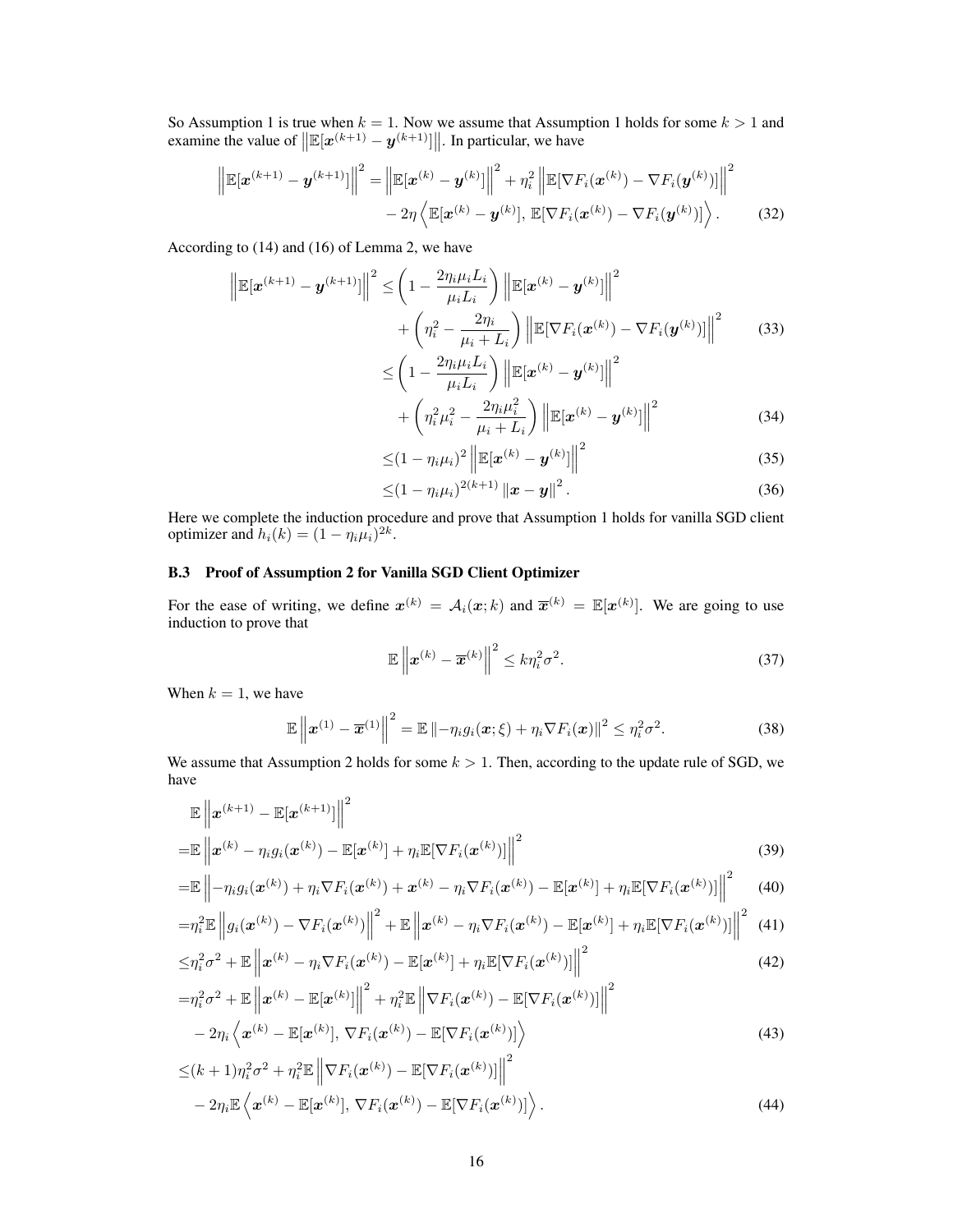So Assumption 1 is true when  $k = 1$ . Now we assume that Assumption 1 holds for some  $k > 1$  and examine the value of  $\left\| \mathbb{E}[\boldsymbol{x}^{(k+1)} - \boldsymbol{y}^{(k+1)}] \right\|$ . In particular, we have

$$
\left\| \mathbb{E}[\boldsymbol{x}^{(k+1)} - \boldsymbol{y}^{(k+1)}] \right\|^2 = \left\| \mathbb{E}[\boldsymbol{x}^{(k)} - \boldsymbol{y}^{(k)}] \right\|^2 + \eta_i^2 \left\| \mathbb{E}[\nabla F_i(\boldsymbol{x}^{(k)}) - \nabla F_i(\boldsymbol{y}^{(k)})] \right\|^2
$$

$$
- 2\eta \left\langle \mathbb{E}[\boldsymbol{x}^{(k)} - \boldsymbol{y}^{(k)}], \mathbb{E}[\nabla F_i(\boldsymbol{x}^{(k)}) - \nabla F_i(\boldsymbol{y}^{(k)})] \right\rangle. \tag{32}
$$

According to [\(14\)](#page-14-4) and [\(16\)](#page-14-5) of Lemma 2, we have

$$
\left\| \mathbb{E}[\boldsymbol{x}^{(k+1)} - \boldsymbol{y}^{(k+1)}] \right\|^2 \leq \left( 1 - \frac{2\eta_i \mu_i L_i}{\mu_i L_i} \right) \left\| \mathbb{E}[\boldsymbol{x}^{(k)} - \boldsymbol{y}^{(k)}] \right\|^2 + \left( \eta_i^2 - \frac{2\eta_i}{\mu_i + L_i} \right) \left\| \mathbb{E}[\nabla F_i(\boldsymbol{x}^{(k)}) - \nabla F_i(\boldsymbol{y}^{(k)})] \right\|^2 \tag{33}
$$

$$
\leq \left(1 - \frac{2\eta_i \mu_i L_i}{\mu_i L_i}\right) \left\| \mathbb{E}[\mathbf{x}^{(k)} - \mathbf{y}^{(k)}] \right\|^2
$$
  
+  $\left(n^2 \mu^2 - \frac{2\eta_i \mu_i^2}{\mu_i^2}\right) \left\| \mathbb{E}[\mathbf{x}^{(k)} - \mathbf{y}^{(k)}] \right\|^2$  (34)

$$
+\left(\eta_i^2\mu_i^2-\frac{2\eta_i\mu_i}{\mu_i+L_i}\right)\left\|\mathbb{E}[\boldsymbol{x}^{(k)}-\boldsymbol{y}^{(k)}]\right\|^2\tag{34}
$$

$$
\leq (1 - \eta_i \mu_i)^2 \left\| \mathbb{E}[\mathbf{x}^{(k)} - \mathbf{y}^{(k)}] \right\|^2 \tag{35}
$$

$$
\leq (1 - \eta_i \mu_i)^{2(k+1)} \|x - y\|^2.
$$
 (36)

Here we complete the induction procedure and prove that Assumption 1 holds for vanilla SGD client optimizer and  $h_i(k) = (1 - \eta_i \mu_i)^{2k}$ .

## B.3 Proof of Assumption 2 for Vanilla SGD Client Optimizer

For the ease of writing, we define  $x^{(k)} = A_i(x;k)$  and  $\overline{x}^{(k)} = \mathbb{E}[x^{(k)}]$ . We are going to use induction to prove that

<span id="page-15-0"></span>
$$
\mathbb{E}\left\|\boldsymbol{x}^{(k)} - \overline{\boldsymbol{x}}^{(k)}\right\|^2 \le k\eta_i^2\sigma^2.
$$
\n(37)

When  $k = 1$ , we have

$$
\mathbb{E}\left\|\boldsymbol{x}^{(1)}-\overline{\boldsymbol{x}}^{(1)}\right\|^2=\mathbb{E}\left\|-\eta_i g_i(\boldsymbol{x};\xi)+\eta_i \nabla F_i(\boldsymbol{x})\right\|^2\leq \eta_i^2 \sigma^2.
$$
 (38)

We assume that Assumption [2](#page-4-1) holds for some  $k > 1$ . Then, according to the update rule of SGD, we have

$$
\mathbb{E}\left\|\boldsymbol{x}^{(k+1)} - \mathbb{E}[\boldsymbol{x}^{(k+1)}]\right\|^2
$$
  
=
$$
\mathbb{E}\left\|\boldsymbol{x}^{(k)} - \eta_i g_i(\boldsymbol{x}^{(k)}) - \mathbb{E}[\boldsymbol{x}^{(k)}] + \eta_i \mathbb{E}[\nabla F_i(\boldsymbol{x}^{(k)})]\right\|^2
$$
(39)

$$
= \mathbb{E}\left\| -\eta_i g_i(\boldsymbol{x}^{(k)}) + \eta_i \nabla F_i(\boldsymbol{x}^{(k)}) + \boldsymbol{x}^{(k)} - \eta_i \nabla F_i(\boldsymbol{x}^{(k)}) - \mathbb{E}[\boldsymbol{x}^{(k)}] + \eta_i \mathbb{E}[\nabla F_i(\boldsymbol{x}^{(k)})]\right\|^2 \tag{40}
$$

$$
=\!\eta_i^2\mathbb{E}\left\|g_i(\boldsymbol{x}^{(k)})-\nabla F_i(\boldsymbol{x}^{(k)})\right\|^2+\mathbb{E}\left\|\boldsymbol{x}^{(k)}-\eta_i\nabla F_i(\boldsymbol{x}^{(k)})-\mathbb{E}[\boldsymbol{x}^{(k)}]+\eta_i\mathbb{E}[\nabla F_i(\boldsymbol{x}^{(k)})]\right\|^2\tag{41}
$$

$$
\leq \eta_i^2 \sigma^2 + \mathbb{E} \left\| \boldsymbol{x}^{(k)} - \eta_i \nabla F_i(\boldsymbol{x}^{(k)}) - \mathbb{E}[\boldsymbol{x}^{(k)}] + \eta_i \mathbb{E}[\nabla F_i(\boldsymbol{x}^{(k)})] \right\|^2 \tag{42}
$$

$$
= \eta_i^2 \sigma^2 + \mathbb{E} \left\| \boldsymbol{x}^{(k)} - \mathbb{E}[\boldsymbol{x}^{(k)}] \right\|^2 + \eta_i^2 \mathbb{E} \left\| \nabla F_i(\boldsymbol{x}^{(k)}) - \mathbb{E}[\nabla F_i(\boldsymbol{x}^{(k)})] \right\|^2
$$

$$
- 2\eta_i \left\langle \boldsymbol{x}^{(k)} - \mathbb{E}[\boldsymbol{x}^{(k)}], \nabla F_i(\boldsymbol{x}^{(k)}) - \mathbb{E}[\nabla F_i(\boldsymbol{x}^{(k)})] \right\rangle
$$
(43)

$$
\leq (k+1)\eta_i^2\sigma^2 + \eta_i^2 \mathbb{E} \left\| \nabla F_i(\boldsymbol{x}^{(k)}) - \mathbb{E}[\nabla F_i(\boldsymbol{x}^{(k)})] \right\|^2 - 2\eta_i \mathbb{E} \left\langle \boldsymbol{x}^{(k)} - \mathbb{E}[\boldsymbol{x}^{(k)}], \nabla F_i(\boldsymbol{x}^{(k)}) - \mathbb{E}[\nabla F_i(\boldsymbol{x}^{(k)})] \right\rangle.
$$
\n(44)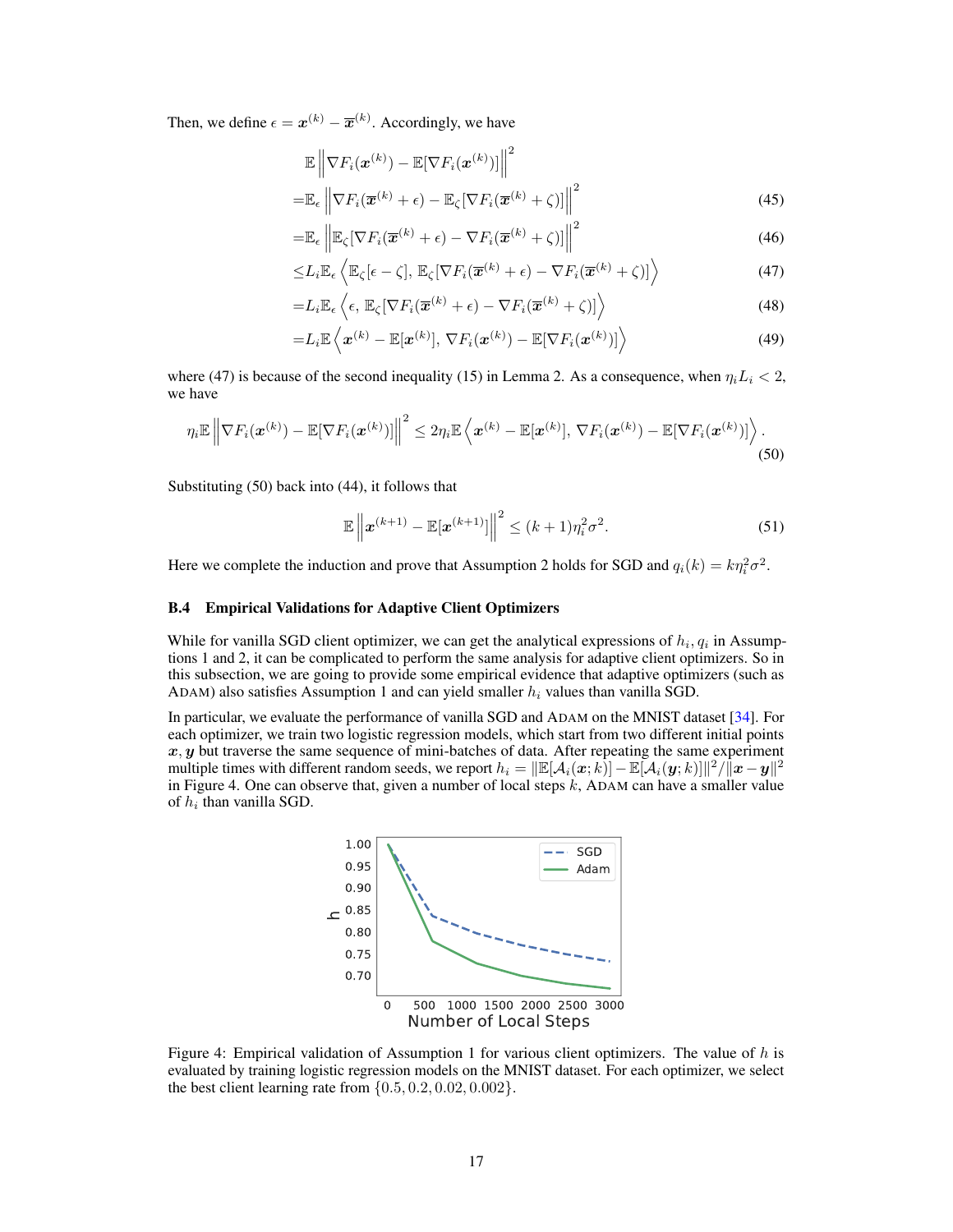Then, we define  $\epsilon = \boldsymbol{x}^{(k)} - \overline{\boldsymbol{x}}^{(k)}$ . Accordingly, we have

$$
\mathbb{E}\left\|\nabla F_i(\boldsymbol{x}^{(k)}) - \mathbb{E}[\nabla F_i(\boldsymbol{x}^{(k)})]\right\|^2
$$
  
\n
$$
= \mathbb{E}_{\epsilon}\left\|\nabla F_i(\overline{\boldsymbol{x}}^{(k)} + \epsilon) - \mathbb{E}_{\zeta}[\nabla F_i(\overline{\boldsymbol{x}}^{(k)} + \zeta)]\right\|^2
$$
\n(45)

$$
= \mathbb{E}_{\epsilon} \left\| \mathbb{E}_{\zeta} [\nabla F_i(\overline{\boldsymbol{x}}^{(k)} + \epsilon) - \nabla F_i(\overline{\boldsymbol{x}}^{(k)} + \zeta)] \right\|^2 \tag{46}
$$

<span id="page-16-1"></span>
$$
\leq L_i \mathbb{E}_{\epsilon} \left\langle \mathbb{E}_{\zeta}[\epsilon - \zeta], \, \mathbb{E}_{\zeta}[\nabla F_i(\overline{\boldsymbol{x}}^{(k)} + \epsilon) - \nabla F_i(\overline{\boldsymbol{x}}^{(k)} + \zeta)] \right\rangle \tag{47}
$$

$$
=L_i\mathbb{E}_{\epsilon}\left\langle \epsilon, \mathbb{E}_{\zeta}[\nabla F_i(\overline{\boldsymbol{x}}^{(k)}+\epsilon)-\nabla F_i(\overline{\boldsymbol{x}}^{(k)}+\zeta)] \right\rangle \tag{48}
$$

$$
=L_i\mathbb{E}\left\langle \boldsymbol{x}^{(k)}-\mathbb{E}[\boldsymbol{x}^{(k)}],\,\nabla F_i(\boldsymbol{x}^{(k)})-\mathbb{E}[\nabla F_i(\boldsymbol{x}^{(k)})]\right\rangle\tag{49}
$$

where [\(47\)](#page-16-1) is because of the second inequality [\(15\)](#page-14-6) in Lemma 2. As a consequence, when  $\eta_i L_i < 2$ , we have

$$
\eta_i \mathbb{E} \left\| \nabla F_i(\boldsymbol{x}^{(k)}) - \mathbb{E}[\nabla F_i(\boldsymbol{x}^{(k)})] \right\|^2 \leq 2\eta_i \mathbb{E} \left\langle \boldsymbol{x}^{(k)} - \mathbb{E}[\boldsymbol{x}^{(k)}], \nabla F_i(\boldsymbol{x}^{(k)}) - \mathbb{E}[\nabla F_i(\boldsymbol{x}^{(k)})] \right\rangle.
$$
\n(50)

Substituting [\(50\)](#page-16-2) back into [\(44\)](#page-15-0), it follows that

<span id="page-16-2"></span>
$$
\mathbb{E}\left\|\boldsymbol{x}^{(k+1)} - \mathbb{E}[\boldsymbol{x}^{(k+1)}]\right\|^2 \le (k+1)\eta_i^2 \sigma^2.
$$
 (51)

Here we complete the induction and prove that Assumption [2](#page-4-1) holds for SGD and  $q_i(k) = k\eta_i^2 \sigma^2$ .

### <span id="page-16-0"></span>B.4 Empirical Validations for Adaptive Client Optimizers

While for vanilla SGD client optimizer, we can get the analytical expressions of  $h_i, q_i$  in Assumptions [1](#page-4-0) and [2,](#page-4-1) it can be complicated to perform the same analysis for adaptive client optimizers. So in this subsection, we are going to provide some empirical evidence that adaptive optimizers (such as ADAM) also satisfies Assumption [1](#page-4-0) and can yield smaller  $h_i$  values than vanilla SGD.

<span id="page-16-3"></span>In particular, we evaluate the performance of vanilla SGD and ADAM on the MNIST dataset [\[34\]](#page-11-0). For each optimizer, we train two logistic regression models, which start from two different initial points  $x, y$  but traverse the same sequence of mini-batches of data. After repeating the same experiment multiple times with different random seeds, we report  $h_i = \|\mathbb{E}[\mathcal{A}_i(\bm{x};k)] - \mathbb{E}[\bar{\mathcal{A}}_i(\bm{y};k)]\|^2/\|\bm{x}-\bm{y}\|^2$ in Figure [4.](#page-16-3) One can observe that, given a number of local steps k, ADAM can have a smaller value of  $h_i$  than vanilla SGD.



Figure 4: Empirical validation of Assumption [1](#page-4-0) for various client optimizers. The value of  $h$  is evaluated by training logistic regression models on the MNIST dataset. For each optimizer, we select the best client learning rate from  $\{0.5, 0.2, 0.02, 0.002\}$ .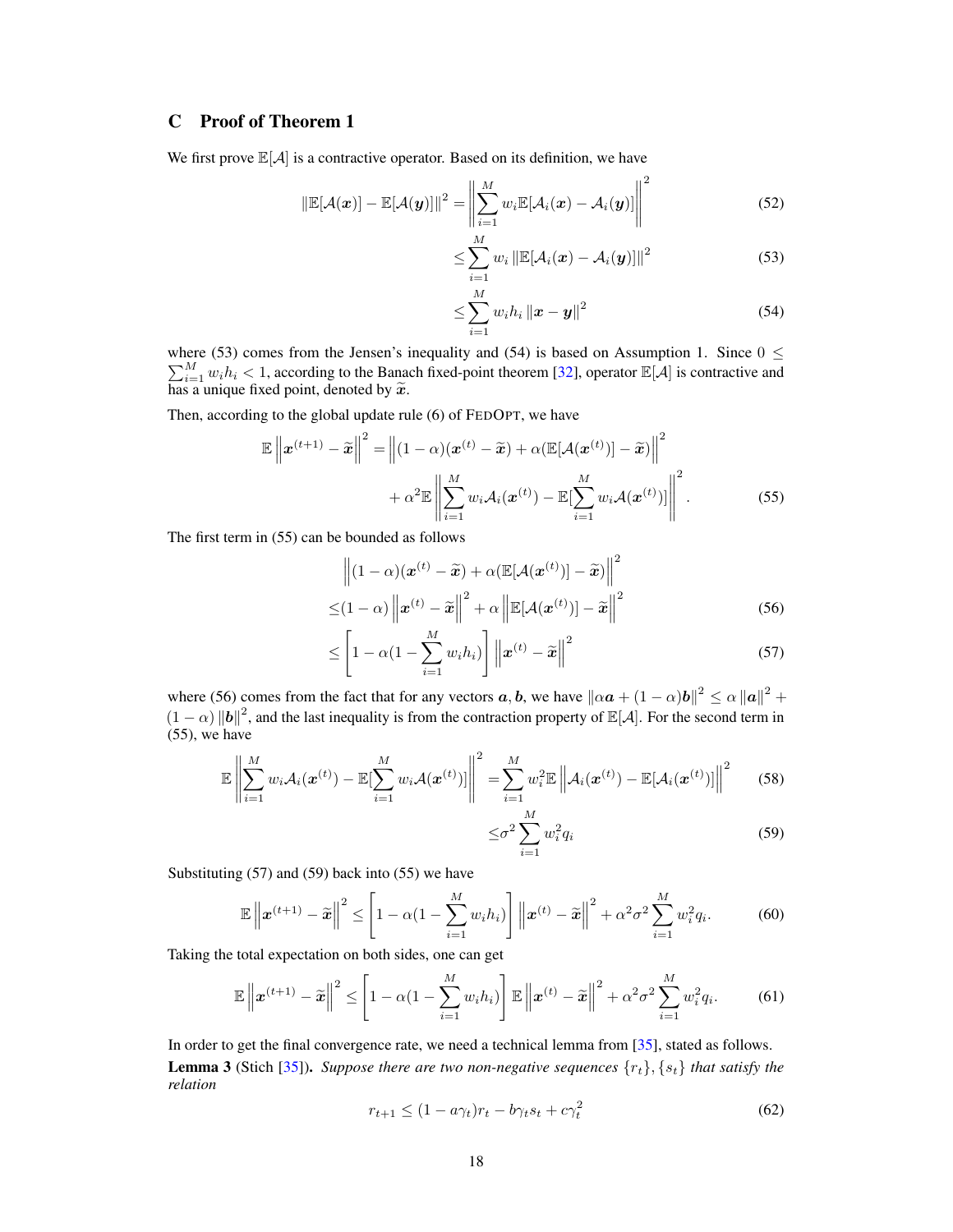# C Proof of Theorem 1

We first prove  $\mathbb{E}[\mathcal{A}]$  is a contractive operator. Based on its definition, we have

$$
\|\mathbb{E}[\mathcal{A}(\boldsymbol{x})] - \mathbb{E}[\mathcal{A}(\boldsymbol{y})]\|^2 = \left\|\sum_{i=1}^M w_i \mathbb{E}[\mathcal{A}_i(\boldsymbol{x}) - \mathcal{A}_i(\boldsymbol{y})]\right\|^2
$$
(52)

<span id="page-17-0"></span>
$$
\leq \sum_{i=1}^{M} w_i \left\| \mathbb{E}[\mathcal{A}_i(\boldsymbol{x}) - \mathcal{A}_i(\boldsymbol{y})] \right\|^2 \tag{53}
$$

<span id="page-17-2"></span><span id="page-17-1"></span>
$$
\leq \sum_{i=1}^{M} w_i h_i \|x - y\|^2
$$
\n(54)

where [\(53\)](#page-17-0) comes from the Jensen's inequality and [\(54\)](#page-17-1) is based on Assumption 1. Since  $0 \le$  $\sum_{i=1}^{M} w_i h_i < 1$ , according to the Banach fixed-point theorem [\[32\]](#page-10-12), operator  $\mathbb{E}[\mathcal{A}]$  is contractive and has a unique fixed point, denoted by  $\widetilde{x}$ .

Then, according to the global update rule [\(6\)](#page-3-2) of FEDOPT, we have

$$
\mathbb{E}\left\|\boldsymbol{x}^{(t+1)}-\widetilde{\boldsymbol{x}}\right\|^{2}=\left\|(1-\alpha)(\boldsymbol{x}^{(t)}-\widetilde{\boldsymbol{x}})+\alpha(\mathbb{E}[\mathcal{A}(\boldsymbol{x}^{(t)})]-\widetilde{\boldsymbol{x}})\right\|^{2} + \alpha^{2}\mathbb{E}\left\|\sum_{i=1}^{M}w_{i}\mathcal{A}_{i}(\boldsymbol{x}^{(t)})-\mathbb{E}[\sum_{i=1}^{M}w_{i}\mathcal{A}(\boldsymbol{x}^{(t)})]\right\|^{2}.
$$
\n(55)

The first term in [\(55\)](#page-17-2) can be bounded as follows

$$
\left\| (1 - \alpha)(\boldsymbol{x}^{(t)} - \widetilde{\boldsymbol{x}}) + \alpha (\mathbb{E}[\mathcal{A}(\boldsymbol{x}^{(t)})] - \widetilde{\boldsymbol{x}}) \right\|^2
$$
  

$$
\leq (1 - \alpha) \left\| \boldsymbol{x}^{(t)} - \widetilde{\boldsymbol{x}} \right\|^2 + \alpha \left\| \mathbb{E}[\mathcal{A}(\boldsymbol{x}^{(t)})] - \widetilde{\boldsymbol{x}} \right\|^2
$$
(56)

$$
\leq \left[1 - \alpha \left(1 - \sum_{i=1}^{M} w_i h_i\right)\right] \left\|\boldsymbol{x}^{(t)} - \widetilde{\boldsymbol{x}}\right\|^2 \tag{57}
$$

where [\(56\)](#page-17-3) comes from the fact that for any vectors  $a, b$ , we have  $\|\alpha \bm{a} + (1 - \alpha) \bm{b}\|^2 \le \alpha \| \bm{a} \|^2 +$  $(1 - \alpha) ||b||^2$ , and the last inequality is from the contraction property of  $\mathbb{E}[A]$ . For the second term in [\(55\)](#page-17-2), we have

$$
\mathbb{E}\left\|\sum_{i=1}^M w_i \mathcal{A}_i(\boldsymbol{x}^{(t)}) - \mathbb{E}[\sum_{i=1}^M w_i \mathcal{A}(\boldsymbol{x}^{(t)})]\right\|^2 = \sum_{i=1}^M w_i^2 \mathbb{E}\left\|\mathcal{A}_i(\boldsymbol{x}^{(t)}) - \mathbb{E}[\mathcal{A}_i(\boldsymbol{x}^{(t)})]\right\|^2 \tag{58}
$$

<span id="page-17-7"></span><span id="page-17-5"></span><span id="page-17-4"></span><span id="page-17-3"></span>
$$
\leq \sigma^2 \sum_{i=1}^M w_i^2 q_i \tag{59}
$$

Substituting [\(57\)](#page-17-4) and [\(59\)](#page-17-5) back into [\(55\)](#page-17-2) we have

$$
\mathbb{E}\left\|\boldsymbol{x}^{(t+1)}-\widetilde{\boldsymbol{x}}\right\|^2 \leq \left[1-\alpha\left(1-\sum_{i=1}^M w_i h_i\right)\right] \left\|\boldsymbol{x}^{(t)}-\widetilde{\boldsymbol{x}}\right\|^2 + \alpha^2 \sigma^2 \sum_{i=1}^M w_i^2 q_i. \tag{60}
$$

Taking the total expectation on both sides, one can get

$$
\mathbb{E}\left\|\boldsymbol{x}^{(t+1)}-\widetilde{\boldsymbol{x}}\right\|^2 \leq \left[1-\alpha(1-\sum_{i=1}^M w_i h_i)\right] \mathbb{E}\left\|\boldsymbol{x}^{(t)}-\widetilde{\boldsymbol{x}}\right\|^2 + \alpha^2 \sigma^2 \sum_{i=1}^M w_i^2 q_i. \tag{61}
$$

<span id="page-17-6"></span>In order to get the final convergence rate, we need a technical lemma from [\[35\]](#page-11-1), stated as follows. **Lemma 3** (Stich [\[35\]](#page-11-1)). *Suppose there are two non-negative sequences*  $\{r_t\}$ ,  $\{s_t\}$  *that satisfy the relation*

$$
r_{t+1} \le (1 - a\gamma_t)r_t - b\gamma_t s_t + c\gamma_t^2 \tag{62}
$$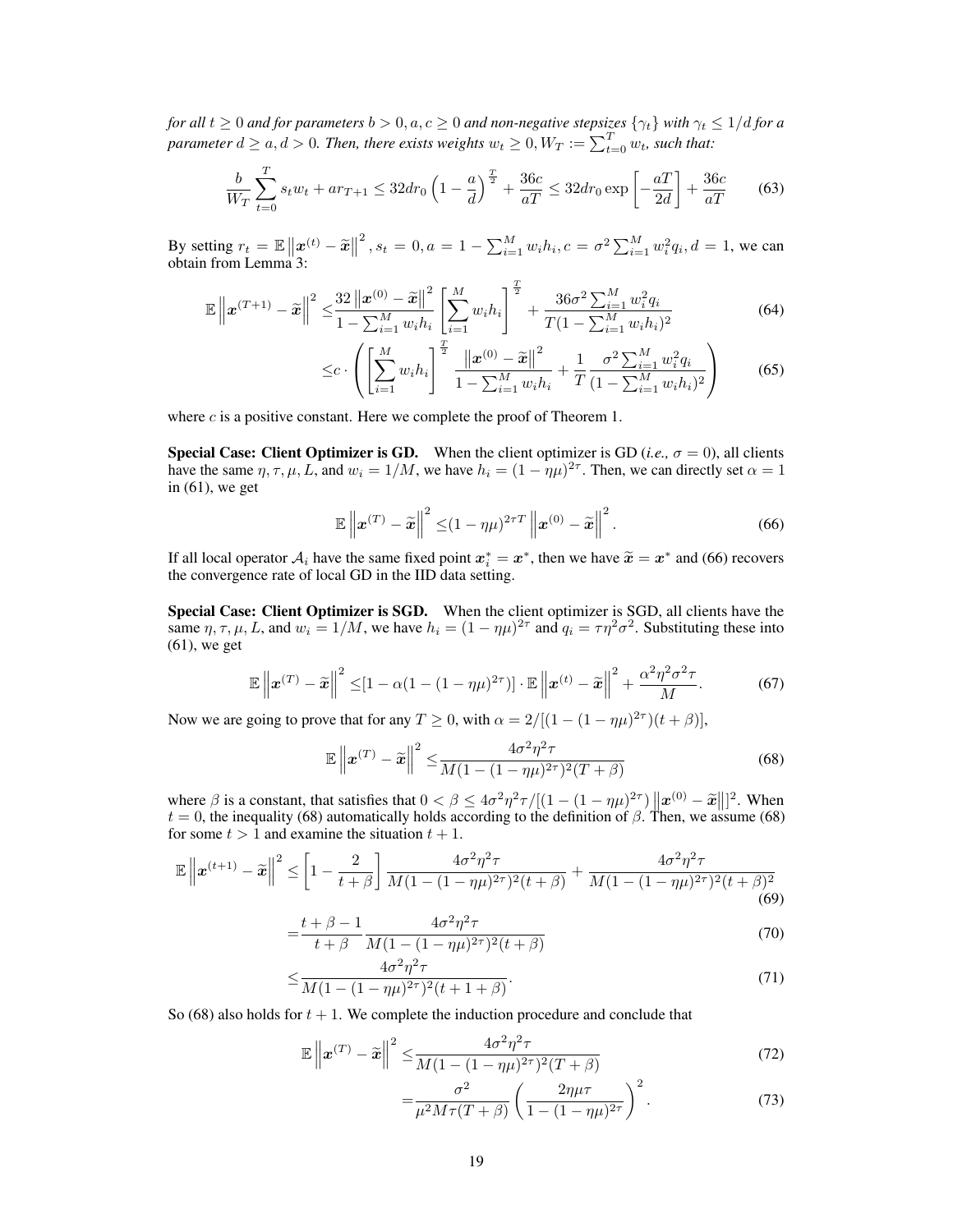*for all*  $t \geq 0$  *and for parameters*  $b > 0$ ,  $a, c \geq 0$  *and non-negative stepsizes*  $\{\gamma_t\}$  *with*  $\gamma_t \leq 1/d$  *for a* parameter  $d \ge a, d > 0$ . Then, there exists weights  $w_t \ge 0, W_T := \sum_{t=0}^T w_t$ , such that:

$$
\frac{b}{W_T} \sum_{t=0}^{T} s_t w_t + a r_{T+1} \le 32 dr_0 \left( 1 - \frac{a}{d} \right)^{\frac{T}{2}} + \frac{36 c}{aT} \le 32 dr_0 \exp\left[ -\frac{aT}{2d} \right] + \frac{36 c}{aT}
$$
(63)

By setting  $r_t = \mathbb{E} \|x^{(t)} - \tilde{x}\|$ <br>obtain from I emma 3:  $2^2$ ,  $s_t = 0$ ,  $a = 1 - \sum_{i=1}^{M} w_i h_i$ ,  $c = \sigma^2 \sum_{i=1}^{M} w_i^2 q_i$ ,  $d = 1$ , we can obtain from Lemma [3:](#page-17-6)

$$
\mathbb{E}\left\|\boldsymbol{x}^{(T+1)}-\tilde{\boldsymbol{x}}\right\|^2 \leq \frac{32\left\|\boldsymbol{x}^{(0)}-\tilde{\boldsymbol{x}}\right\|^2}{1-\sum_{i=1}^M w_i h_i} \left[\sum_{i=1}^M w_i h_i\right]^{\frac{T}{2}} + \frac{36\sigma^2 \sum_{i=1}^M w_i^2 q_i}{T(1-\sum_{i=1}^M w_i h_i)^2}
$$
(64)

$$
\leq c \cdot \left( \left[ \sum_{i=1}^{M} w_i h_i \right]^{\frac{T}{2}} \frac{\left\| x^{(0)} - \widetilde{x} \right\|^2}{1 - \sum_{i=1}^{M} w_i h_i} + \frac{1}{T} \frac{\sigma^2 \sum_{i=1}^{M} w_i^2 q_i}{(1 - \sum_{i=1}^{M} w_i h_i)^2} \right) \tag{65}
$$

where  $c$  is a positive constant. Here we complete the proof of Theorem [1.](#page-4-2)

**Special Case: Client Optimizer is GD.** When the client optimizer is GD (*i.e.*,  $\sigma = 0$ ), all clients have the same  $\eta, \tau, \mu, L$ , and  $w_i = 1/M$ , we have  $h_i = (1 - \eta \mu)^{2\tau}$ . Then, we can directly set  $\alpha = 1$ in  $(61)$ , we get

<span id="page-18-0"></span>
$$
\mathbb{E}\left\|\boldsymbol{x}^{(T)}-\widetilde{\boldsymbol{x}}\right\|^2 \leq (1-\eta\mu)^{2\tau T}\left\|\boldsymbol{x}^{(0)}-\widetilde{\boldsymbol{x}}\right\|^2.
$$
 (66)

If all local operator  $A_i$  have the same fixed point  $x_i^* = x^*$ , then we have  $\tilde{x} = x^*$  and [\(66\)](#page-18-0) recovers the convergence rate of local GD in the IID data setting the convergence rate of local GD in the IID data setting.

Special Case: Client Optimizer is SGD. When the client optimizer is SGD, all clients have the same  $\eta, \tau, \mu, L$ , and  $w_i = 1/M$ , we have  $h_i = (1 - \eta\mu)^{2\tau}$  and  $q_i = \tau\eta^2\sigma^2$ . Substituting these into [\(61\)](#page-17-7), we get

$$
\mathbb{E}\left\|\boldsymbol{x}^{(T)}-\widetilde{\boldsymbol{x}}\right\|^2 \leq \left[1-\alpha\left(1-(1-\eta\mu)^{2\tau}\right)\right]\cdot\mathbb{E}\left\|\boldsymbol{x}^{(t)}-\widetilde{\boldsymbol{x}}\right\|^2 + \frac{\alpha^2\eta^2\sigma^2\tau}{M}.\tag{67}
$$

Now we are going to prove that for any  $T \ge 0$ , with  $\alpha = 2/[(1 - (1 - \eta \mu)^{2\tau})(t + \beta)]$ ,

<span id="page-18-1"></span>
$$
\mathbb{E}\left\|\boldsymbol{x}^{(T)}-\widetilde{\boldsymbol{x}}\right\|^2 \leq \frac{4\sigma^2\eta^2\tau}{M(1-(1-\eta\mu)^{2\tau})^2(T+\beta)}
$$
(68)

where  $\beta$  is a constant, that satisfies that  $0 < \beta \le 4\sigma^2\eta^2\tau/[(1-(1-\eta\mu)^{2\tau})||\mathbf{x}^{(0)}-\tilde{\mathbf{x}}||]^2$ . When  $t=0$  the inequality (68) automatically holds according to the definition of  $\beta$ . Then, we assume (68)  $t = 0$ , the inequality [\(68\)](#page-18-1) automatically holds according to the definition of  $\beta$ . Then, we assume (68) for some  $t > 1$  and examine the situation  $t + 1$ .

$$
\mathbb{E}\left\|\boldsymbol{x}^{(t+1)} - \widetilde{\boldsymbol{x}}\right\|^2 \le \left[1 - \frac{2}{t+\beta}\right] \frac{4\sigma^2 \eta^2 \tau}{M(1 - (1-\eta\mu)^{2\tau})^2 (t+\beta)} + \frac{4\sigma^2 \eta^2 \tau}{M(1 - (1-\eta\mu)^{2\tau})^2 (t+\beta)^2}
$$
(69)

$$
=\frac{t+\beta-1}{t+\beta}\frac{4\sigma^2\eta^2\tau}{M(1-(1-\eta\mu)^{2\tau})^2(t+\beta)}
$$
(70)

$$
\leq \frac{4\sigma^2\eta^2\tau}{M(1 - (1 - \eta\mu)^{2\tau})^2(t + 1 + \beta)}.
$$
\n(71)

So [\(68\)](#page-18-1) also holds for  $t + 1$ . We complete the induction procedure and conclude that

$$
\mathbb{E}\left\|\boldsymbol{x}^{(T)}-\widetilde{\boldsymbol{x}}\right\|^2 \leq \frac{4\sigma^2\eta^2\tau}{M(1-(1-\eta\mu)^{2\tau})^2(T+\beta)}
$$
(72)

$$
=\frac{\sigma^2}{\mu^2 M \tau (T+\beta)} \left(\frac{2\eta \mu \tau}{1-(1-\eta \mu)^{2\tau}}\right)^2.
$$
 (73)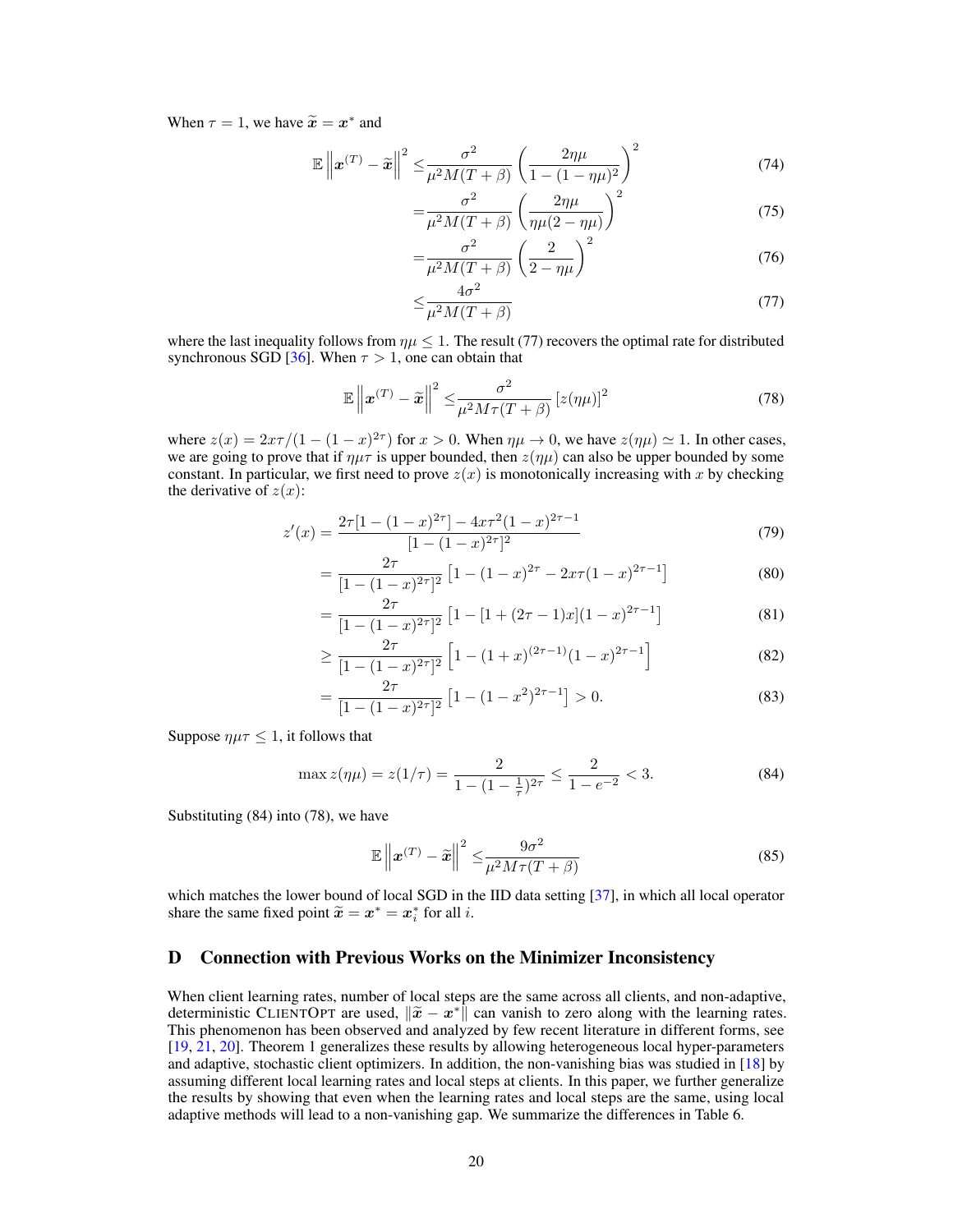When  $\tau = 1$ , we have  $\widetilde{\mathbf{x}} = \mathbf{x}^*$  and

$$
\mathbb{E}\left\|\boldsymbol{x}^{(T)}-\tilde{\boldsymbol{x}}\right\|^2 \leq \frac{\sigma^2}{\mu^2 M(T+\beta)} \left(\frac{2\eta\mu}{1-(1-\eta\mu)^2}\right)^2 \tag{74}
$$

$$
=\frac{\sigma^2}{\mu^2 M (T+\beta)} \left(\frac{2\eta\mu}{\eta\mu(2-\eta\mu)}\right)^2 \tag{75}
$$

$$
=\frac{\sigma^2}{\mu^2 M (T+\beta)} \left(\frac{2}{2-\eta\mu}\right)^2 \tag{76}
$$

<span id="page-19-3"></span><span id="page-19-1"></span>
$$
\leq \frac{4\sigma^2}{\mu^2 M (T + \beta)}\tag{77}
$$

where the last inequality follows from  $\eta \mu \leq 1$ . The result [\(77\)](#page-19-1) recovers the optimal rate for distributed synchronous SGD [\[36\]](#page-11-2). When  $\tau > 1$ , one can obtain that

$$
\mathbb{E}\left\|\boldsymbol{x}^{(T)}-\widetilde{\boldsymbol{x}}\right\|^2 \leq \frac{\sigma^2}{\mu^2 M \tau (T+\beta)}\left[z(\eta \mu)\right]^2\tag{78}
$$

where  $z(x) = 2x\tau/(1-(1-x)^{2\tau})$  for  $x > 0$ . When  $\eta\mu \to 0$ , we have  $z(\eta\mu) \simeq 1$ . In other cases, we are going to prove that if  $\eta\mu\tau$  is upper bounded, then  $z(\eta\mu)$  can also be upper bounded by some constant. In particular, we first need to prove  $z(x)$  is monotonically increasing with x by checking the derivative of  $z(x)$ :

$$
z'(x) = \frac{2\tau[1 - (1 - x)^{2\tau}] - 4x\tau^2(1 - x)^{2\tau - 1}}{[1 - (1 - x)^{2\tau}]^2}
$$
(79)

$$
= \frac{2\tau}{[1 - (1 - x)^{2\tau}]^2} \left[ 1 - (1 - x)^{2\tau} - 2x\tau (1 - x)^{2\tau - 1} \right]
$$
(80)

$$
= \frac{2\tau}{[1 - (1 - x)^{2\tau}]^2} \left[ 1 - [1 + (2\tau - 1)x](1 - x)^{2\tau - 1} \right]
$$
(81)

$$
\geq \frac{2\tau}{[1 - (1 - x)^{2\tau}]^2} \left[ 1 - (1 + x)^{(2\tau - 1)} (1 - x)^{2\tau - 1} \right]
$$
(82)

$$
= \frac{2\tau}{[1 - (1 - x)^{2\tau}]^2} \left[ 1 - (1 - x^2)^{2\tau - 1} \right] > 0.
$$
 (83)

Suppose  $\eta \mu \tau \leq 1$ , it follows that

$$
\max z(\eta \mu) = z(1/\tau) = \frac{2}{1 - (1 - \frac{1}{\tau})^{2\tau}} \le \frac{2}{1 - e^{-2}} < 3. \tag{84}
$$

Substituting [\(84\)](#page-19-2) into [\(78\)](#page-19-3), we have

<span id="page-19-2"></span>
$$
\mathbb{E}\left\|\boldsymbol{x}^{(T)} - \widetilde{\boldsymbol{x}}\right\|^2 \le \frac{9\sigma^2}{\mu^2 M \tau (T + \beta)}
$$
\n(85)

which matches the lower bound of local SGD in the IID data setting [\[37\]](#page-11-3), in which all local operator share the same fixed point  $\widetilde{x} = x^* = x_i^*$  for all *i*.

## <span id="page-19-0"></span>D Connection with Previous Works on the Minimizer Inconsistency

When client learning rates, number of local steps are the same across all clients, and non-adaptive, deterministic CLIENTOPT are used,  $\|\tilde{x} - x^*\|$  can vanish to zero along with the learning rates.<br>This phenomenon has been observed and analyzed by few recent literature in different forms, see This phenomenon has been observed and analyzed by few recent literature in different forms, see [\[19,](#page-10-13) [21,](#page-10-3) [20\]](#page-10-14). Theorem [1](#page-4-2) generalizes these results by allowing heterogeneous local hyper-parameters and adaptive, stochastic client optimizers. In addition, the non-vanishing bias was studied in [\[18\]](#page-10-2) by assuming different local learning rates and local steps at clients. In this paper, we further generalize the results by showing that even when the learning rates and local steps are the same, using local adaptive methods will lead to a non-vanishing gap. We summarize the differences in Table [6.](#page-20-0)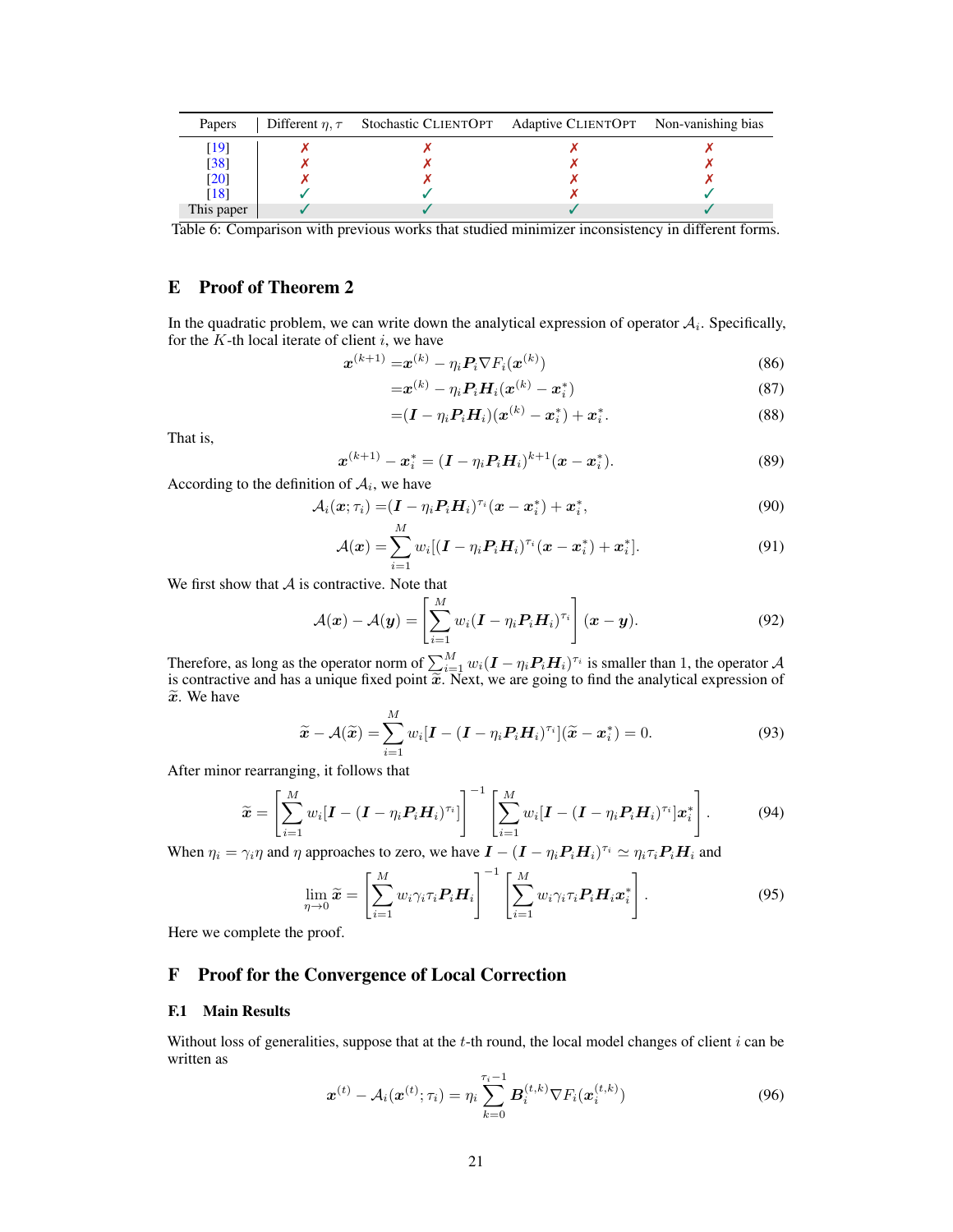<span id="page-20-0"></span>

| <b>Papers</b> | Different $\eta, \tau$ Stochastic CLIENTOPT Adaptive CLIENTOPT Non-vanishing bias |  |
|---------------|-----------------------------------------------------------------------------------|--|
|               |                                                                                   |  |
| [38]          |                                                                                   |  |
| [20]          |                                                                                   |  |
|               |                                                                                   |  |
| This paper    |                                                                                   |  |

Table 6: Comparison with previous works that studied minimizer inconsistency in different forms.

# E Proof of Theorem [2](#page-5-0)

In the quadratic problem, we can write down the analytical expression of operator  $A_i$ . Specifically, for the  $K$ -th local iterate of client  $i$ , we have

$$
\boldsymbol{x}^{(k+1)} = \boldsymbol{x}^{(k)} - \eta_i \boldsymbol{P}_i \nabla F_i(\boldsymbol{x}^{(k)})
$$
\n(86)

$$
=\boldsymbol{x}^{(k)}-\eta_i \boldsymbol{P}_i \boldsymbol{H}_i(\boldsymbol{x}^{(k)}-\boldsymbol{x}_i^*)
$$
\n(87)

$$
=(\bm{I}-\eta_i\bm{P}_i\bm{H}_i)(\bm{x}^{(k)}-\bm{x}_i^*)+\bm{x}_i^*.
$$
 (88)

That is,

$$
\boldsymbol{x}^{(k+1)} - \boldsymbol{x}_i^* = (\boldsymbol{I} - \eta_i \boldsymbol{P}_i \boldsymbol{H}_i)^{k+1} (\boldsymbol{x} - \boldsymbol{x}_i^*). \tag{89}
$$

According to the definition of  $A_i$ , we have

$$
\mathcal{A}_i(\boldsymbol{x};\tau_i) = (\boldsymbol{I} - \eta_i \boldsymbol{P}_i \boldsymbol{H}_i)^{\tau_i} (\boldsymbol{x} - \boldsymbol{x}_i^*) + \boldsymbol{x}_i^*,
$$
\n(90)

$$
\mathcal{A}(\boldsymbol{x}) = \sum_{i=1}^{M} w_i [(\boldsymbol{I} - \eta_i \boldsymbol{P}_i \boldsymbol{H}_i)^{\tau_i} (\boldsymbol{x} - \boldsymbol{x}_i^*) + \boldsymbol{x}_i^*]. \tag{91}
$$

We first show that  $A$  is contractive. Note that

$$
\mathcal{A}(\boldsymbol{x}) - \mathcal{A}(\boldsymbol{y}) = \left[ \sum_{i=1}^{M} w_i (\boldsymbol{I} - \eta_i \boldsymbol{P}_i \boldsymbol{H}_i)^{\tau_i} \right] (\boldsymbol{x} - \boldsymbol{y}). \tag{92}
$$

Therefore, as long as the operator norm of  $\sum_{i=1}^{M} w_i (I - \eta_i P_i H_i)^{\tau_i}$  is smaller than 1, the operator  $\mathcal A$ is contractive and has a unique fixed point  $\widetilde{x}$ . Next, we are going to find the analytical expression of  $\widetilde{x}$ . We have  $\widetilde{x}$ . We have

$$
\widetilde{\boldsymbol{x}} - \mathcal{A}(\widetilde{\boldsymbol{x}}) = \sum_{i=1}^{M} w_i [\boldsymbol{I} - (\boldsymbol{I} - \eta_i \boldsymbol{P}_i \boldsymbol{H}_i)^{\tau_i}] (\widetilde{\boldsymbol{x}} - \boldsymbol{x}_i^*) = 0.
$$
\n(93)

After minor rearranging, it follows that

$$
\widetilde{\boldsymbol{x}} = \left[ \sum_{i=1}^{M} w_i [\boldsymbol{I} - (\boldsymbol{I} - \eta_i \boldsymbol{P}_i \boldsymbol{H}_i)^{\tau_i}] \right]^{-1} \left[ \sum_{i=1}^{M} w_i [\boldsymbol{I} - (\boldsymbol{I} - \eta_i \boldsymbol{P}_i \boldsymbol{H}_i)^{\tau_i}] \boldsymbol{x}_i^* \right]. \tag{94}
$$

When  $\eta_i = \gamma_i \eta$  and  $\eta$  approaches to zero, we have  $\bm{I} - (\bm{I} - \eta_i \bm{P}_i \bm{H}_i)^{\tau_i} \simeq \eta_i \tau_i \bm{P}_i \bm{H}_i$  and

$$
\lim_{\eta \to 0} \widetilde{\boldsymbol{x}} = \left[ \sum_{i=1}^{M} w_i \gamma_i \tau_i \boldsymbol{P}_i \boldsymbol{H}_i \right]^{-1} \left[ \sum_{i=1}^{M} w_i \gamma_i \tau_i \boldsymbol{P}_i \boldsymbol{H}_i \boldsymbol{x}_i^* \right]. \tag{95}
$$

Here we complete the proof.

# <span id="page-20-1"></span>F Proof for the Convergence of Local Correction

#### F.1 Main Results

Without loss of generalities, suppose that at the  $t$ -th round, the local model changes of client  $i$  can be written as

$$
\boldsymbol{x}^{(t)} - A_i(\boldsymbol{x}^{(t)}; \tau_i) = \eta_i \sum_{k=0}^{\tau_i - 1} \boldsymbol{B}_i^{(t,k)} \nabla F_i(\boldsymbol{x}_i^{(t,k)})
$$
(96)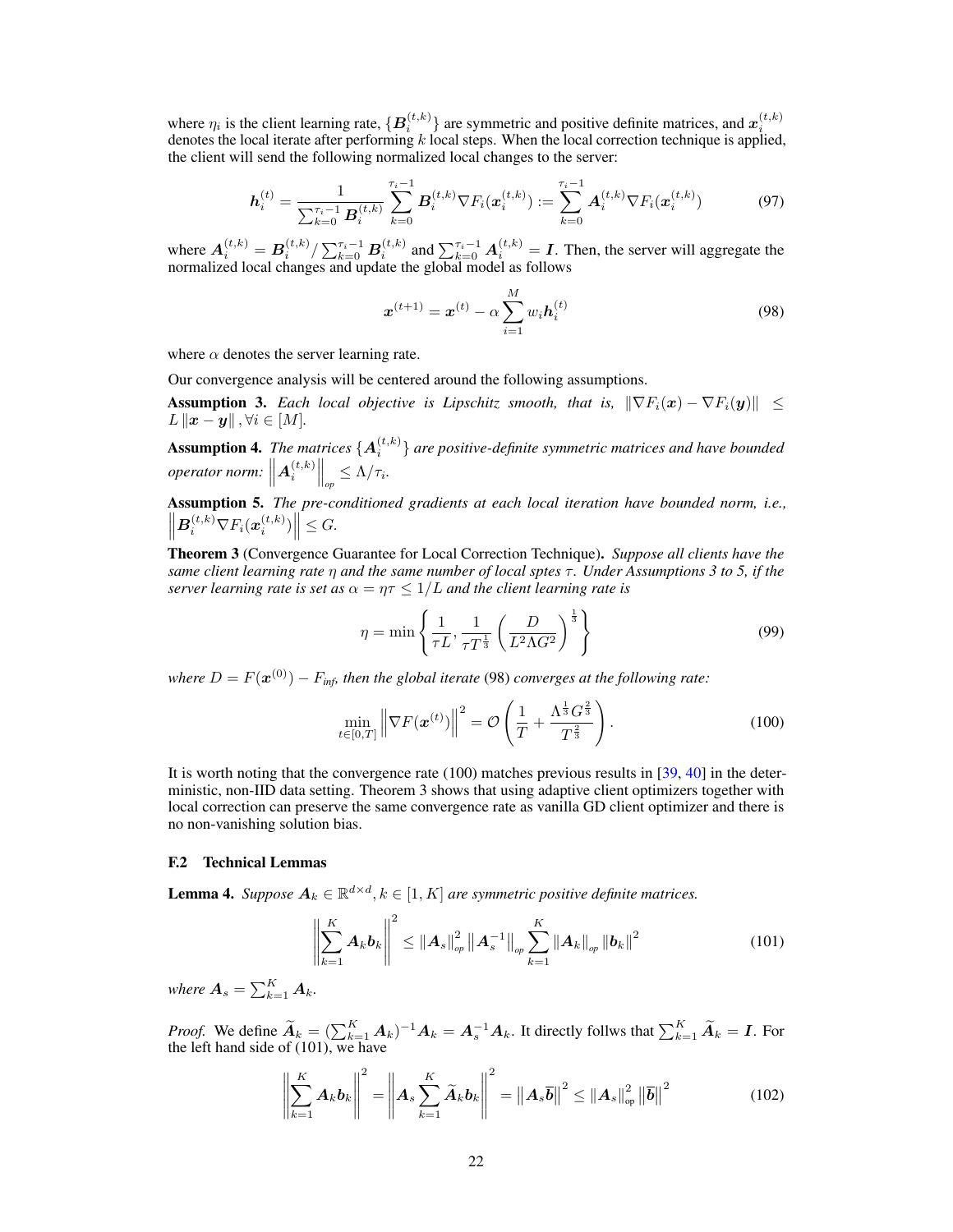where  $\eta_i$  is the client learning rate,  $\{B_i^{(t,k)}\}$  are symmetric and positive definite matrices, and  $x_i^{(t,k)}$  denotes the local iterate after performing k local steps. When the local correction technique is applied, the client will send the following normalized local changes to the server:

$$
\boldsymbol{h}_{i}^{(t)} = \frac{1}{\sum_{k=0}^{\tau_{i}-1} \boldsymbol{B}_{i}^{(t,k)}} \sum_{k=0}^{\tau_{i}-1} \boldsymbol{B}_{i}^{(t,k)} \nabla F_{i}(\boldsymbol{x}_{i}^{(t,k)}) := \sum_{k=0}^{\tau_{i}-1} \boldsymbol{A}_{i}^{(t,k)} \nabla F_{i}(\boldsymbol{x}_{i}^{(t,k)})
$$
(97)

where  $A_i^{(t,k)} = B_i^{(t,k)} / \sum_{k=0}^{\tau_i-1} B_i^{(t,k)}$  and  $\sum_{k=0}^{\tau_i-1} A_i^{(t,k)} = I$ . Then, the server will aggregate the normalized local changes and update the global model as follows

<span id="page-21-2"></span>
$$
\boldsymbol{x}^{(t+1)} = \boldsymbol{x}^{(t)} - \alpha \sum_{i=1}^{M} w_i \boldsymbol{h}_i^{(t)}
$$
(98)

where  $\alpha$  denotes the server learning rate.

Our convergence analysis will be centered around the following assumptions.

<span id="page-21-0"></span>**Assumption 3.** *Each local objective is Lipschitz smooth, that is,*  $\|\nabla F_i(\boldsymbol{x}) - \nabla F_i(\boldsymbol{y})\| \leq$  $L\|\boldsymbol{x} - \boldsymbol{y}\|$ ,  $\forall i \in [M]$ .

**Assumption 4.** The matrices  $\{A_i^{(t,k)}\}$  are positive-definite symmetric matrices and have bounded  $\textit{operator norm: } \left\| \bm{A}_i^{(t,k)} \right\|_{op} \leq \Lambda/\tau_i.$ 

<span id="page-21-1"></span>Assumption 5. *The pre-conditioned gradients at each local iteration have bounded norm, i.e.,*  $\left\| \boldsymbol{B}_{i}^{(t,k)} \nabla F_{i}(\boldsymbol{x}_{i}^{(t,k)}) \right\| \leq G.$ 

<span id="page-21-4"></span>Theorem 3 (Convergence Guarantee for Local Correction Technique). *Suppose all clients have the same client learning rate*  $η$  *and the same number of local sptes*  $τ$ *. Under Assumptions* [3](#page-21-0) *to* [5,](#page-21-1) *if the server learning rate is set as*  $\alpha = \eta \tau \leq 1/L$  *and the client learning rate is* 

<span id="page-21-3"></span>
$$
\eta = \min\left\{\frac{1}{\tau L}, \frac{1}{\tau T^{\frac{1}{3}}} \left(\frac{D}{L^2 \Lambda G^2}\right)^{\frac{1}{3}}\right\} \tag{99}
$$

where  $D = F(\boldsymbol{x}^{(0)}) - F_{\textit{inf}}$ , then the global iterate [\(98\)](#page-21-2) converges at the following rate:

$$
\min_{t \in [0,T]} \left\| \nabla F(\boldsymbol{x}^{(t)}) \right\|^2 = \mathcal{O}\left(\frac{1}{T} + \frac{\Lambda^{\frac{1}{3}} G^{\frac{2}{3}}}{T^{\frac{2}{3}}}\right). \tag{100}
$$

It is worth noting that the convergence rate [\(100\)](#page-21-3) matches previous results in [\[39,](#page-11-5) [40\]](#page-11-6) in the deterministic, non-IID data setting. Theorem [3](#page-21-4) shows that using adaptive client optimizers together with local correction can preserve the same convergence rate as vanilla GD client optimizer and there is no non-vanishing solution bias.

## F.2 Technical Lemmas

<span id="page-21-7"></span>**Lemma 4.** Suppose  $A_k \in \mathbb{R}^{d \times d}$ ,  $k \in [1, K]$  are symmetric positive definite matrices.

<span id="page-21-5"></span>
$$
\left\| \sum_{k=1}^{K} A_{k} b_{k} \right\|^{2} \leq \left\| A_{s} \right\|_{op}^{2} \left\| A_{s}^{-1} \right\|_{op} \sum_{k=1}^{K} \left\| A_{k} \right\|_{op} \left\| b_{k} \right\|^{2}
$$
(101)

where  $\boldsymbol{A}_s = \sum_{k=1}^K \boldsymbol{A}_k$ .

*Proof.* We define  $\widetilde{A}_k = (\sum_{k=1}^K A_k)^{-1} A_k = A_s^{-1} A_k$ . It directly follws that  $\sum_{k=1}^K \widetilde{A}_k = I$ . For the left hand side of [\(101\)](#page-21-5), we have

<span id="page-21-6"></span>
$$
\left\| \sum_{k=1}^{K} \boldsymbol{A}_k \boldsymbol{b}_k \right\|^2 = \left\| \boldsymbol{A}_s \sum_{k=1}^{K} \widetilde{\boldsymbol{A}}_k \boldsymbol{b}_k \right\|^2 = \left\| \boldsymbol{A}_s \overline{\boldsymbol{b}} \right\|^2 \leq \left\| \boldsymbol{A}_s \right\|_{\mathrm{op}}^2 \left\| \overline{\boldsymbol{b}} \right\|^2 \tag{102}
$$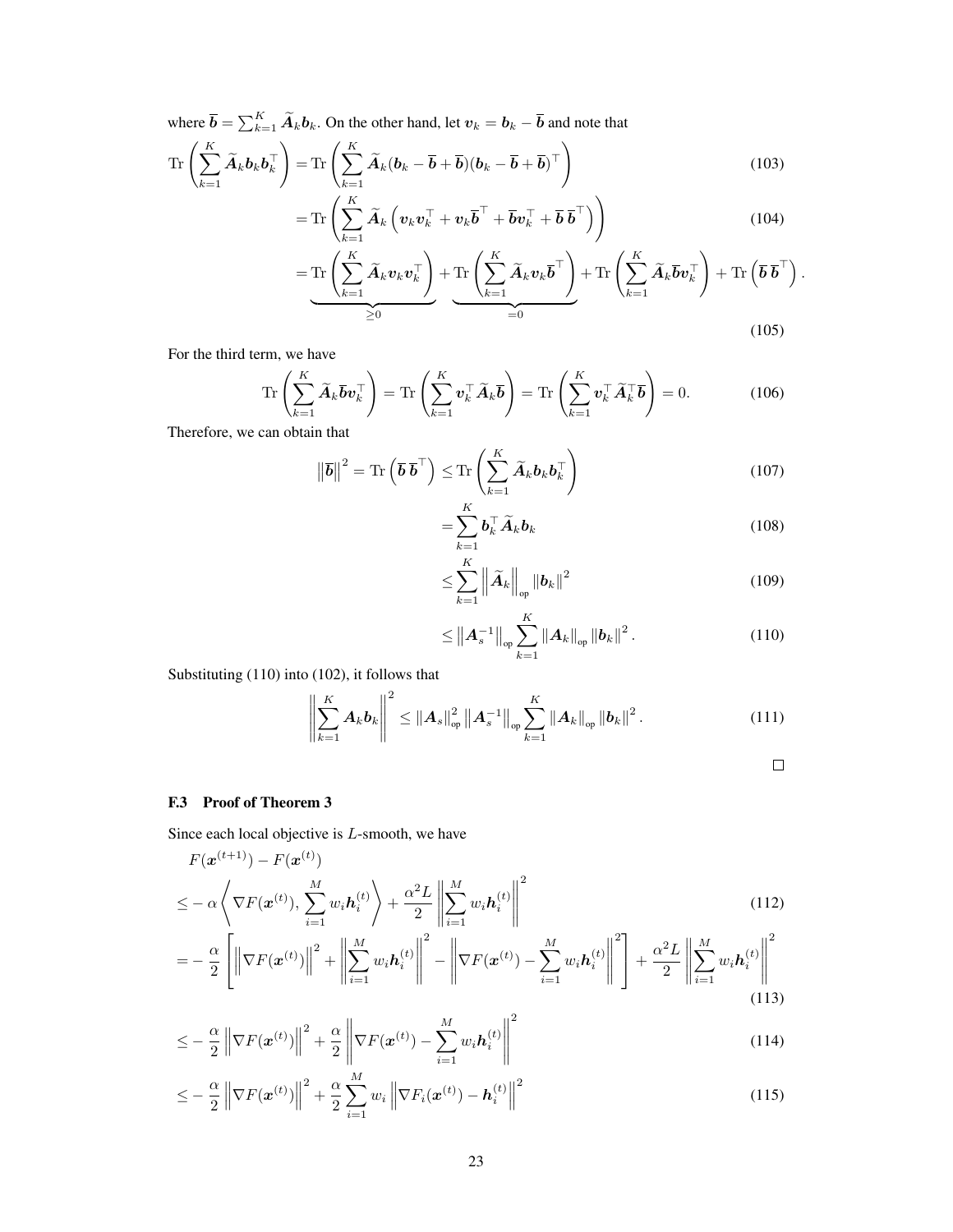where  $\overline{\bm{b}} = \sum_{k=1}^K \widetilde{\bm{A}}_k \bm{b}_k$ . On the other hand, let  $\bm{v}_k = \bm{b}_k - \overline{\bm{b}}$  and note that

$$
\operatorname{Tr}\left(\sum_{k=1}^{K}\widetilde{\boldsymbol{A}}_{k}\boldsymbol{b}_{k}\boldsymbol{b}_{k}^{\top}\right)=\operatorname{Tr}\left(\sum_{k=1}^{K}\widetilde{\boldsymbol{A}}_{k}(\boldsymbol{b}_{k}-\overline{\boldsymbol{b}}+\overline{\boldsymbol{b}})(\boldsymbol{b}_{k}-\overline{\boldsymbol{b}}+\overline{\boldsymbol{b}})^{\top}\right)
$$
(103)

$$
= \operatorname{Tr}\left(\sum_{k=1}^{K} \widetilde{\boldsymbol{A}}_{k}\left(\boldsymbol{v}_{k}\boldsymbol{v}_{k}^{\top}+\boldsymbol{v}_{k}\overline{\boldsymbol{b}}^{\top}+\overline{\boldsymbol{b}}\boldsymbol{v}_{k}^{\top}+\overline{\boldsymbol{b}}\ \overline{\boldsymbol{b}}^{\top}\right)\right) \tag{104}
$$

$$
= \underbrace{\mathrm{Tr}\left(\sum_{k=1}^{K}\widetilde{A}_{k}\boldsymbol{v}_{k}\boldsymbol{v}_{k}^{\top}\right)}_{\geq 0} + \underbrace{\mathrm{Tr}\left(\sum_{k=1}^{K}\widetilde{A}_{k}\boldsymbol{v}_{k}\overline{\boldsymbol{b}}^{\top}\right)}_{=0} + \mathrm{Tr}\left(\sum_{k=1}^{K}\widetilde{A}_{k}\overline{\boldsymbol{b}}\boldsymbol{v}_{k}^{\top}\right) + \mathrm{Tr}\left(\overline{\boldsymbol{b}}\ \overline{\boldsymbol{b}}^{\top}\right). \tag{105}
$$

For the third term, we have

$$
\operatorname{Tr}\left(\sum_{k=1}^{K} \widetilde{\boldsymbol{A}}_{k} \overline{\boldsymbol{b}} \boldsymbol{v}_{k}^{\top}\right) = \operatorname{Tr}\left(\sum_{k=1}^{K} \boldsymbol{v}_{k}^{\top} \widetilde{\boldsymbol{A}}_{k} \overline{\boldsymbol{b}}\right) = \operatorname{Tr}\left(\sum_{k=1}^{K} \boldsymbol{v}_{k}^{\top} \widetilde{\boldsymbol{A}}_{k}^{\top} \overline{\boldsymbol{b}}\right) = 0.
$$
 (106)

Therefore, we can obtain that

$$
\left\|\overline{\boldsymbol{b}}\right\|^2 = \text{Tr}\left(\overline{\boldsymbol{b}} \ \overline{\boldsymbol{b}}^{\top}\right) \leq \text{Tr}\left(\sum_{k=1}^K \widetilde{\boldsymbol{A}}_k \boldsymbol{b}_k \boldsymbol{b}_k^{\top}\right) \tag{107}
$$

$$
=\sum_{k=1}^{K} \boldsymbol{b}_{k}^{\top} \widetilde{\boldsymbol{A}}_{k} \boldsymbol{b}_{k} \tag{108}
$$

$$
\leq \sum_{k=1}^{K} \left\| \widetilde{A}_k \right\|_{op} \left\| \boldsymbol{b}_k \right\|^2 \tag{109}
$$

$$
\leq \|A_s^{-1}\|_{\text{op}} \sum_{k=1}^K \|A_k\|_{\text{op}} \|b_k\|^2.
$$
 (110)

Substituting [\(110\)](#page-22-0) into [\(102\)](#page-21-6), it follows that

$$
\left\| \sum_{k=1}^{K} A_{k} b_{k} \right\|^{2} \leq \left\| A_{s} \right\|_{op}^{2} \left\| A_{s}^{-1} \right\|_{op} \sum_{k=1}^{K} \left\| A_{k} \right\|_{op} \left\| b_{k} \right\|^{2}.
$$
 (111)

<span id="page-22-3"></span><span id="page-22-2"></span><span id="page-22-1"></span><span id="page-22-0"></span>
$$
\qquad \qquad \Box
$$

## F.3 Proof of Theorem [3](#page-21-4)

Since each local objective is L-smooth, we have

$$
F(\mathbf{x}^{(t+1)}) - F(\mathbf{x}^{(t)})
$$
  
\n
$$
\leq -\alpha \left\langle \nabla F(\mathbf{x}^{(t)}), \sum_{i=1}^{M} w_i \mathbf{h}_i^{(t)} \right\rangle + \frac{\alpha^2 L}{2} \left\| \sum_{i=1}^{M} w_i \mathbf{h}_i^{(t)} \right\|^2
$$
  
\n
$$
\left\| \sum_{i=1}^{M} w_i \mathbf{h}_i^{(t)} \right\|^2
$$
  
\n
$$
\left\| \sum_{i=1}^{M} w_i \mathbf{h}_i^{(t)} \right\|^2
$$
  
\n
$$
M = \left\| \sum_{i=1}^{M} w_i \mathbf{h}_i^{(t)} \right\|^2
$$
 (112)

$$
= -\frac{\alpha}{2} \left[ \left\| \nabla F(\mathbf{x}^{(t)}) \right\|^2 + \left\| \sum_{i=1}^M w_i \mathbf{h}_i^{(t)} \right\|^2 - \left\| \nabla F(\mathbf{x}^{(t)}) - \sum_{i=1}^M w_i \mathbf{h}_i^{(t)} \right\|^2 \right] + \frac{\alpha^2 L}{2} \left\| \sum_{i=1}^M w_i \mathbf{h}_i^{(t)} \right\|^2
$$
(113)

$$
\leq -\frac{\alpha}{2} \left\| \nabla F(\boldsymbol{x}^{(t)}) \right\|^2 + \frac{\alpha}{2} \left\| \nabla F(\boldsymbol{x}^{(t)}) - \sum_{i=1}^M w_i \boldsymbol{h}_i^{(t)} \right\|^2 \tag{114}
$$

$$
\leq -\frac{\alpha}{2}\left\|\nabla F(\boldsymbol{x}^{(t)})\right\|^2 + \frac{\alpha}{2}\sum_{i=1}^M w_i\left\|\nabla F_i(\boldsymbol{x}^{(t)}) - \boldsymbol{h}_i^{(t)}\right\|^2\tag{115}
$$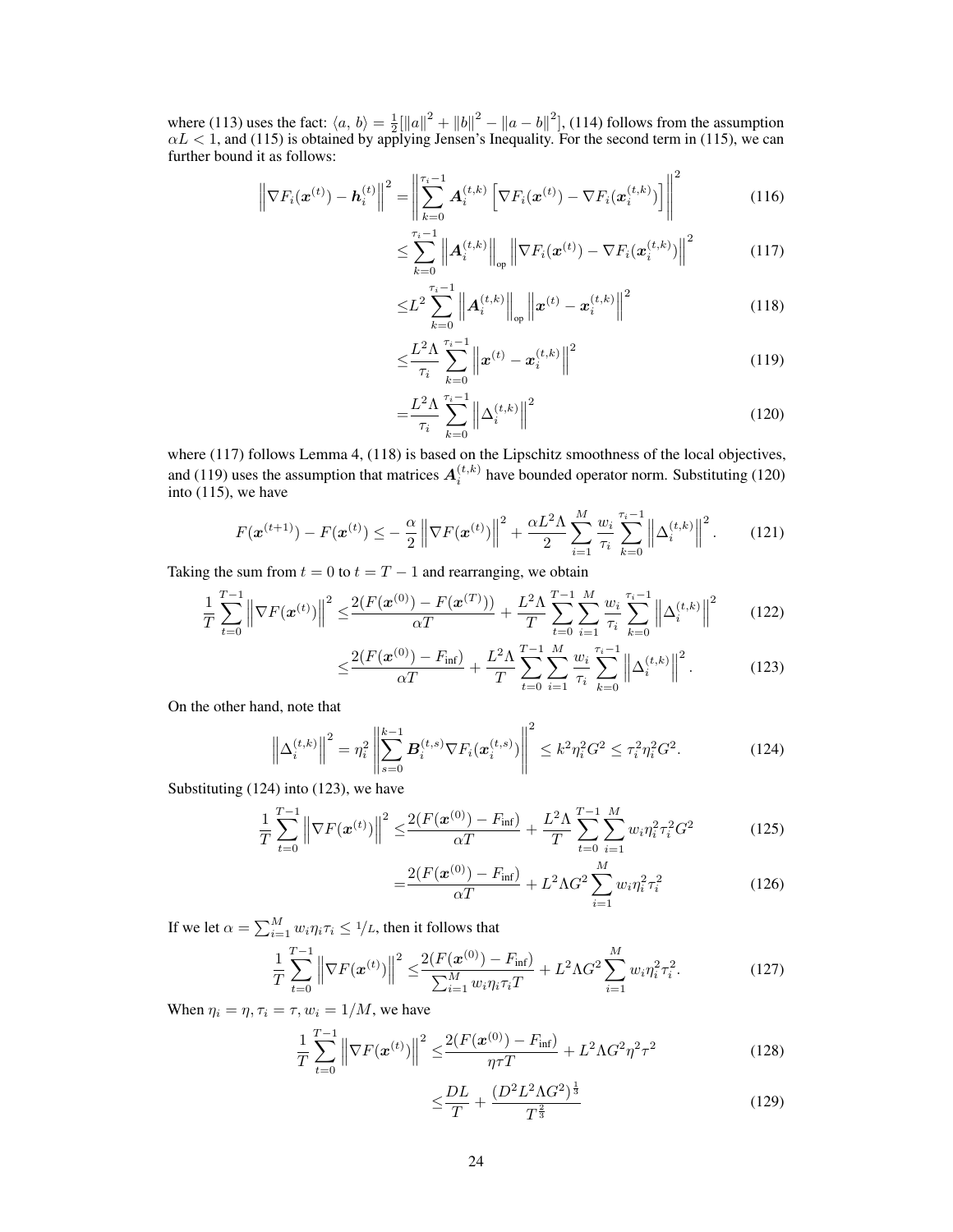where [\(113\)](#page-22-1) uses the fact:  $\langle a, b \rangle = \frac{1}{2} \|\|a\|^2 + \|b\|^2 - \|a - b\|^2$ , [\(114\)](#page-22-2) follows from the assumption  $\alpha L < 1$ , and [\(115\)](#page-22-3) is obtained by applying Jensen's Inequality. For the second term in (115), we can further bound it as follows:

$$
\left\| \nabla F_i(\boldsymbol{x}^{(t)}) - \boldsymbol{h}_i^{(t)} \right\|^2 = \left\| \sum_{k=0}^{\tau_i - 1} \boldsymbol{A}_i^{(t,k)} \left[ \nabla F_i(\boldsymbol{x}^{(t)}) - \nabla F_i(\boldsymbol{x}_i^{(t,k)}) \right] \right\|^2 \tag{116}
$$

<span id="page-23-0"></span>
$$
\leq \sum_{k=0}^{\tau_i-1} \left\| \boldsymbol{A}_i^{(t,k)} \right\|_{\text{op}} \left\| \nabla F_i(\boldsymbol{x}^{(t)}) - \nabla F_i(\boldsymbol{x}_i^{(t,k)}) \right\|^2 \tag{117}
$$

$$
\leq L^{2} \sum_{k=0}^{\tau_{i}-1} \left\| \mathbf{A}_{i}^{(t,k)} \right\|_{\text{op}} \left\| \boldsymbol{x}^{(t)} - \boldsymbol{x}_{i}^{(t,k)} \right\|^{2} \tag{118}
$$

<span id="page-23-3"></span><span id="page-23-2"></span><span id="page-23-1"></span>
$$
\leq \frac{L^2 \Lambda}{\tau_i} \sum_{k=0}^{\tau_i - 1} \left\| \boldsymbol{x}^{(t)} - \boldsymbol{x}_i^{(t,k)} \right\|^2 \tag{119}
$$

$$
=\frac{L^2\Lambda}{\tau_i} \sum_{k=0}^{\tau_i-1} \left\| \Delta_i^{(t,k)} \right\|^2 \tag{120}
$$

where [\(117\)](#page-23-0) follows Lemma [4,](#page-21-7) [\(118\)](#page-23-1) is based on the Lipschitz smoothness of the local objectives, and [\(119\)](#page-23-2) uses the assumption that matrices  $A_i^{(t,k)}$  have bounded operator norm. Substituting [\(120\)](#page-23-3) into  $(115)$ , we have

$$
F(\mathbf{x}^{(t+1)}) - F(\mathbf{x}^{(t)}) \leq -\frac{\alpha}{2} \left\| \nabla F(\mathbf{x}^{(t)}) \right\|^2 + \frac{\alpha L^2 \Lambda}{2} \sum_{i=1}^M \frac{w_i}{\tau_i} \sum_{k=0}^{\tau_i - 1} \left\| \Delta_i^{(t,k)} \right\|^2. \tag{121}
$$

Taking the sum from  $t = 0$  to  $t = T - 1$  and rearranging, we obtain

$$
\frac{1}{T} \sum_{t=0}^{T-1} \left\| \nabla F(\mathbf{x}^{(t)}) \right\|^2 \le \frac{2(F(\mathbf{x}^{(0)}) - F(\mathbf{x}^{(T)}))}{\alpha T} + \frac{L^2 \Lambda}{T} \sum_{t=0}^{T-1} \sum_{i=1}^M \frac{w_i}{\tau_i} \sum_{k=0}^{\tau_i - 1} \left\| \Delta_i^{(t,k)} \right\|^2 \tag{122}
$$

$$
\leq \frac{2(F(\mathbf{x}^{(0)}) - F_{\text{inf}})}{\alpha T} + \frac{L^2 \Lambda}{T} \sum_{t=0}^{T-1} \sum_{i=1}^{M} \frac{w_i}{\tau_i} \sum_{k=0}^{\tau_i - 1} \left\| \Delta_i^{(t,k)} \right\|^2.
$$
 (123)

On the other hand, note that

$$
\left\| \Delta_i^{(t,k)} \right\|^2 = \eta_i^2 \left\| \sum_{s=0}^{k-1} \boldsymbol{B}_i^{(t,s)} \nabla F_i(\boldsymbol{x}_i^{(t,s)}) \right\|^2 \le k^2 \eta_i^2 G^2 \le \tau_i^2 \eta_i^2 G^2. \tag{124}
$$

Substituting [\(124\)](#page-23-4) into [\(123\)](#page-23-5), we have

$$
\frac{1}{T} \sum_{t=0}^{T-1} \left\| \nabla F(\boldsymbol{x}^{(t)}) \right\|^2 \le \frac{2(F(\boldsymbol{x}^{(0)}) - F_{\text{inf}})}{\alpha T} + \frac{L^2 \Lambda}{T} \sum_{t=0}^{T-1} \sum_{i=1}^M w_i \eta_i^2 \tau_i^2 G^2 \tag{125}
$$

<span id="page-23-5"></span><span id="page-23-4"></span>
$$
=\frac{2(F(\mathbf{x}^{(0)}) - F_{\text{inf}})}{\alpha T} + L^2 \Lambda G^2 \sum_{i=1}^{M} w_i \eta_i^2 \tau_i^2
$$
(126)

If we let  $\alpha = \sum_{i=1}^{M} w_i \eta_i \tau_i \leq 1/L$ , then it follows that

$$
\frac{1}{T} \sum_{t=0}^{T-1} \left\| \nabla F(\boldsymbol{x}^{(t)}) \right\|^2 \le \frac{2(F(\boldsymbol{x}^{(0)}) - F_{\text{inf}})}{\sum_{i=1}^M w_i \eta_i \tau_i T} + L^2 \Lambda G^2 \sum_{i=1}^M w_i \eta_i^2 \tau_i^2.
$$
\n(127)

When  $\eta_i = \eta, \tau_i = \tau, w_i = 1/M$ , we have

$$
\frac{1}{T} \sum_{t=0}^{T-1} \left\| \nabla F(\mathbf{x}^{(t)}) \right\|^2 \le \frac{2(F(\mathbf{x}^{(0)}) - F_{\text{inf}})}{\eta \tau T} + L^2 \Lambda G^2 \eta^2 \tau^2 \tag{128}
$$

$$
\leq \frac{DL}{T} + \frac{(D^2 L^2 \Lambda G^2)^{\frac{1}{3}}}{T^{\frac{2}{3}}} \tag{129}
$$